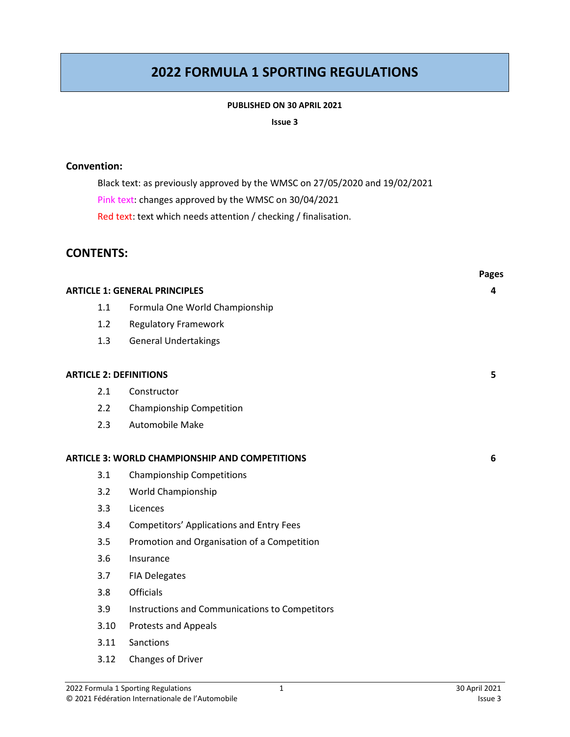# **2022 FORMULA 1 SPORTING REGULATIONS**

#### **PUBLISHED ON 30 APRIL 2021**

#### **Issue 3**

### **Convention:**

Black text: as previously approved by the WMSC on 27/05/2020 and 19/02/2021 Pink text: changes approved by the WMSC on 30/04/2021 Red text: text which needs attention / checking / finalisation.

# **CONTENTS:**

|      |                                                       | <b>Pages</b> |
|------|-------------------------------------------------------|--------------|
|      | <b>ARTICLE 1: GENERAL PRINCIPLES</b>                  | 4            |
| 1.1  | Formula One World Championship                        |              |
| 1.2  | <b>Regulatory Framework</b>                           |              |
| 1.3  | <b>General Undertakings</b>                           |              |
|      | <b>ARTICLE 2: DEFINITIONS</b>                         | 5            |
| 2.1  | Constructor                                           |              |
| 2.2  | Championship Competition                              |              |
| 2.3  | Automobile Make                                       |              |
|      | <b>ARTICLE 3: WORLD CHAMPIONSHIP AND COMPETITIONS</b> | 6            |
| 3.1  | <b>Championship Competitions</b>                      |              |
| 3.2  | World Championship                                    |              |
| 3.3  | Licences                                              |              |
| 3.4  | <b>Competitors' Applications and Entry Fees</b>       |              |
| 3.5  | Promotion and Organisation of a Competition           |              |
| 3.6  | Insurance                                             |              |
| 3.7  | <b>FIA Delegates</b>                                  |              |
| 3.8  | <b>Officials</b>                                      |              |
| 3.9  | Instructions and Communications to Competitors        |              |
| 3.10 | <b>Protests and Appeals</b>                           |              |
| 3.11 | Sanctions                                             |              |
| 3.12 | Changes of Driver                                     |              |
|      |                                                       |              |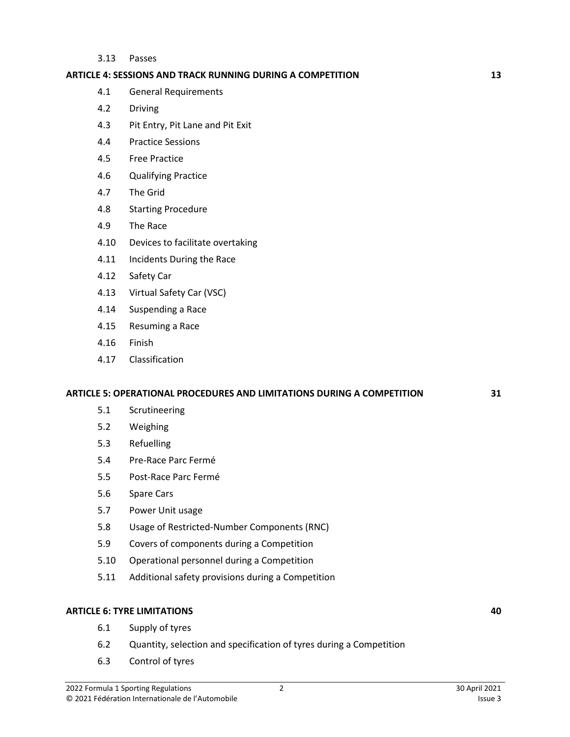3.13 Passes

#### **ARTICLE 4: SESSIONS AND TRACK RUNNING DURING A COMPETITION 13**

- 4.1 General Requirements
- 4.2 Driving
- 4.3 Pit Entry, Pit Lane and Pit Exit
- 4.4 Practice Sessions
- 4.5 Free Practice
- 4.6 Qualifying Practice
- 4.7 The Grid
- 4.8 Starting Procedure
- 4.9 The Race
- 4.10 Devices to facilitate overtaking
- 4.11 Incidents During the Race
- 4.12 Safety Car
- 4.13 Virtual Safety Car (VSC)
- 4.14 Suspending a Race
- 4.15 Resuming a Race
- 4.16 Finish
- 4.17 Classification

#### **ARTICLE 5: OPERATIONAL PROCEDURES AND LIMITATIONS DURING A COMPETITION 31**

- 5.1 Scrutineering
- 5.2 Weighing
- 5.3 Refuelling
- 5.4 Pre-Race Parc Fermé
- 5.5 Post-Race Parc Fermé
- 5.6 Spare Cars
- 5.7 Power Unit usage
- 5.8 Usage of Restricted-Number Components (RNC)
- 5.9 Covers of components during a Competition
- 5.10 Operational personnel during a Competition
- 5.11 Additional safety provisions during a Competition

#### **ARTICLE 6: TYRE LIMITATIONS 40**

- 6.1 Supply of tyres
- 6.2 Quantity, selection and specification of tyres during a Competition
- 6.3 Control of tyres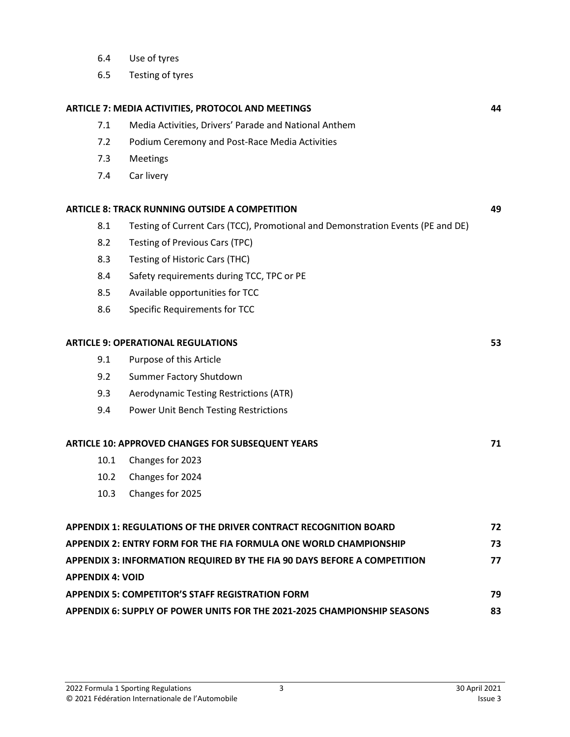- 6.4 Use of tyres
- 6.5 Testing of tyres

| 7.1                     | Media Activities, Drivers' Parade and National Anthem                           |    |
|-------------------------|---------------------------------------------------------------------------------|----|
| 7.2                     | Podium Ceremony and Post-Race Media Activities                                  |    |
| 7.3                     | Meetings                                                                        |    |
| 7.4                     | Car livery                                                                      |    |
|                         | <b>ARTICLE 8: TRACK RUNNING OUTSIDE A COMPETITION</b>                           | 49 |
| 8.1                     | Testing of Current Cars (TCC), Promotional and Demonstration Events (PE and DE) |    |
| 8.2                     | <b>Testing of Previous Cars (TPC)</b>                                           |    |
| 8.3                     | Testing of Historic Cars (THC)                                                  |    |
| 8.4                     | Safety requirements during TCC, TPC or PE                                       |    |
| 8.5                     | Available opportunities for TCC                                                 |    |
| 8.6                     | <b>Specific Requirements for TCC</b>                                            |    |
|                         | <b>ARTICLE 9: OPERATIONAL REGULATIONS</b>                                       | 53 |
| 9.1                     | Purpose of this Article                                                         |    |
| 9.2                     | Summer Factory Shutdown                                                         |    |
| 9.3                     | Aerodynamic Testing Restrictions (ATR)                                          |    |
| 9.4                     | Power Unit Bench Testing Restrictions                                           |    |
|                         | <b>ARTICLE 10: APPROVED CHANGES FOR SUBSEQUENT YEARS</b>                        | 71 |
| 10.1                    | Changes for 2023                                                                |    |
| 10.2                    | Changes for 2024                                                                |    |
| 10.3                    | Changes for 2025                                                                |    |
|                         | <b>APPENDIX 1: REGULATIONS OF THE DRIVER CONTRACT RECOGNITION BOARD</b>         | 72 |
|                         | <b>APPENDIX 2: ENTRY FORM FOR THE FIA FORMULA ONE WORLD CHAMPIONSHIP</b>        | 73 |
|                         | APPENDIX 3: INFORMATION REQUIRED BY THE FIA 90 DAYS BEFORE A COMPETITION        | 77 |
| <b>APPENDIX 4: VOID</b> |                                                                                 |    |
|                         | <b>APPENDIX 5: COMPETITOR'S STAFF REGISTRATION FORM</b>                         | 79 |
|                         | APPENDIX 6: SUPPLY OF POWER UNITS FOR THE 2021-2025 CHAMPIONSHIP SEASONS        | 83 |

**ARTICLE 7: MEDIA ACTIVITIES, PROTOCOL AND MEETINGS 44**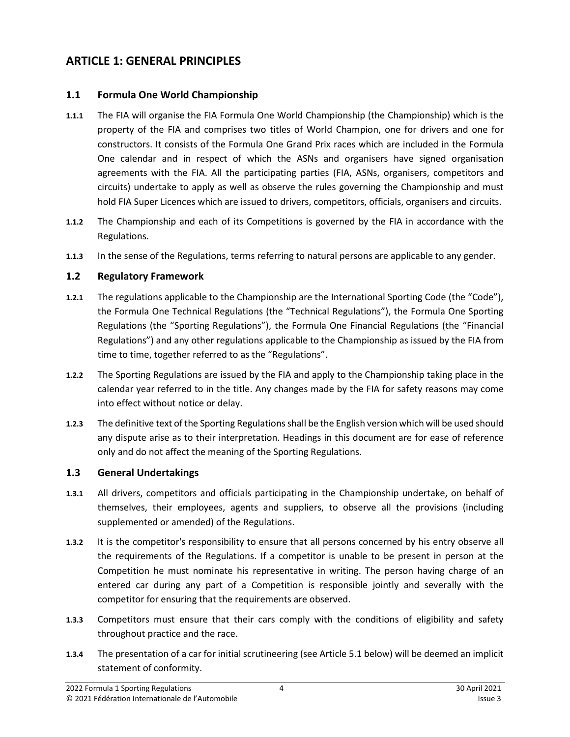# **ARTICLE 1: GENERAL PRINCIPLES**

# **1.1 Formula One World Championship**

- **1.1.1** The FIA will organise the FIA Formula One World Championship (the Championship) which is the property of the FIA and comprises two titles of World Champion, one for drivers and one for constructors. It consists of the Formula One Grand Prix races which are included in the Formula One calendar and in respect of which the ASNs and organisers have signed organisation agreements with the FIA. All the participating parties (FIA, ASNs, organisers, competitors and circuits) undertake to apply as well as observe the rules governing the Championship and must hold FIA Super Licences which are issued to drivers, competitors, officials, organisers and circuits.
- **1.1.2** The Championship and each of its Competitions is governed by the FIA in accordance with the Regulations.
- **1.1.3** In the sense of the Regulations, terms referring to natural persons are applicable to any gender.

# **1.2 Regulatory Framework**

- **1.2.1** The regulations applicable to the Championship are the International Sporting Code (the "Code"), the Formula One Technical Regulations (the "Technical Regulations"), the Formula One Sporting Regulations (the "Sporting Regulations"), the Formula One Financial Regulations (the "Financial Regulations") and any other regulations applicable to the Championship as issued by the FIA from time to time, together referred to as the "Regulations".
- **1.2.2** The Sporting Regulations are issued by the FIA and apply to the Championship taking place in the calendar year referred to in the title. Any changes made by the FIA for safety reasons may come into effect without notice or delay.
- **1.2.3** The definitive text of the Sporting Regulations shall be the English version which will be used should any dispute arise as to their interpretation. Headings in this document are for ease of reference only and do not affect the meaning of the Sporting Regulations.

# **1.3 General Undertakings**

- **1.3.1** All drivers, competitors and officials participating in the Championship undertake, on behalf of themselves, their employees, agents and suppliers, to observe all the provisions (including supplemented or amended) of the Regulations.
- **1.3.2** It is the competitor's responsibility to ensure that all persons concerned by his entry observe all the requirements of the Regulations. If a competitor is unable to be present in person at the Competition he must nominate his representative in writing. The person having charge of an entered car during any part of a Competition is responsible jointly and severally with the competitor for ensuring that the requirements are observed.
- **1.3.3** Competitors must ensure that their cars comply with the conditions of eligibility and safety throughout practice and the race.
- **1.3.4** The presentation of a car for initial scrutineering (see Article 5.1 below) will be deemed an implicit statement of conformity.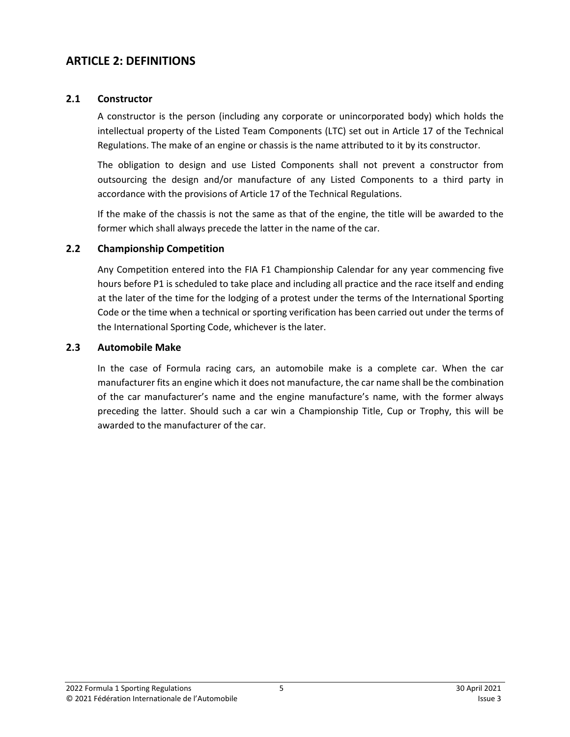# **ARTICLE 2: DEFINITIONS**

### **2.1 Constructor**

A constructor is the person (including any corporate or unincorporated body) which holds the intellectual property of the Listed Team Components (LTC) set out in Article 17 of the Technical Regulations. The make of an engine or chassis is the name attributed to it by its constructor.

The obligation to design and use Listed Components shall not prevent a constructor from outsourcing the design and/or manufacture of any Listed Components to a third party in accordance with the provisions of Article 17 of the Technical Regulations.

If the make of the chassis is not the same as that of the engine, the title will be awarded to the former which shall always precede the latter in the name of the car.

### **2.2 Championship Competition**

Any Competition entered into the FIA F1 Championship Calendar for any year commencing five hours before P1 is scheduled to take place and including all practice and the race itself and ending at the later of the time for the lodging of a protest under the terms of the International Sporting Code or the time when a technical or sporting verification has been carried out under the terms of the International Sporting Code, whichever is the later.

#### **2.3 Automobile Make**

In the case of Formula racing cars, an automobile make is a complete car. When the car manufacturer fits an engine which it does not manufacture, the car name shall be the combination of the car manufacturer's name and the engine manufacture's name, with the former always preceding the latter. Should such a car win a Championship Title, Cup or Trophy, this will be awarded to the manufacturer of the car.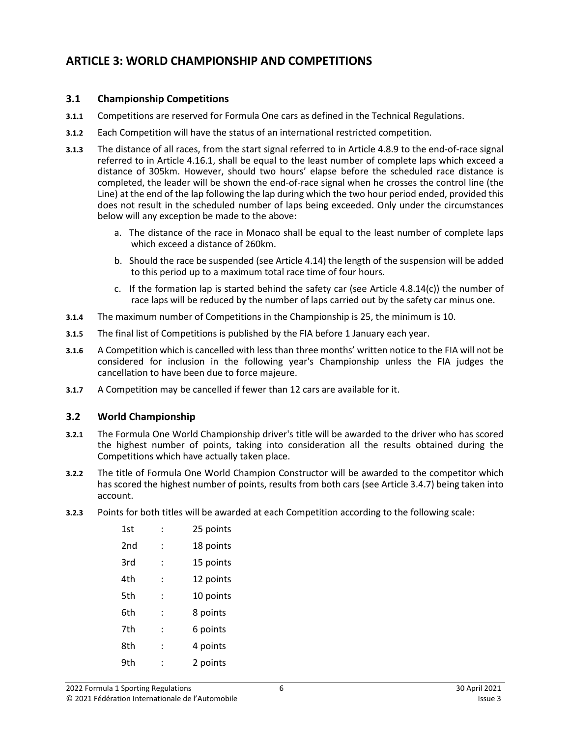# **ARTICLE 3: WORLD CHAMPIONSHIP AND COMPETITIONS**

### **3.1 Championship Competitions**

- **3.1.1** Competitions are reserved for Formula One cars as defined in the Technical Regulations.
- **3.1.2** Each Competition will have the status of an international restricted competition.
- **3.1.3** The distance of all races, from the start signal referred to in Article 4.8.9 to the end-of-race signal referred to in Article 4.16.1, shall be equal to the least number of complete laps which exceed a distance of 305km. However, should two hours' elapse before the scheduled race distance is completed, the leader will be shown the end-of-race signal when he crosses the control line (the Line) at the end of the lap following the lap during which the two hour period ended, provided this does not result in the scheduled number of laps being exceeded. Only under the circumstances below will any exception be made to the above:
	- a. The distance of the race in Monaco shall be equal to the least number of complete laps which exceed a distance of 260km.
	- b. Should the race be suspended (see Article 4.14) the length of the suspension will be added to this period up to a maximum total race time of four hours.
	- c. If the formation lap is started behind the safety car (see Article  $4.8.14(c)$ ) the number of race laps will be reduced by the number of laps carried out by the safety car minus one.
- **3.1.4** The maximum number of Competitions in the Championship is 25, the minimum is 10.
- **3.1.5** The final list of Competitions is published by the FIA before 1 January each year.
- **3.1.6** A Competition which is cancelled with less than three months' written notice to the FIA will not be considered for inclusion in the following year's Championship unless the FIA judges the cancellation to have been due to force majeure.
- **3.1.7** A Competition may be cancelled if fewer than 12 cars are available for it.

#### **3.2 World Championship**

- **3.2.1** The Formula One World Championship driver's title will be awarded to the driver who has scored the highest number of points, taking into consideration all the results obtained during the Competitions which have actually taken place.
- **3.2.2** The title of Formula One World Champion Constructor will be awarded to the competitor which has scored the highest number of points, results from both cars (see Article 3.4.7) being taken into account.
- **3.2.3** Points for both titles will be awarded at each Competition according to the following scale:

| 1st |                      | 25 points |
|-----|----------------------|-----------|
| 2nd |                      | 18 points |
| 3rd | $\ddot{\phantom{a}}$ | 15 points |
| 4th | $\ddot{\cdot}$       | 12 points |
| 5th | :                    | 10 points |
| 6th | :                    | 8 points  |
| 7th |                      | 6 points  |
| 8th |                      | 4 points  |
| 9th |                      | 2 points  |
|     |                      |           |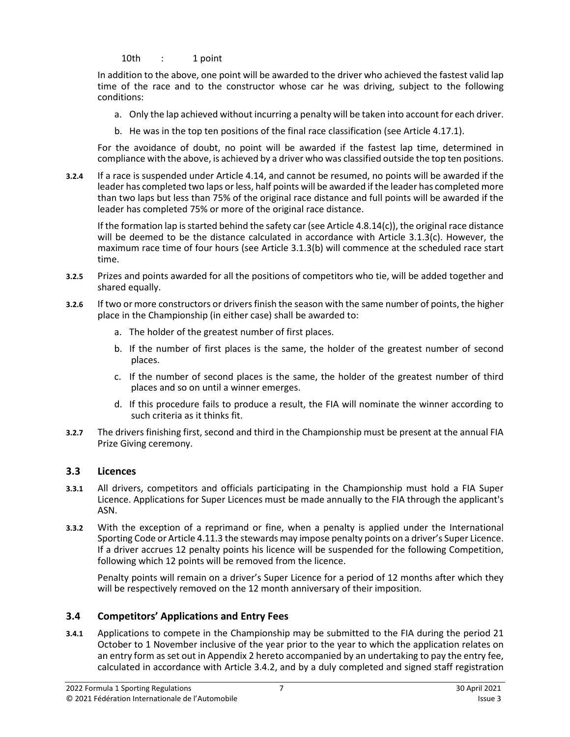10th : 1 point

In addition to the above, one point will be awarded to the driver who achieved the fastest valid lap time of the race and to the constructor whose car he was driving, subject to the following conditions:

- a. Only the lap achieved without incurring a penalty will be taken into account for each driver.
- b. He was in the top ten positions of the final race classification (see Article 4.17.1).

For the avoidance of doubt, no point will be awarded if the fastest lap time, determined in compliance with the above, is achieved by a driver who was classified outside the top ten positions.

**3.2.4** If a race is suspended under Article 4.14, and cannot be resumed, no points will be awarded if the leader has completed two laps or less, half points will be awarded if the leader has completed more than two laps but less than 75% of the original race distance and full points will be awarded if the leader has completed 75% or more of the original race distance.

If the formation lap is started behind the safety car (see Article  $4.8.14(c)$ ), the original race distance will be deemed to be the distance calculated in accordance with Article 3.1.3(c). However, the maximum race time of four hours (see Article 3.1.3(b) will commence at the scheduled race start time.

- **3.2.5** Prizes and points awarded for all the positions of competitors who tie, will be added together and shared equally.
- **3.2.6** If two or more constructors or drivers finish the season with the same number of points, the higher place in the Championship (in either case) shall be awarded to:
	- a. The holder of the greatest number of first places.
	- b. If the number of first places is the same, the holder of the greatest number of second places.
	- c. If the number of second places is the same, the holder of the greatest number of third places and so on until a winner emerges.
	- d. If this procedure fails to produce a result, the FIA will nominate the winner according to such criteria as it thinks fit.
- **3.2.7** The drivers finishing first, second and third in the Championship must be present at the annual FIA Prize Giving ceremony.

# **3.3 Licences**

- **3.3.1** All drivers, competitors and officials participating in the Championship must hold a FIA Super Licence. Applications for Super Licences must be made annually to the FIA through the applicant's ASN.
- **3.3.2** With the exception of a reprimand or fine, when a penalty is applied under the International Sporting Code or Article 4.11.3 the stewards may impose penalty points on a driver's Super Licence. If a driver accrues 12 penalty points his licence will be suspended for the following Competition, following which 12 points will be removed from the licence.

Penalty points will remain on a driver's Super Licence for a period of 12 months after which they will be respectively removed on the 12 month anniversary of their imposition.

# **3.4 Competitors' Applications and Entry Fees**

**3.4.1** Applications to compete in the Championship may be submitted to the FIA during the period 21 October to 1 November inclusive of the year prior to the year to which the application relates on an entry form as set out in Appendix 2 hereto accompanied by an undertaking to pay the entry fee, calculated in accordance with Article 3.4.2, and by a duly completed and signed staff registration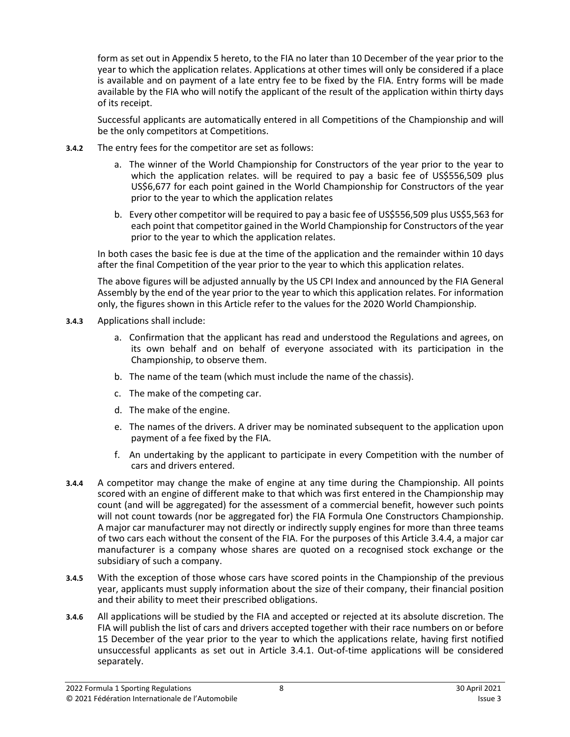form as set out in Appendix 5 hereto, to the FIA no later than 10 December of the year prior to the year to which the application relates. Applications at other times will only be considered if a place is available and on payment of a late entry fee to be fixed by the FIA. Entry forms will be made available by the FIA who will notify the applicant of the result of the application within thirty days of its receipt.

Successful applicants are automatically entered in all Competitions of the Championship and will be the only competitors at Competitions.

- **3.4.2** The entry fees for the competitor are set as follows:
	- a. The winner of the World Championship for Constructors of the year prior to the year to which the application relates. will be required to pay a basic fee of US\$556,509 plus US\$6,677 for each point gained in the World Championship for Constructors of the year prior to the year to which the application relates
	- b. Every other competitor will be required to pay a basic fee of US\$556,509 plus US\$5,563 for each point that competitor gained in the World Championship for Constructors of the year prior to the year to which the application relates.

In both cases the basic fee is due at the time of the application and the remainder within 10 days after the final Competition of the year prior to the year to which this application relates.

The above figures will be adjusted annually by the US CPI Index and announced by the FIA General Assembly by the end of the year prior to the year to which this application relates. For information only, the figures shown in this Article refer to the values for the 2020 World Championship.

- **3.4.3** Applications shall include:
	- a. Confirmation that the applicant has read and understood the Regulations and agrees, on its own behalf and on behalf of everyone associated with its participation in the Championship, to observe them.
	- b. The name of the team (which must include the name of the chassis).
	- c. The make of the competing car.
	- d. The make of the engine.
	- e. The names of the drivers. A driver may be nominated subsequent to the application upon payment of a fee fixed by the FIA.
	- f. An undertaking by the applicant to participate in every Competition with the number of cars and drivers entered.
- **3.4.4** A competitor may change the make of engine at any time during the Championship. All points scored with an engine of different make to that which was first entered in the Championship may count (and will be aggregated) for the assessment of a commercial benefit, however such points will not count towards (nor be aggregated for) the FIA Formula One Constructors Championship. A major car manufacturer may not directly or indirectly supply engines for more than three teams of two cars each without the consent of the FIA. For the purposes of this Article 3.4.4, a major car manufacturer is a company whose shares are quoted on a recognised stock exchange or the subsidiary of such a company.
- **3.4.5** With the exception of those whose cars have scored points in the Championship of the previous year, applicants must supply information about the size of their company, their financial position and their ability to meet their prescribed obligations.
- **3.4.6** All applications will be studied by the FIA and accepted or rejected at its absolute discretion. The FIA will publish the list of cars and drivers accepted together with their race numbers on or before 15 December of the year prior to the year to which the applications relate, having first notified unsuccessful applicants as set out in Article 3.4.1. Out-of-time applications will be considered separately.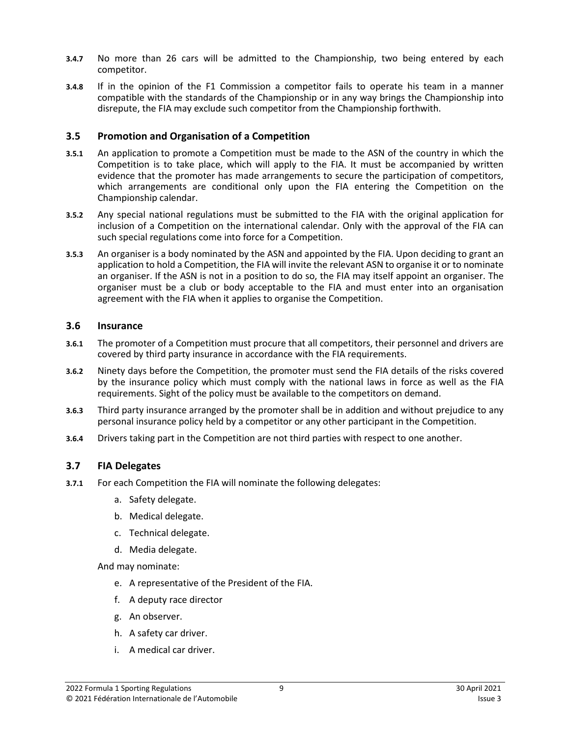- **3.4.7** No more than 26 cars will be admitted to the Championship, two being entered by each competitor.
- **3.4.8** If in the opinion of the F1 Commission a competitor fails to operate his team in a manner compatible with the standards of the Championship or in any way brings the Championship into disrepute, the FIA may exclude such competitor from the Championship forthwith.

#### **3.5 Promotion and Organisation of a Competition**

- **3.5.1** An application to promote a Competition must be made to the ASN of the country in which the Competition is to take place, which will apply to the FIA. It must be accompanied by written evidence that the promoter has made arrangements to secure the participation of competitors, which arrangements are conditional only upon the FIA entering the Competition on the Championship calendar.
- **3.5.2** Any special national regulations must be submitted to the FIA with the original application for inclusion of a Competition on the international calendar. Only with the approval of the FIA can such special regulations come into force for a Competition.
- **3.5.3** An organiser is a body nominated by the ASN and appointed by the FIA. Upon deciding to grant an application to hold a Competition, the FIA will invite the relevant ASN to organise it or to nominate an organiser. If the ASN is not in a position to do so, the FIA may itself appoint an organiser. The organiser must be a club or body acceptable to the FIA and must enter into an organisation agreement with the FIA when it applies to organise the Competition.

#### **3.6 Insurance**

- **3.6.1** The promoter of a Competition must procure that all competitors, their personnel and drivers are covered by third party insurance in accordance with the FIA requirements.
- **3.6.2** Ninety days before the Competition, the promoter must send the FIA details of the risks covered by the insurance policy which must comply with the national laws in force as well as the FIA requirements. Sight of the policy must be available to the competitors on demand.
- **3.6.3** Third party insurance arranged by the promoter shall be in addition and without prejudice to any personal insurance policy held by a competitor or any other participant in the Competition.
- **3.6.4** Drivers taking part in the Competition are not third parties with respect to one another.

#### **3.7 FIA Delegates**

- **3.7.1** For each Competition the FIA will nominate the following delegates:
	- a. Safety delegate.
	- b. Medical delegate.
	- c. Technical delegate.
	- d. Media delegate.

And may nominate:

- e. A representative of the President of the FIA.
- f. A deputy race director
- g. An observer.
- h. A safety car driver.
- i. A medical car driver.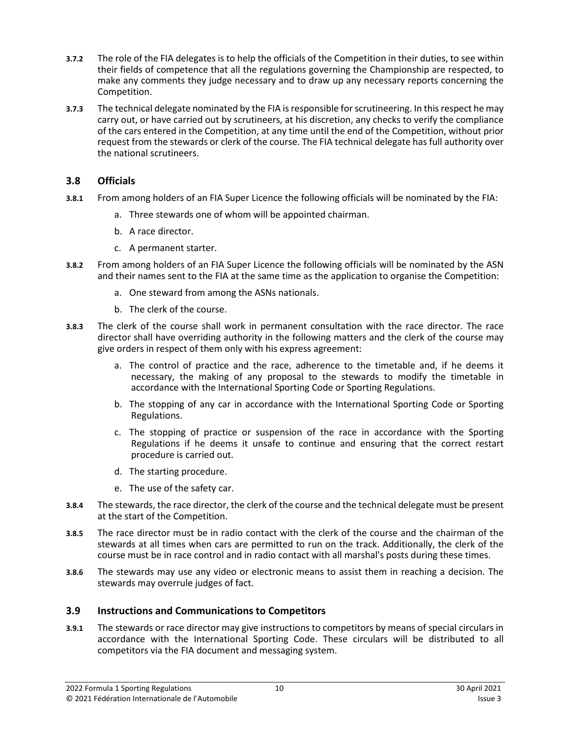- **3.7.2** The role of the FIA delegates is to help the officials of the Competition in their duties, to see within their fields of competence that all the regulations governing the Championship are respected, to make any comments they judge necessary and to draw up any necessary reports concerning the Competition.
- **3.7.3** The technical delegate nominated by the FIA is responsible for scrutineering. In this respect he may carry out, or have carried out by scrutineers, at his discretion, any checks to verify the compliance of the cars entered in the Competition, at any time until the end of the Competition, without prior request from the stewards or clerk of the course. The FIA technical delegate has full authority over the national scrutineers.

### **3.8 Officials**

- **3.8.1** From among holders of an FIA Super Licence the following officials will be nominated by the FIA:
	- a. Three stewards one of whom will be appointed chairman.
	- b. A race director.
	- c. A permanent starter.
- **3.8.2** From among holders of an FIA Super Licence the following officials will be nominated by the ASN and their names sent to the FIA at the same time as the application to organise the Competition:
	- a. One steward from among the ASNs nationals.
	- b. The clerk of the course.
- **3.8.3** The clerk of the course shall work in permanent consultation with the race director. The race director shall have overriding authority in the following matters and the clerk of the course may give orders in respect of them only with his express agreement:
	- a. The control of practice and the race, adherence to the timetable and, if he deems it necessary, the making of any proposal to the stewards to modify the timetable in accordance with the International Sporting Code or Sporting Regulations.
	- b. The stopping of any car in accordance with the International Sporting Code or Sporting Regulations.
	- c. The stopping of practice or suspension of the race in accordance with the Sporting Regulations if he deems it unsafe to continue and ensuring that the correct restart procedure is carried out.
	- d. The starting procedure.
	- e. The use of the safety car.
- **3.8.4** The stewards, the race director, the clerk of the course and the technical delegate must be present at the start of the Competition.
- **3.8.5** The race director must be in radio contact with the clerk of the course and the chairman of the stewards at all times when cars are permitted to run on the track. Additionally, the clerk of the course must be in race control and in radio contact with all marshal's posts during these times.
- **3.8.6** The stewards may use any video or electronic means to assist them in reaching a decision. The stewards may overrule judges of fact.

#### **3.9 Instructions and Communications to Competitors**

**3.9.1** The stewards or race director may give instructions to competitors by means of special circulars in accordance with the International Sporting Code. These circulars will be distributed to all competitors via the FIA document and messaging system.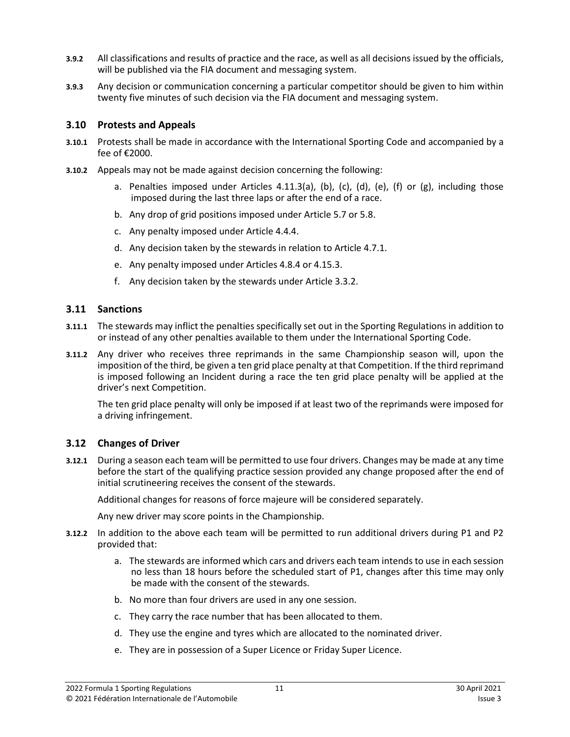- **3.9.2** All classifications and results of practice and the race, as well as all decisions issued by the officials, will be published via the FIA document and messaging system.
- **3.9.3** Any decision or communication concerning a particular competitor should be given to him within twenty five minutes of such decision via the FIA document and messaging system.

#### **3.10 Protests and Appeals**

- **3.10.1** Protests shall be made in accordance with the International Sporting Code and accompanied by a fee of €2000.
- **3.10.2** Appeals may not be made against decision concerning the following:
	- a. Penalties imposed under Articles 4.11.3(a), (b), (c), (d), (e), (f) or (g), including those imposed during the last three laps or after the end of a race.
	- b. Any drop of grid positions imposed under Article 5.7 or 5.8.
	- c. Any penalty imposed under Article 4.4.4.
	- d. Any decision taken by the stewards in relation to Article 4.7.1.
	- e. Any penalty imposed under Articles 4.8.4 or 4.15.3.
	- f. Any decision taken by the stewards under Article 3.3.2.

#### **3.11 Sanctions**

- **3.11.1** The stewards may inflict the penalties specifically set out in the Sporting Regulations in addition to or instead of any other penalties available to them under the International Sporting Code.
- **3.11.2** Any driver who receives three reprimands in the same Championship season will, upon the imposition of the third, be given a ten grid place penalty at that Competition. If the third reprimand is imposed following an Incident during a race the ten grid place penalty will be applied at the driver's next Competition.

The ten grid place penalty will only be imposed if at least two of the reprimands were imposed for a driving infringement.

#### **3.12 Changes of Driver**

**3.12.1** During a season each team will be permitted to use four drivers. Changes may be made at any time before the start of the qualifying practice session provided any change proposed after the end of initial scrutineering receives the consent of the stewards.

Additional changes for reasons of force majeure will be considered separately.

Any new driver may score points in the Championship.

- **3.12.2** In addition to the above each team will be permitted to run additional drivers during P1 and P2 provided that:
	- a. The stewards are informed which cars and drivers each team intends to use in each session no less than 18 hours before the scheduled start of P1, changes after this time may only be made with the consent of the stewards.
	- b. No more than four drivers are used in any one session.
	- c. They carry the race number that has been allocated to them.
	- d. They use the engine and tyres which are allocated to the nominated driver.
	- e. They are in possession of a Super Licence or Friday Super Licence.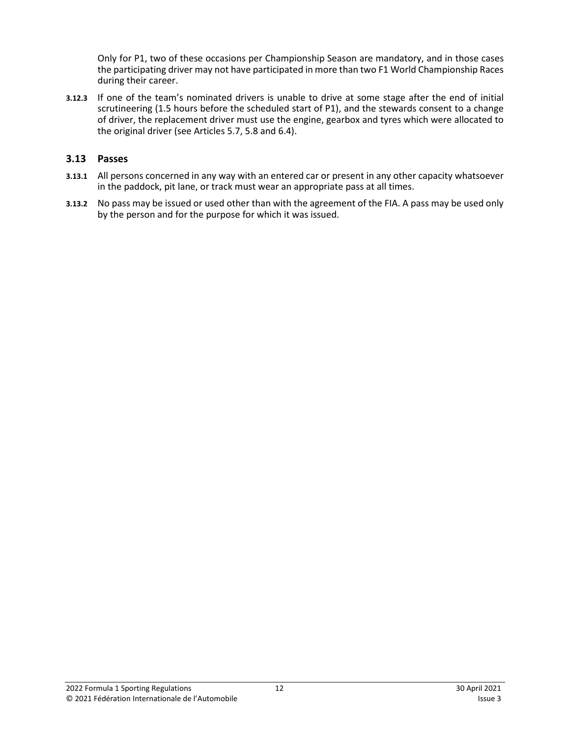Only for P1, two of these occasions per Championship Season are mandatory, and in those cases the participating driver may not have participated in more than two F1 World Championship Races during their career.

**3.12.3** If one of the team's nominated drivers is unable to drive at some stage after the end of initial scrutineering (1.5 hours before the scheduled start of P1), and the stewards consent to a change of driver, the replacement driver must use the engine, gearbox and tyres which were allocated to the original driver (see Articles 5.7, 5.8 and 6.4).

### **3.13 Passes**

- **3.13.1** All persons concerned in any way with an entered car or present in any other capacity whatsoever in the paddock, pit lane, or track must wear an appropriate pass at all times.
- **3.13.2** No pass may be issued or used other than with the agreement of the FIA. A pass may be used only by the person and for the purpose for which it was issued.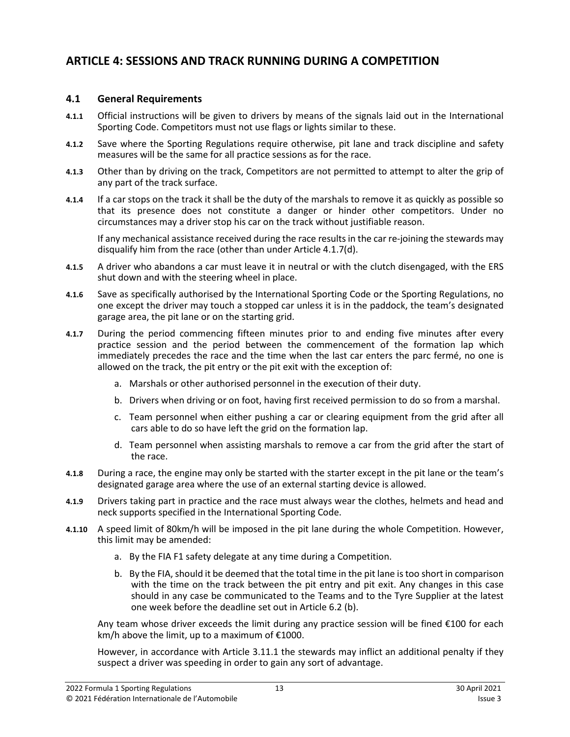# **ARTICLE 4: SESSIONS AND TRACK RUNNING DURING A COMPETITION**

### **4.1 General Requirements**

- **4.1.1** Official instructions will be given to drivers by means of the signals laid out in the International Sporting Code. Competitors must not use flags or lights similar to these.
- **4.1.2** Save where the Sporting Regulations require otherwise, pit lane and track discipline and safety measures will be the same for all practice sessions as for the race.
- **4.1.3** Other than by driving on the track, Competitors are not permitted to attempt to alter the grip of any part of the track surface.
- **4.1.4** If a car stops on the track it shall be the duty of the marshals to remove it as quickly as possible so that its presence does not constitute a danger or hinder other competitors. Under no circumstances may a driver stop his car on the track without justifiable reason.

If any mechanical assistance received during the race results in the car re-joining the stewards may disqualify him from the race (other than under Article 4.1.7(d).

- **4.1.5** A driver who abandons a car must leave it in neutral or with the clutch disengaged, with the ERS shut down and with the steering wheel in place.
- **4.1.6** Save as specifically authorised by the International Sporting Code or the Sporting Regulations, no one except the driver may touch a stopped car unless it is in the paddock, the team's designated garage area, the pit lane or on the starting grid.
- **4.1.7** During the period commencing fifteen minutes prior to and ending five minutes after every practice session and the period between the commencement of the formation lap which immediately precedes the race and the time when the last car enters the parc fermé, no one is allowed on the track, the pit entry or the pit exit with the exception of:
	- a. Marshals or other authorised personnel in the execution of their duty.
	- b. Drivers when driving or on foot, having first received permission to do so from a marshal.
	- c. Team personnel when either pushing a car or clearing equipment from the grid after all cars able to do so have left the grid on the formation lap.
	- d. Team personnel when assisting marshals to remove a car from the grid after the start of the race.
- **4.1.8** During a race, the engine may only be started with the starter except in the pit lane or the team's designated garage area where the use of an external starting device is allowed.
- **4.1.9** Drivers taking part in practice and the race must always wear the clothes, helmets and head and neck supports specified in the International Sporting Code.
- **4.1.10** A speed limit of 80km/h will be imposed in the pit lane during the whole Competition. However, this limit may be amended:
	- a. By the FIA F1 safety delegate at any time during a Competition.
	- b. By the FIA, should it be deemed that the total time in the pit lane is too short in comparison with the time on the track between the pit entry and pit exit. Any changes in this case should in any case be communicated to the Teams and to the Tyre Supplier at the latest one week before the deadline set out in Article 6.2 (b).

Any team whose driver exceeds the limit during any practice session will be fined €100 for each km/h above the limit, up to a maximum of €1000.

However, in accordance with Article 3.11.1 the stewards may inflict an additional penalty if they suspect a driver was speeding in order to gain any sort of advantage.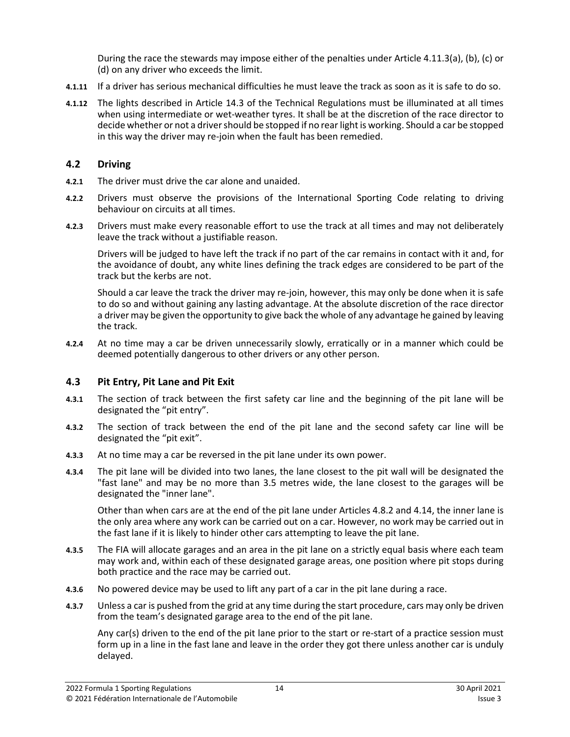During the race the stewards may impose either of the penalties under Article 4.11.3(a), (b), (c) or (d) on any driver who exceeds the limit.

- **4.1.11** If a driver has serious mechanical difficulties he must leave the track as soon as it is safe to do so.
- **4.1.12** The lights described in Article 14.3 of the Technical Regulations must be illuminated at all times when using intermediate or wet-weather tyres. It shall be at the discretion of the race director to decide whether or not a driver should be stopped if no rear light is working. Should a car be stopped in this way the driver may re-join when the fault has been remedied.

#### **4.2 Driving**

- **4.2.1** The driver must drive the car alone and unaided.
- **4.2.2** Drivers must observe the provisions of the International Sporting Code relating to driving behaviour on circuits at all times.
- **4.2.3** Drivers must make every reasonable effort to use the track at all times and may not deliberately leave the track without a justifiable reason.

Drivers will be judged to have left the track if no part of the car remains in contact with it and, for the avoidance of doubt, any white lines defining the track edges are considered to be part of the track but the kerbs are not.

Should a car leave the track the driver may re-join, however, this may only be done when it is safe to do so and without gaining any lasting advantage. At the absolute discretion of the race director a driver may be given the opportunity to give back the whole of any advantage he gained by leaving the track.

**4.2.4** At no time may a car be driven unnecessarily slowly, erratically or in a manner which could be deemed potentially dangerous to other drivers or any other person.

#### **4.3 Pit Entry, Pit Lane and Pit Exit**

- **4.3.1** The section of track between the first safety car line and the beginning of the pit lane will be designated the "pit entry".
- **4.3.2** The section of track between the end of the pit lane and the second safety car line will be designated the "pit exit".
- **4.3.3** At no time may a car be reversed in the pit lane under its own power.
- **4.3.4** The pit lane will be divided into two lanes, the lane closest to the pit wall will be designated the "fast lane" and may be no more than 3.5 metres wide, the lane closest to the garages will be designated the "inner lane".

Other than when cars are at the end of the pit lane under Articles 4.8.2 and 4.14, the inner lane is the only area where any work can be carried out on a car. However, no work may be carried out in the fast lane if it is likely to hinder other cars attempting to leave the pit lane.

- **4.3.5** The FIA will allocate garages and an area in the pit lane on a strictly equal basis where each team may work and, within each of these designated garage areas, one position where pit stops during both practice and the race may be carried out.
- **4.3.6** No powered device may be used to lift any part of a car in the pit lane during a race.
- **4.3.7** Unless a car is pushed from the grid at any time during the start procedure, cars may only be driven from the team's designated garage area to the end of the pit lane.

Any car(s) driven to the end of the pit lane prior to the start or re-start of a practice session must form up in a line in the fast lane and leave in the order they got there unless another car is unduly delayed.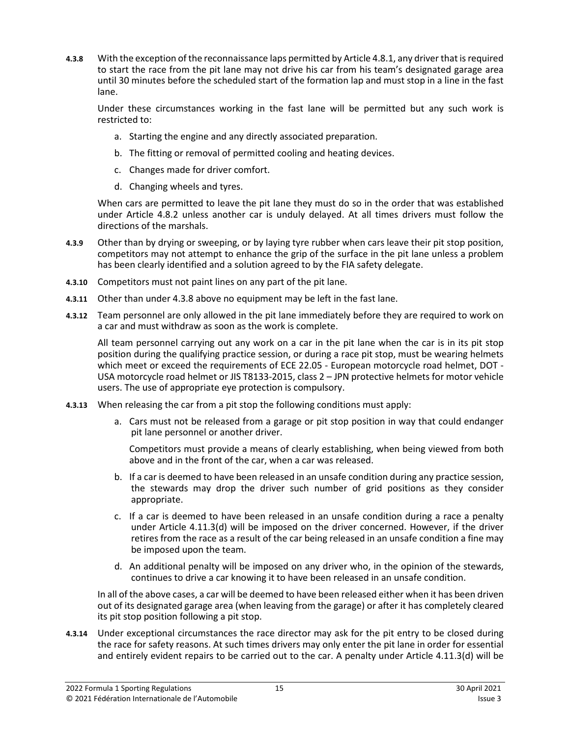**4.3.8** With the exception of the reconnaissance laps permitted by Article 4.8.1, any driver that is required to start the race from the pit lane may not drive his car from his team's designated garage area until 30 minutes before the scheduled start of the formation lap and must stop in a line in the fast lane.

Under these circumstances working in the fast lane will be permitted but any such work is restricted to:

- a. Starting the engine and any directly associated preparation.
- b. The fitting or removal of permitted cooling and heating devices.
- c. Changes made for driver comfort.
- d. Changing wheels and tyres.

When cars are permitted to leave the pit lane they must do so in the order that was established under Article 4.8.2 unless another car is unduly delayed. At all times drivers must follow the directions of the marshals.

- **4.3.9** Other than by drying or sweeping, or by laying tyre rubber when cars leave their pit stop position, competitors may not attempt to enhance the grip of the surface in the pit lane unless a problem has been clearly identified and a solution agreed to by the FIA safety delegate.
- **4.3.10** Competitors must not paint lines on any part of the pit lane.
- **4.3.11** Other than under 4.3.8 above no equipment may be left in the fast lane.
- **4.3.12** Team personnel are only allowed in the pit lane immediately before they are required to work on a car and must withdraw as soon as the work is complete.

All team personnel carrying out any work on a car in the pit lane when the car is in its pit stop position during the qualifying practice session, or during a race pit stop, must be wearing helmets which meet or exceed the requirements of ECE 22.05 - European motorcycle road helmet, DOT - USA motorcycle road helmet or JIS T8133-2015, class 2 – JPN protective helmets for motor vehicle users. The use of appropriate eye protection is compulsory.

- **4.3.13** When releasing the car from a pit stop the following conditions must apply:
	- a. Cars must not be released from a garage or pit stop position in way that could endanger pit lane personnel or another driver.

Competitors must provide a means of clearly establishing, when being viewed from both above and in the front of the car, when a car was released.

- b. If a car is deemed to have been released in an unsafe condition during any practice session, the stewards may drop the driver such number of grid positions as they consider appropriate.
- c. If a car is deemed to have been released in an unsafe condition during a race a penalty under Article 4.11.3(d) will be imposed on the driver concerned. However, if the driver retires from the race as a result of the car being released in an unsafe condition a fine may be imposed upon the team.
- d. An additional penalty will be imposed on any driver who, in the opinion of the stewards, continues to drive a car knowing it to have been released in an unsafe condition.

In all of the above cases, a car will be deemed to have been released either when it has been driven out of its designated garage area (when leaving from the garage) or after it has completely cleared its pit stop position following a pit stop.

**4.3.14** Under exceptional circumstances the race director may ask for the pit entry to be closed during the race for safety reasons. At such times drivers may only enter the pit lane in order for essential and entirely evident repairs to be carried out to the car. A penalty under Article 4.11.3(d) will be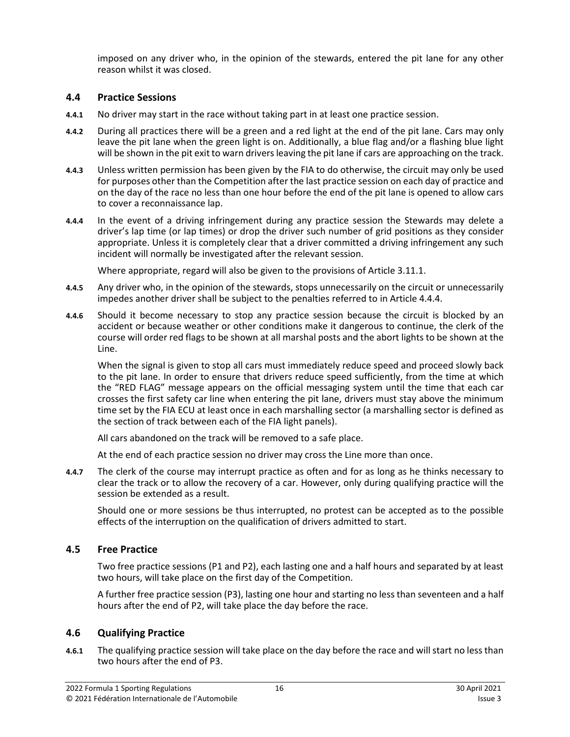imposed on any driver who, in the opinion of the stewards, entered the pit lane for any other reason whilst it was closed.

#### **4.4 Practice Sessions**

- **4.4.1** No driver may start in the race without taking part in at least one practice session.
- **4.4.2** During all practices there will be a green and a red light at the end of the pit lane. Cars may only leave the pit lane when the green light is on. Additionally, a blue flag and/or a flashing blue light will be shown in the pit exit to warn drivers leaving the pit lane if cars are approaching on the track.
- **4.4.3** Unless written permission has been given by the FIA to do otherwise, the circuit may only be used for purposes other than the Competition after the last practice session on each day of practice and on the day of the race no less than one hour before the end of the pit lane is opened to allow cars to cover a reconnaissance lap.
- **4.4.4** In the event of a driving infringement during any practice session the Stewards may delete a driver's lap time (or lap times) or drop the driver such number of grid positions as they consider appropriate. Unless it is completely clear that a driver committed a driving infringement any such incident will normally be investigated after the relevant session.

Where appropriate, regard will also be given to the provisions of Article 3.11.1.

- **4.4.5** Any driver who, in the opinion of the stewards, stops unnecessarily on the circuit or unnecessarily impedes another driver shall be subject to the penalties referred to in Article 4.4.4.
- **4.4.6** Should it become necessary to stop any practice session because the circuit is blocked by an accident or because weather or other conditions make it dangerous to continue, the clerk of the course will order red flags to be shown at all marshal posts and the abort lights to be shown at the Line.

When the signal is given to stop all cars must immediately reduce speed and proceed slowly back to the pit lane. In order to ensure that drivers reduce speed sufficiently, from the time at which the "RED FLAG" message appears on the official messaging system until the time that each car crosses the first safety car line when entering the pit lane, drivers must stay above the minimum time set by the FIA ECU at least once in each marshalling sector (a marshalling sector is defined as the section of track between each of the FIA light panels).

All cars abandoned on the track will be removed to a safe place.

At the end of each practice session no driver may cross the Line more than once.

**4.4.7** The clerk of the course may interrupt practice as often and for as long as he thinks necessary to clear the track or to allow the recovery of a car. However, only during qualifying practice will the session be extended as a result.

Should one or more sessions be thus interrupted, no protest can be accepted as to the possible effects of the interruption on the qualification of drivers admitted to start.

# **4.5 Free Practice**

Two free practice sessions (P1 and P2), each lasting one and a half hours and separated by at least two hours, will take place on the first day of the Competition.

A further free practice session (P3), lasting one hour and starting no less than seventeen and a half hours after the end of P2, will take place the day before the race.

#### **4.6 Qualifying Practice**

**4.6.1** The qualifying practice session will take place on the day before the race and will start no less than two hours after the end of P3.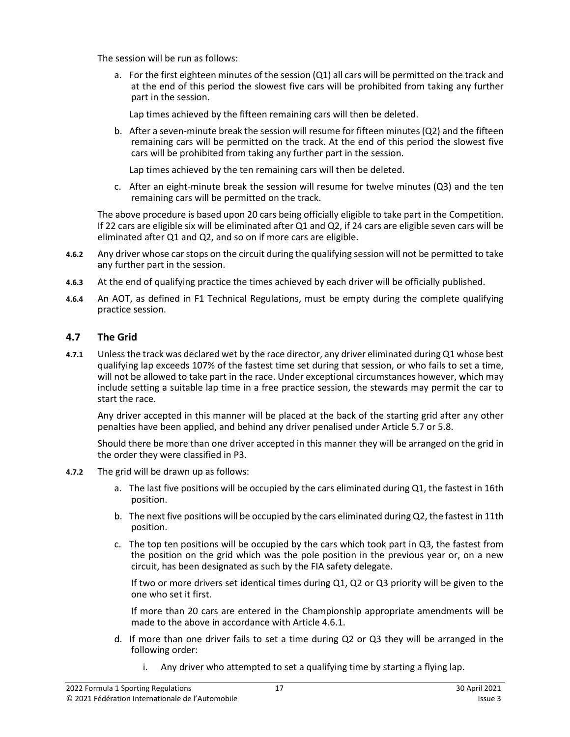The session will be run as follows:

a. For the first eighteen minutes of the session (Q1) all cars will be permitted on the track and at the end of this period the slowest five cars will be prohibited from taking any further part in the session.

Lap times achieved by the fifteen remaining cars will then be deleted.

b. After a seven-minute break the session will resume for fifteen minutes (Q2) and the fifteen remaining cars will be permitted on the track. At the end of this period the slowest five cars will be prohibited from taking any further part in the session.

Lap times achieved by the ten remaining cars will then be deleted.

c. After an eight-minute break the session will resume for twelve minutes (Q3) and the ten remaining cars will be permitted on the track.

The above procedure is based upon 20 cars being officially eligible to take part in the Competition. If 22 cars are eligible six will be eliminated after Q1 and Q2, if 24 cars are eligible seven cars will be eliminated after Q1 and Q2, and so on if more cars are eligible.

- **4.6.2** Any driver whose car stops on the circuit during the qualifying session will not be permitted to take any further part in the session.
- **4.6.3** At the end of qualifying practice the times achieved by each driver will be officially published.
- **4.6.4** An AOT, as defined in F1 Technical Regulations, must be empty during the complete qualifying practice session.

### **4.7 The Grid**

**4.7.1** Unless the track was declared wet by the race director, any driver eliminated during Q1 whose best qualifying lap exceeds 107% of the fastest time set during that session, or who fails to set a time, will not be allowed to take part in the race. Under exceptional circumstances however, which may include setting a suitable lap time in a free practice session, the stewards may permit the car to start the race.

Any driver accepted in this manner will be placed at the back of the starting grid after any other penalties have been applied, and behind any driver penalised under Article 5.7 or 5.8.

Should there be more than one driver accepted in this manner they will be arranged on the grid in the order they were classified in P3.

- **4.7.2** The grid will be drawn up as follows:
	- a. The last five positions will be occupied by the cars eliminated during Q1, the fastest in 16th position.
	- b. The next five positions will be occupied by the cars eliminated during Q2, the fastest in 11th position.
	- c. The top ten positions will be occupied by the cars which took part in Q3, the fastest from the position on the grid which was the pole position in the previous year or, on a new circuit, has been designated as such by the FIA safety delegate.

If two or more drivers set identical times during Q1, Q2 or Q3 priority will be given to the one who set it first.

If more than 20 cars are entered in the Championship appropriate amendments will be made to the above in accordance with Article 4.6.1.

- d. If more than one driver fails to set a time during Q2 or Q3 they will be arranged in the following order:
	- i. Any driver who attempted to set a qualifying time by starting a flying lap.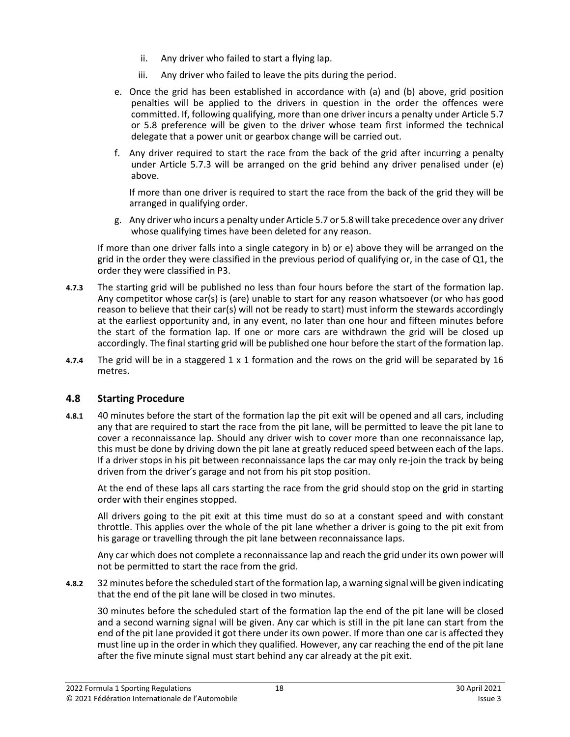- ii. Any driver who failed to start a flying lap.
- iii. Any driver who failed to leave the pits during the period.
- e. Once the grid has been established in accordance with (a) and (b) above, grid position penalties will be applied to the drivers in question in the order the offences were committed. If, following qualifying, more than one driver incurs a penalty under Article 5.7 or 5.8 preference will be given to the driver whose team first informed the technical delegate that a power unit or gearbox change will be carried out.
- f. Any driver required to start the race from the back of the grid after incurring a penalty under Article 5.7.3 will be arranged on the grid behind any driver penalised under (e) above.

If more than one driver is required to start the race from the back of the grid they will be arranged in qualifying order.

g. Any driver who incurs a penalty under Article 5.7 or 5.8 will take precedence over any driver whose qualifying times have been deleted for any reason.

If more than one driver falls into a single category in b) or e) above they will be arranged on the grid in the order they were classified in the previous period of qualifying or, in the case of Q1, the order they were classified in P3.

- **4.7.3** The starting grid will be published no less than four hours before the start of the formation lap. Any competitor whose car(s) is (are) unable to start for any reason whatsoever (or who has good reason to believe that their car(s) will not be ready to start) must inform the stewards accordingly at the earliest opportunity and, in any event, no later than one hour and fifteen minutes before the start of the formation lap. If one or more cars are withdrawn the grid will be closed up accordingly. The final starting grid will be published one hour before the start of the formation lap.
- **4.7.4** The grid will be in a staggered 1 x 1 formation and the rows on the grid will be separated by 16 metres.

#### **4.8 Starting Procedure**

**4.8.1** 40 minutes before the start of the formation lap the pit exit will be opened and all cars, including any that are required to start the race from the pit lane, will be permitted to leave the pit lane to cover a reconnaissance lap. Should any driver wish to cover more than one reconnaissance lap, this must be done by driving down the pit lane at greatly reduced speed between each of the laps. If a driver stops in his pit between reconnaissance laps the car may only re-join the track by being driven from the driver's garage and not from his pit stop position.

At the end of these laps all cars starting the race from the grid should stop on the grid in starting order with their engines stopped.

All drivers going to the pit exit at this time must do so at a constant speed and with constant throttle. This applies over the whole of the pit lane whether a driver is going to the pit exit from his garage or travelling through the pit lane between reconnaissance laps.

Any car which does not complete a reconnaissance lap and reach the grid under its own power will not be permitted to start the race from the grid.

**4.8.2** 32 minutes before the scheduled start of the formation lap, a warning signal will be given indicating that the end of the pit lane will be closed in two minutes.

30 minutes before the scheduled start of the formation lap the end of the pit lane will be closed and a second warning signal will be given. Any car which is still in the pit lane can start from the end of the pit lane provided it got there under its own power. If more than one car is affected they must line up in the order in which they qualified. However, any car reaching the end of the pit lane after the five minute signal must start behind any car already at the pit exit.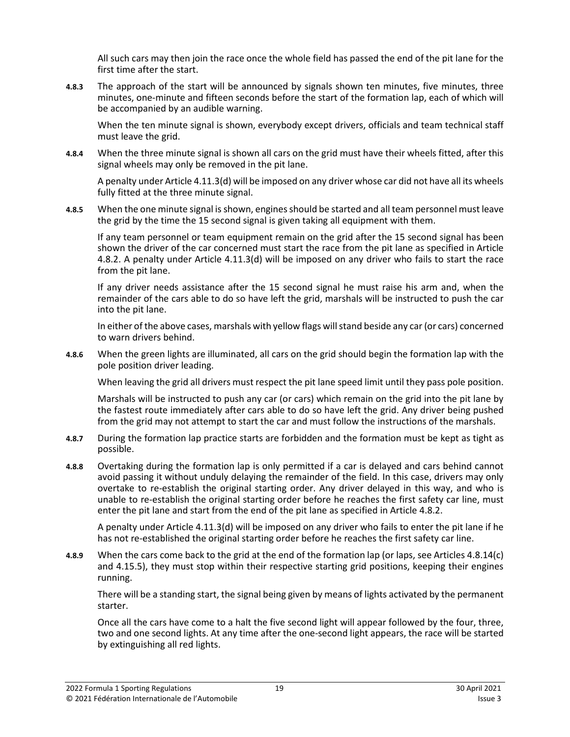All such cars may then join the race once the whole field has passed the end of the pit lane for the first time after the start.

**4.8.3** The approach of the start will be announced by signals shown ten minutes, five minutes, three minutes, one-minute and fifteen seconds before the start of the formation lap, each of which will be accompanied by an audible warning.

When the ten minute signal is shown, everybody except drivers, officials and team technical staff must leave the grid.

**4.8.4** When the three minute signal is shown all cars on the grid must have their wheels fitted, after this signal wheels may only be removed in the pit lane.

A penalty under Article 4.11.3(d) will be imposed on any driver whose car did not have all its wheels fully fitted at the three minute signal.

**4.8.5** When the one minute signal is shown, engines should be started and all team personnel must leave the grid by the time the 15 second signal is given taking all equipment with them.

If any team personnel or team equipment remain on the grid after the 15 second signal has been shown the driver of the car concerned must start the race from the pit lane as specified in Article 4.8.2. A penalty under Article 4.11.3(d) will be imposed on any driver who fails to start the race from the pit lane.

If any driver needs assistance after the 15 second signal he must raise his arm and, when the remainder of the cars able to do so have left the grid, marshals will be instructed to push the car into the pit lane.

In either of the above cases, marshals with yellow flags will stand beside any car (or cars) concerned to warn drivers behind.

**4.8.6** When the green lights are illuminated, all cars on the grid should begin the formation lap with the pole position driver leading.

When leaving the grid all drivers must respect the pit lane speed limit until they pass pole position.

Marshals will be instructed to push any car (or cars) which remain on the grid into the pit lane by the fastest route immediately after cars able to do so have left the grid. Any driver being pushed from the grid may not attempt to start the car and must follow the instructions of the marshals.

- **4.8.7** During the formation lap practice starts are forbidden and the formation must be kept as tight as possible.
- **4.8.8** Overtaking during the formation lap is only permitted if a car is delayed and cars behind cannot avoid passing it without unduly delaying the remainder of the field. In this case, drivers may only overtake to re-establish the original starting order. Any driver delayed in this way, and who is unable to re-establish the original starting order before he reaches the first safety car line, must enter the pit lane and start from the end of the pit lane as specified in Article 4.8.2.

A penalty under Article 4.11.3(d) will be imposed on any driver who fails to enter the pit lane if he has not re-established the original starting order before he reaches the first safety car line.

**4.8.9** When the cars come back to the grid at the end of the formation lap (or laps, see Articles 4.8.14(c) and 4.15.5), they must stop within their respective starting grid positions, keeping their engines running.

There will be a standing start, the signal being given by means of lights activated by the permanent starter.

Once all the cars have come to a halt the five second light will appear followed by the four, three, two and one second lights. At any time after the one-second light appears, the race will be started by extinguishing all red lights.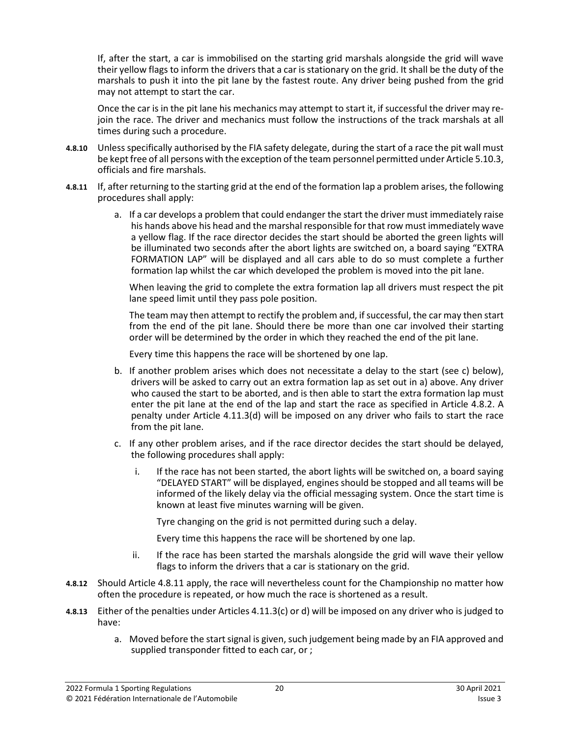If, after the start, a car is immobilised on the starting grid marshals alongside the grid will wave their yellow flags to inform the drivers that a car is stationary on the grid. It shall be the duty of the marshals to push it into the pit lane by the fastest route. Any driver being pushed from the grid may not attempt to start the car.

Once the car is in the pit lane his mechanics may attempt to start it, if successful the driver may rejoin the race. The driver and mechanics must follow the instructions of the track marshals at all times during such a procedure.

- **4.8.10** Unless specifically authorised by the FIA safety delegate, during the start of a race the pit wall must be kept free of all persons with the exception of the team personnel permitted under Article 5.10.3, officials and fire marshals.
- **4.8.11** If, after returning to the starting grid at the end of the formation lap a problem arises, the following procedures shall apply:
	- a. If a car develops a problem that could endanger the start the driver must immediately raise his hands above his head and the marshal responsible for that row must immediately wave a yellow flag. If the race director decides the start should be aborted the green lights will be illuminated two seconds after the abort lights are switched on, a board saying "EXTRA FORMATION LAP" will be displayed and all cars able to do so must complete a further formation lap whilst the car which developed the problem is moved into the pit lane.

When leaving the grid to complete the extra formation lap all drivers must respect the pit lane speed limit until they pass pole position.

The team may then attempt to rectify the problem and, if successful, the car may then start from the end of the pit lane. Should there be more than one car involved their starting order will be determined by the order in which they reached the end of the pit lane.

Every time this happens the race will be shortened by one lap.

- b. If another problem arises which does not necessitate a delay to the start (see c) below), drivers will be asked to carry out an extra formation lap as set out in a) above. Any driver who caused the start to be aborted, and is then able to start the extra formation lap must enter the pit lane at the end of the lap and start the race as specified in Article 4.8.2. A penalty under Article 4.11.3(d) will be imposed on any driver who fails to start the race from the pit lane.
- c. If any other problem arises, and if the race director decides the start should be delayed, the following procedures shall apply:
	- i. If the race has not been started, the abort lights will be switched on, a board saying "DELAYED START" will be displayed, engines should be stopped and all teams will be informed of the likely delay via the official messaging system. Once the start time is known at least five minutes warning will be given.

Tyre changing on the grid is not permitted during such a delay.

Every time this happens the race will be shortened by one lap.

- ii. If the race has been started the marshals alongside the grid will wave their yellow flags to inform the drivers that a car is stationary on the grid.
- **4.8.12** Should Article 4.8.11 apply, the race will nevertheless count for the Championship no matter how often the procedure is repeated, or how much the race is shortened as a result.
- **4.8.13** Either of the penalties under Articles 4.11.3(c) or d) will be imposed on any driver who is judged to have:
	- a. Moved before the start signal is given, such judgement being made by an FIA approved and supplied transponder fitted to each car, or ;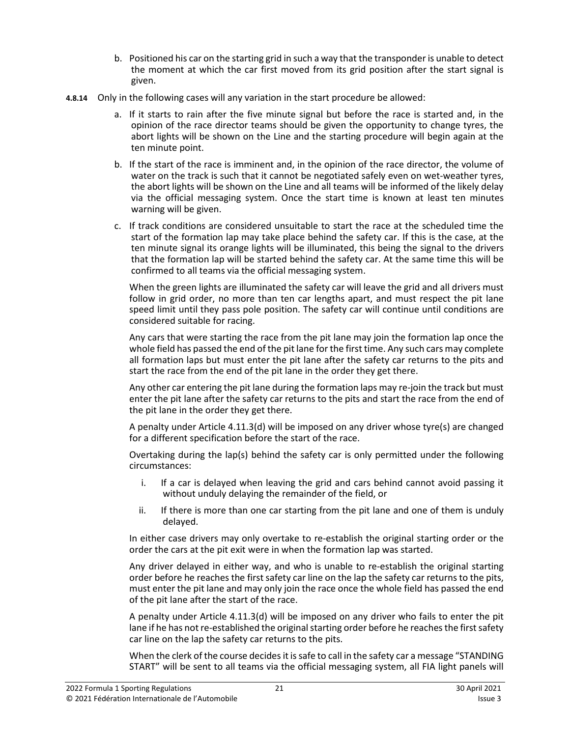- b. Positioned his car on the starting grid in such a way that the transponder is unable to detect the moment at which the car first moved from its grid position after the start signal is given.
- **4.8.14** Only in the following cases will any variation in the start procedure be allowed:
	- a. If it starts to rain after the five minute signal but before the race is started and, in the opinion of the race director teams should be given the opportunity to change tyres, the abort lights will be shown on the Line and the starting procedure will begin again at the ten minute point.
	- b. If the start of the race is imminent and, in the opinion of the race director, the volume of water on the track is such that it cannot be negotiated safely even on wet-weather tyres, the abort lights will be shown on the Line and all teams will be informed of the likely delay via the official messaging system. Once the start time is known at least ten minutes warning will be given.
	- c. If track conditions are considered unsuitable to start the race at the scheduled time the start of the formation lap may take place behind the safety car. If this is the case, at the ten minute signal its orange lights will be illuminated, this being the signal to the drivers that the formation lap will be started behind the safety car. At the same time this will be confirmed to all teams via the official messaging system.

When the green lights are illuminated the safety car will leave the grid and all drivers must follow in grid order, no more than ten car lengths apart, and must respect the pit lane speed limit until they pass pole position. The safety car will continue until conditions are considered suitable for racing.

Any cars that were starting the race from the pit lane may join the formation lap once the whole field has passed the end of the pit lane for the first time. Any such cars may complete all formation laps but must enter the pit lane after the safety car returns to the pits and start the race from the end of the pit lane in the order they get there.

Any other car entering the pit lane during the formation laps may re-join the track but must enter the pit lane after the safety car returns to the pits and start the race from the end of the pit lane in the order they get there.

A penalty under Article 4.11.3(d) will be imposed on any driver whose tyre(s) are changed for a different specification before the start of the race.

Overtaking during the lap(s) behind the safety car is only permitted under the following circumstances:

- i. If a car is delayed when leaving the grid and cars behind cannot avoid passing it without unduly delaying the remainder of the field, or
- ii. If there is more than one car starting from the pit lane and one of them is unduly delayed.

In either case drivers may only overtake to re-establish the original starting order or the order the cars at the pit exit were in when the formation lap was started.

Any driver delayed in either way, and who is unable to re-establish the original starting order before he reaches the first safety car line on the lap the safety car returns to the pits, must enter the pit lane and may only join the race once the whole field has passed the end of the pit lane after the start of the race.

A penalty under Article 4.11.3(d) will be imposed on any driver who fails to enter the pit lane if he has not re-established the original starting order before he reaches the first safety car line on the lap the safety car returns to the pits.

When the clerk of the course decides it is safe to call in the safety car a message "STANDING START" will be sent to all teams via the official messaging system, all FIA light panels will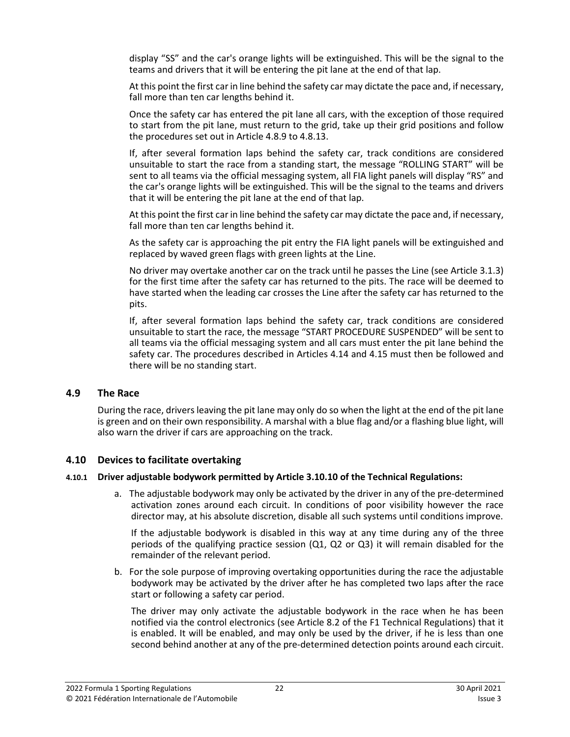display "SS" and the car's orange lights will be extinguished. This will be the signal to the teams and drivers that it will be entering the pit lane at the end of that lap.

At this point the first car in line behind the safety car may dictate the pace and, if necessary, fall more than ten car lengths behind it.

Once the safety car has entered the pit lane all cars, with the exception of those required to start from the pit lane, must return to the grid, take up their grid positions and follow the procedures set out in Article 4.8.9 to 4.8.13.

If, after several formation laps behind the safety car, track conditions are considered unsuitable to start the race from a standing start, the message "ROLLING START" will be sent to all teams via the official messaging system, all FIA light panels will display "RS" and the car's orange lights will be extinguished. This will be the signal to the teams and drivers that it will be entering the pit lane at the end of that lap.

At this point the first car in line behind the safety car may dictate the pace and, if necessary, fall more than ten car lengths behind it.

As the safety car is approaching the pit entry the FIA light panels will be extinguished and replaced by waved green flags with green lights at the Line.

No driver may overtake another car on the track until he passes the Line (see Article 3.1.3) for the first time after the safety car has returned to the pits. The race will be deemed to have started when the leading car crosses the Line after the safety car has returned to the pits.

If, after several formation laps behind the safety car, track conditions are considered unsuitable to start the race, the message "START PROCEDURE SUSPENDED" will be sent to all teams via the official messaging system and all cars must enter the pit lane behind the safety car. The procedures described in Articles 4.14 and 4.15 must then be followed and there will be no standing start.

#### **4.9 The Race**

During the race, drivers leaving the pit lane may only do so when the light at the end of the pit lane is green and on their own responsibility. A marshal with a blue flag and/or a flashing blue light, will also warn the driver if cars are approaching on the track.

#### **4.10 Devices to facilitate overtaking**

#### **4.10.1 Driver adjustable bodywork permitted by Article 3.10.10 of the Technical Regulations:**

a. The adjustable bodywork may only be activated by the driver in any of the pre-determined activation zones around each circuit. In conditions of poor visibility however the race director may, at his absolute discretion, disable all such systems until conditions improve.

If the adjustable bodywork is disabled in this way at any time during any of the three periods of the qualifying practice session (Q1, Q2 or Q3) it will remain disabled for the remainder of the relevant period.

b. For the sole purpose of improving overtaking opportunities during the race the adjustable bodywork may be activated by the driver after he has completed two laps after the race start or following a safety car period.

The driver may only activate the adjustable bodywork in the race when he has been notified via the control electronics (see Article 8.2 of the F1 Technical Regulations) that it is enabled. It will be enabled, and may only be used by the driver, if he is less than one second behind another at any of the pre-determined detection points around each circuit.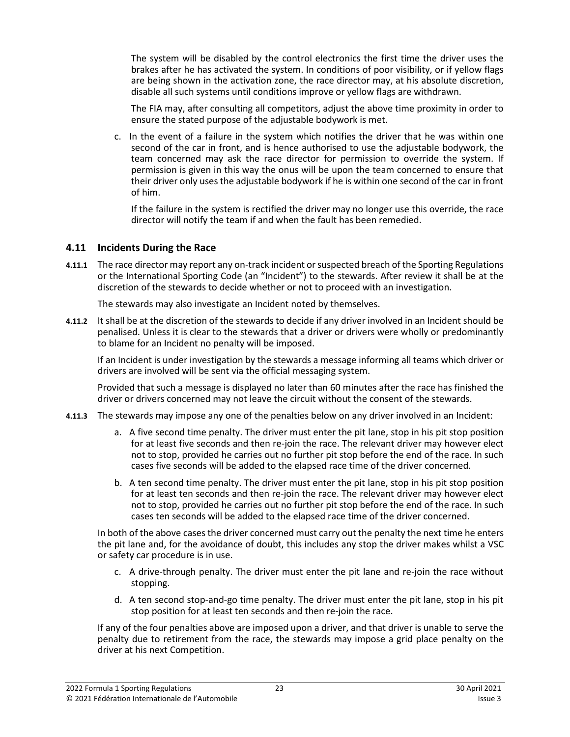The system will be disabled by the control electronics the first time the driver uses the brakes after he has activated the system. In conditions of poor visibility, or if yellow flags are being shown in the activation zone, the race director may, at his absolute discretion, disable all such systems until conditions improve or yellow flags are withdrawn.

The FIA may, after consulting all competitors, adjust the above time proximity in order to ensure the stated purpose of the adjustable bodywork is met.

c. In the event of a failure in the system which notifies the driver that he was within one second of the car in front, and is hence authorised to use the adjustable bodywork, the team concerned may ask the race director for permission to override the system. If permission is given in this way the onus will be upon the team concerned to ensure that their driver only uses the adjustable bodywork if he is within one second of the car in front of him.

If the failure in the system is rectified the driver may no longer use this override, the race director will notify the team if and when the fault has been remedied.

#### **4.11 Incidents During the Race**

**4.11.1** The race director may report any on-track incident or suspected breach of the Sporting Regulations or the International Sporting Code (an "Incident") to the stewards. After review it shall be at the discretion of the stewards to decide whether or not to proceed with an investigation.

The stewards may also investigate an Incident noted by themselves.

**4.11.2** It shall be at the discretion of the stewards to decide if any driver involved in an Incident should be penalised. Unless it is clear to the stewards that a driver or drivers were wholly or predominantly to blame for an Incident no penalty will be imposed.

If an Incident is under investigation by the stewards a message informing all teams which driver or drivers are involved will be sent via the official messaging system.

Provided that such a message is displayed no later than 60 minutes after the race has finished the driver or drivers concerned may not leave the circuit without the consent of the stewards.

- **4.11.3** The stewards may impose any one of the penalties below on any driver involved in an Incident:
	- a. A five second time penalty. The driver must enter the pit lane, stop in his pit stop position for at least five seconds and then re-join the race. The relevant driver may however elect not to stop, provided he carries out no further pit stop before the end of the race. In such cases five seconds will be added to the elapsed race time of the driver concerned.
	- b. A ten second time penalty. The driver must enter the pit lane, stop in his pit stop position for at least ten seconds and then re-join the race. The relevant driver may however elect not to stop, provided he carries out no further pit stop before the end of the race. In such cases ten seconds will be added to the elapsed race time of the driver concerned.

In both of the above cases the driver concerned must carry out the penalty the next time he enters the pit lane and, for the avoidance of doubt, this includes any stop the driver makes whilst a VSC or safety car procedure is in use.

- c. A drive-through penalty. The driver must enter the pit lane and re-join the race without stopping.
- d. A ten second stop-and-go time penalty. The driver must enter the pit lane, stop in his pit stop position for at least ten seconds and then re-join the race.

If any of the four penalties above are imposed upon a driver, and that driver is unable to serve the penalty due to retirement from the race, the stewards may impose a grid place penalty on the driver at his next Competition.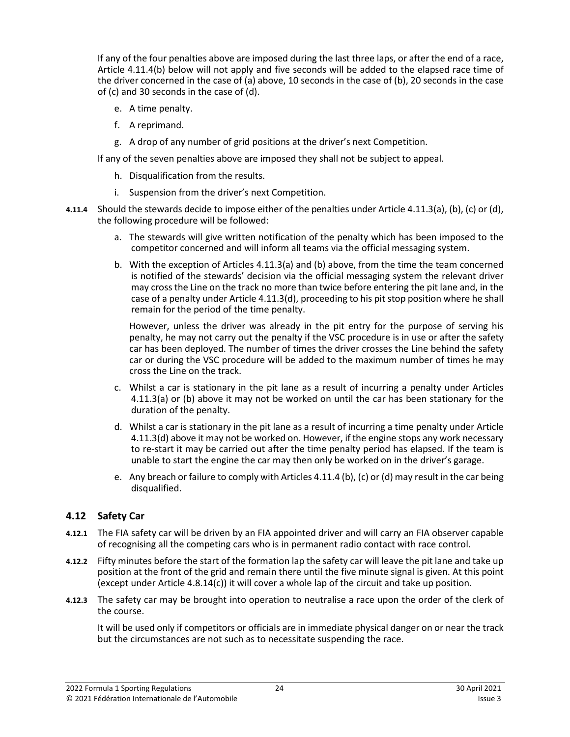If any of the four penalties above are imposed during the last three laps, or after the end of a race, Article 4.11.4(b) below will not apply and five seconds will be added to the elapsed race time of the driver concerned in the case of (a) above, 10 seconds in the case of (b), 20 seconds in the case of (c) and 30 seconds in the case of (d).

- e. A time penalty.
- f. A reprimand.
- g. A drop of any number of grid positions at the driver's next Competition.

If any of the seven penalties above are imposed they shall not be subject to appeal.

- h. Disqualification from the results.
- i. Suspension from the driver's next Competition.
- **4.11.4** Should the stewards decide to impose either of the penalties under Article 4.11.3(a), (b), (c) or (d), the following procedure will be followed:
	- a. The stewards will give written notification of the penalty which has been imposed to the competitor concerned and will inform all teams via the official messaging system.
	- b. With the exception of Articles 4.11.3(a) and (b) above, from the time the team concerned is notified of the stewards' decision via the official messaging system the relevant driver may cross the Line on the track no more than twice before entering the pit lane and, in the case of a penalty under Article 4.11.3(d), proceeding to his pit stop position where he shall remain for the period of the time penalty.

However, unless the driver was already in the pit entry for the purpose of serving his penalty, he may not carry out the penalty if the VSC procedure is in use or after the safety car has been deployed. The number of times the driver crosses the Line behind the safety car or during the VSC procedure will be added to the maximum number of times he may cross the Line on the track.

- c. Whilst a car is stationary in the pit lane as a result of incurring a penalty under Articles 4.11.3(a) or (b) above it may not be worked on until the car has been stationary for the duration of the penalty.
- d. Whilst a car is stationary in the pit lane as a result of incurring a time penalty under Article 4.11.3(d) above it may not be worked on. However, if the engine stops any work necessary to re-start it may be carried out after the time penalty period has elapsed. If the team is unable to start the engine the car may then only be worked on in the driver's garage.
- e. Any breach or failure to comply with Articles 4.11.4 (b), (c) or (d) may result in the car being disqualified.

#### **4.12 Safety Car**

- **4.12.1** The FIA safety car will be driven by an FIA appointed driver and will carry an FIA observer capable of recognising all the competing cars who is in permanent radio contact with race control.
- **4.12.2** Fifty minutes before the start of the formation lap the safety car will leave the pit lane and take up position at the front of the grid and remain there until the five minute signal is given. At this point (except under Article 4.8.14(c)) it will cover a whole lap of the circuit and take up position.
- **4.12.3** The safety car may be brought into operation to neutralise a race upon the order of the clerk of the course.

It will be used only if competitors or officials are in immediate physical danger on or near the track but the circumstances are not such as to necessitate suspending the race.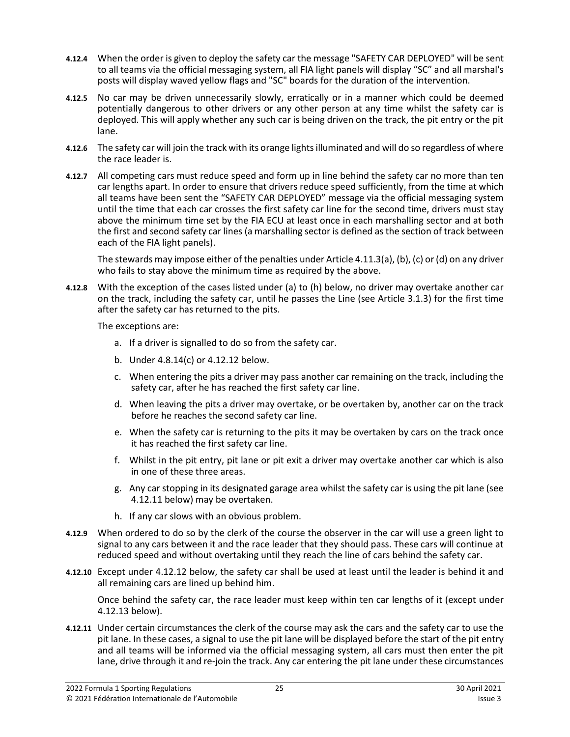- **4.12.4** When the order is given to deploy the safety car the message "SAFETY CAR DEPLOYED" will be sent to all teams via the official messaging system, all FIA light panels will display "SC" and all marshal's posts will display waved yellow flags and "SC" boards for the duration of the intervention.
- **4.12.5** No car may be driven unnecessarily slowly, erratically or in a manner which could be deemed potentially dangerous to other drivers or any other person at any time whilst the safety car is deployed. This will apply whether any such car is being driven on the track, the pit entry or the pit lane.
- **4.12.6** The safety car will join the track with its orange lights illuminated and will do so regardless of where the race leader is.
- **4.12.7** All competing cars must reduce speed and form up in line behind the safety car no more than ten car lengths apart. In order to ensure that drivers reduce speed sufficiently, from the time at which all teams have been sent the "SAFETY CAR DEPLOYED" message via the official messaging system until the time that each car crosses the first safety car line for the second time, drivers must stay above the minimum time set by the FIA ECU at least once in each marshalling sector and at both the first and second safety car lines (a marshalling sector is defined as the section of track between each of the FIA light panels).

The stewards may impose either of the penalties under Article 4.11.3(a), (b), (c) or (d) on any driver who fails to stay above the minimum time as required by the above.

**4.12.8** With the exception of the cases listed under (a) to (h) below, no driver may overtake another car on the track, including the safety car, until he passes the Line (see Article 3.1.3) for the first time after the safety car has returned to the pits.

The exceptions are:

- a. If a driver is signalled to do so from the safety car.
- b. Under 4.8.14(c) or 4.12.12 below.
- c. When entering the pits a driver may pass another car remaining on the track, including the safety car, after he has reached the first safety car line.
- d. When leaving the pits a driver may overtake, or be overtaken by, another car on the track before he reaches the second safety car line.
- e. When the safety car is returning to the pits it may be overtaken by cars on the track once it has reached the first safety car line.
- f. Whilst in the pit entry, pit lane or pit exit a driver may overtake another car which is also in one of these three areas.
- g. Any car stopping in its designated garage area whilst the safety car is using the pit lane (see 4.12.11 below) may be overtaken.
- h. If any car slows with an obvious problem.
- **4.12.9** When ordered to do so by the clerk of the course the observer in the car will use a green light to signal to any cars between it and the race leader that they should pass. These cars will continue at reduced speed and without overtaking until they reach the line of cars behind the safety car.
- **4.12.10** Except under 4.12.12 below, the safety car shall be used at least until the leader is behind it and all remaining cars are lined up behind him.

Once behind the safety car, the race leader must keep within ten car lengths of it (except under 4.12.13 below).

**4.12.11** Under certain circumstances the clerk of the course may ask the cars and the safety car to use the pit lane. In these cases, a signal to use the pit lane will be displayed before the start of the pit entry and all teams will be informed via the official messaging system, all cars must then enter the pit lane, drive through it and re-join the track. Any car entering the pit lane under these circumstances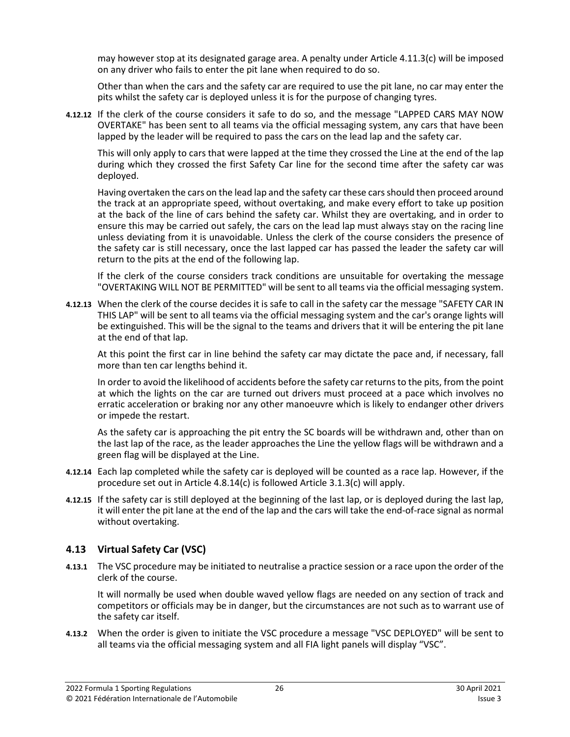may however stop at its designated garage area. A penalty under Article 4.11.3(c) will be imposed on any driver who fails to enter the pit lane when required to do so.

Other than when the cars and the safety car are required to use the pit lane, no car may enter the pits whilst the safety car is deployed unless it is for the purpose of changing tyres.

**4.12.12** If the clerk of the course considers it safe to do so, and the message "LAPPED CARS MAY NOW OVERTAKE" has been sent to all teams via the official messaging system, any cars that have been lapped by the leader will be required to pass the cars on the lead lap and the safety car.

This will only apply to cars that were lapped at the time they crossed the Line at the end of the lap during which they crossed the first Safety Car line for the second time after the safety car was deployed.

Having overtaken the cars on the lead lap and the safety car these cars should then proceed around the track at an appropriate speed, without overtaking, and make every effort to take up position at the back of the line of cars behind the safety car. Whilst they are overtaking, and in order to ensure this may be carried out safely, the cars on the lead lap must always stay on the racing line unless deviating from it is unavoidable. Unless the clerk of the course considers the presence of the safety car is still necessary, once the last lapped car has passed the leader the safety car will return to the pits at the end of the following lap.

If the clerk of the course considers track conditions are unsuitable for overtaking the message "OVERTAKING WILL NOT BE PERMITTED" will be sent to all teams via the official messaging system.

**4.12.13** When the clerk of the course decides it is safe to call in the safety car the message "SAFETY CAR IN THIS LAP" will be sent to all teams via the official messaging system and the car's orange lights will be extinguished. This will be the signal to the teams and drivers that it will be entering the pit lane at the end of that lap.

At this point the first car in line behind the safety car may dictate the pace and, if necessary, fall more than ten car lengths behind it.

In order to avoid the likelihood of accidents before the safety car returns to the pits, from the point at which the lights on the car are turned out drivers must proceed at a pace which involves no erratic acceleration or braking nor any other manoeuvre which is likely to endanger other drivers or impede the restart.

As the safety car is approaching the pit entry the SC boards will be withdrawn and, other than on the last lap of the race, as the leader approaches the Line the yellow flags will be withdrawn and a green flag will be displayed at the Line.

- **4.12.14** Each lap completed while the safety car is deployed will be counted as a race lap. However, if the procedure set out in Article 4.8.14(c) is followed Article 3.1.3(c) will apply.
- **4.12.15** If the safety car is still deployed at the beginning of the last lap, or is deployed during the last lap, it will enter the pit lane at the end of the lap and the cars will take the end-of-race signal as normal without overtaking.

# **4.13 Virtual Safety Car (VSC)**

**4.13.1** The VSC procedure may be initiated to neutralise a practice session or a race upon the order of the clerk of the course.

It will normally be used when double waved yellow flags are needed on any section of track and competitors or officials may be in danger, but the circumstances are not such as to warrant use of the safety car itself.

**4.13.2** When the order is given to initiate the VSC procedure a message "VSC DEPLOYED" will be sent to all teams via the official messaging system and all FIA light panels will display "VSC".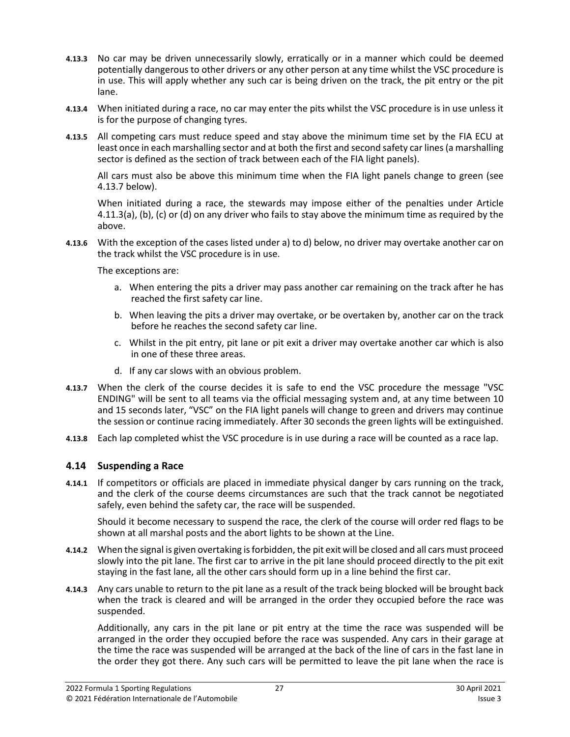- **4.13.3** No car may be driven unnecessarily slowly, erratically or in a manner which could be deemed potentially dangerous to other drivers or any other person at any time whilst the VSC procedure is in use. This will apply whether any such car is being driven on the track, the pit entry or the pit lane.
- **4.13.4** When initiated during a race, no car may enter the pits whilst the VSC procedure is in use unless it is for the purpose of changing tyres.
- **4.13.5** All competing cars must reduce speed and stay above the minimum time set by the FIA ECU at least once in each marshalling sector and at both the first and second safety car lines (a marshalling sector is defined as the section of track between each of the FIA light panels).

All cars must also be above this minimum time when the FIA light panels change to green (see 4.13.7 below).

When initiated during a race, the stewards may impose either of the penalties under Article 4.11.3(a), (b), (c) or (d) on any driver who fails to stay above the minimum time as required by the above.

**4.13.6** With the exception of the cases listed under a) to d) below, no driver may overtake another car on the track whilst the VSC procedure is in use.

The exceptions are:

- a. When entering the pits a driver may pass another car remaining on the track after he has reached the first safety car line.
- b. When leaving the pits a driver may overtake, or be overtaken by, another car on the track before he reaches the second safety car line.
- c. Whilst in the pit entry, pit lane or pit exit a driver may overtake another car which is also in one of these three areas.
- d. If any car slows with an obvious problem.
- **4.13.7** When the clerk of the course decides it is safe to end the VSC procedure the message "VSC ENDING" will be sent to all teams via the official messaging system and, at any time between 10 and 15 seconds later, "VSC" on the FIA light panels will change to green and drivers may continue the session or continue racing immediately. After 30 seconds the green lights will be extinguished.
- **4.13.8** Each lap completed whist the VSC procedure is in use during a race will be counted as a race lap.

#### **4.14 Suspending a Race**

**4.14.1** If competitors or officials are placed in immediate physical danger by cars running on the track, and the clerk of the course deems circumstances are such that the track cannot be negotiated safely, even behind the safety car, the race will be suspended.

Should it become necessary to suspend the race, the clerk of the course will order red flags to be shown at all marshal posts and the abort lights to be shown at the Line.

- **4.14.2** When the signal is given overtaking is forbidden, the pit exit will be closed and all cars must proceed slowly into the pit lane. The first car to arrive in the pit lane should proceed directly to the pit exit staying in the fast lane, all the other cars should form up in a line behind the first car.
- **4.14.3** Any cars unable to return to the pit lane as a result of the track being blocked will be brought back when the track is cleared and will be arranged in the order they occupied before the race was suspended.

Additionally, any cars in the pit lane or pit entry at the time the race was suspended will be arranged in the order they occupied before the race was suspended. Any cars in their garage at the time the race was suspended will be arranged at the back of the line of cars in the fast lane in the order they got there. Any such cars will be permitted to leave the pit lane when the race is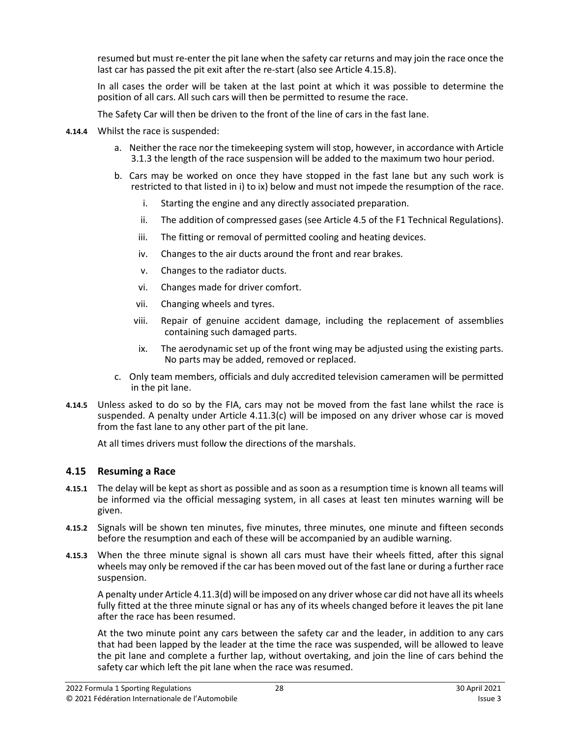resumed but must re-enter the pit lane when the safety car returns and may join the race once the last car has passed the pit exit after the re-start (also see Article 4.15.8).

In all cases the order will be taken at the last point at which it was possible to determine the position of all cars. All such cars will then be permitted to resume the race.

The Safety Car will then be driven to the front of the line of cars in the fast lane.

- **4.14.4** Whilst the race is suspended:
	- a. Neither the race nor the timekeeping system will stop, however, in accordance with Article 3.1.3 the length of the race suspension will be added to the maximum two hour period.
	- b. Cars may be worked on once they have stopped in the fast lane but any such work is restricted to that listed in i) to ix) below and must not impede the resumption of the race.
		- i. Starting the engine and any directly associated preparation.
		- ii. The addition of compressed gases (see Article 4.5 of the F1 Technical Regulations).
		- iii. The fitting or removal of permitted cooling and heating devices.
		- iv. Changes to the air ducts around the front and rear brakes.
		- v. Changes to the radiator ducts.
		- vi. Changes made for driver comfort.
		- vii. Changing wheels and tyres.
		- viii. Repair of genuine accident damage, including the replacement of assemblies containing such damaged parts.
		- ix. The aerodynamic set up of the front wing may be adjusted using the existing parts. No parts may be added, removed or replaced.
	- c. Only team members, officials and duly accredited television cameramen will be permitted in the pit lane.
- **4.14.5** Unless asked to do so by the FIA, cars may not be moved from the fast lane whilst the race is suspended. A penalty under Article 4.11.3(c) will be imposed on any driver whose car is moved from the fast lane to any other part of the pit lane.

At all times drivers must follow the directions of the marshals.

#### **4.15 Resuming a Race**

- **4.15.1** The delay will be kept as short as possible and as soon as a resumption time is known all teams will be informed via the official messaging system, in all cases at least ten minutes warning will be given.
- **4.15.2** Signals will be shown ten minutes, five minutes, three minutes, one minute and fifteen seconds before the resumption and each of these will be accompanied by an audible warning.
- **4.15.3** When the three minute signal is shown all cars must have their wheels fitted, after this signal wheels may only be removed if the car has been moved out of the fast lane or during a further race suspension.

A penalty under Article 4.11.3(d) will be imposed on any driver whose car did not have all its wheels fully fitted at the three minute signal or has any of its wheels changed before it leaves the pit lane after the race has been resumed.

At the two minute point any cars between the safety car and the leader, in addition to any cars that had been lapped by the leader at the time the race was suspended, will be allowed to leave the pit lane and complete a further lap, without overtaking, and join the line of cars behind the safety car which left the pit lane when the race was resumed.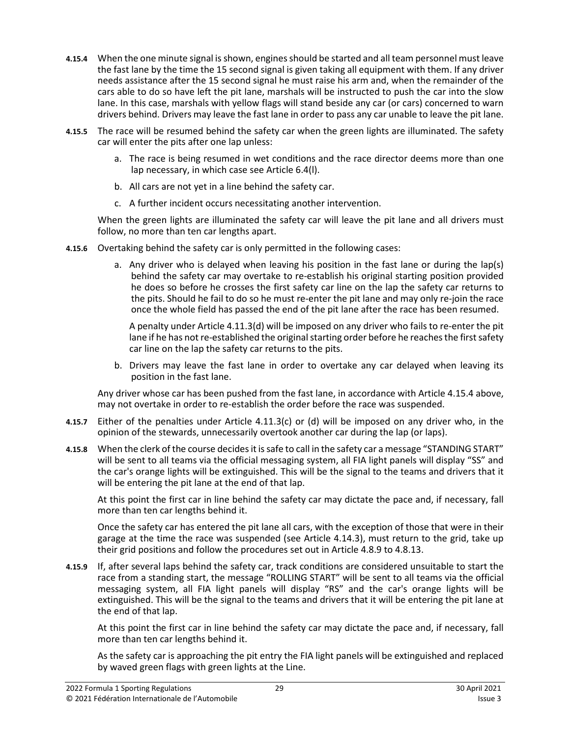- **4.15.4** When the one minute signal is shown, engines should be started and all team personnel must leave the fast lane by the time the 15 second signal is given taking all equipment with them. If any driver needs assistance after the 15 second signal he must raise his arm and, when the remainder of the cars able to do so have left the pit lane, marshals will be instructed to push the car into the slow lane. In this case, marshals with yellow flags will stand beside any car (or cars) concerned to warn drivers behind. Drivers may leave the fast lane in order to pass any car unable to leave the pit lane.
- **4.15.5** The race will be resumed behind the safety car when the green lights are illuminated. The safety car will enter the pits after one lap unless:
	- a. The race is being resumed in wet conditions and the race director deems more than one lap necessary, in which case see Article 6.4(l).
	- b. All cars are not yet in a line behind the safety car.
	- c. A further incident occurs necessitating another intervention.

When the green lights are illuminated the safety car will leave the pit lane and all drivers must follow, no more than ten car lengths apart.

- **4.15.6** Overtaking behind the safety car is only permitted in the following cases:
	- a. Any driver who is delayed when leaving his position in the fast lane or during the lap(s) behind the safety car may overtake to re-establish his original starting position provided he does so before he crosses the first safety car line on the lap the safety car returns to the pits. Should he fail to do so he must re-enter the pit lane and may only re-join the race once the whole field has passed the end of the pit lane after the race has been resumed.

A penalty under Article 4.11.3(d) will be imposed on any driver who fails to re-enter the pit lane if he has not re-established the original starting order before he reaches the first safety car line on the lap the safety car returns to the pits.

b. Drivers may leave the fast lane in order to overtake any car delayed when leaving its position in the fast lane.

Any driver whose car has been pushed from the fast lane, in accordance with Article 4.15.4 above, may not overtake in order to re-establish the order before the race was suspended.

- **4.15.7** Either of the penalties under Article 4.11.3(c) or (d) will be imposed on any driver who, in the opinion of the stewards, unnecessarily overtook another car during the lap (or laps).
- **4.15.8** When the clerk of the course decides it is safe to call in the safety car a message "STANDING START" will be sent to all teams via the official messaging system, all FIA light panels will display "SS" and the car's orange lights will be extinguished. This will be the signal to the teams and drivers that it will be entering the pit lane at the end of that lap.

At this point the first car in line behind the safety car may dictate the pace and, if necessary, fall more than ten car lengths behind it.

Once the safety car has entered the pit lane all cars, with the exception of those that were in their garage at the time the race was suspended (see Article 4.14.3), must return to the grid, take up their grid positions and follow the procedures set out in Article 4.8.9 to 4.8.13.

**4.15.9** If, after several laps behind the safety car, track conditions are considered unsuitable to start the race from a standing start, the message "ROLLING START" will be sent to all teams via the official messaging system, all FIA light panels will display "RS" and the car's orange lights will be extinguished. This will be the signal to the teams and drivers that it will be entering the pit lane at the end of that lap.

At this point the first car in line behind the safety car may dictate the pace and, if necessary, fall more than ten car lengths behind it.

As the safety car is approaching the pit entry the FIA light panels will be extinguished and replaced by waved green flags with green lights at the Line.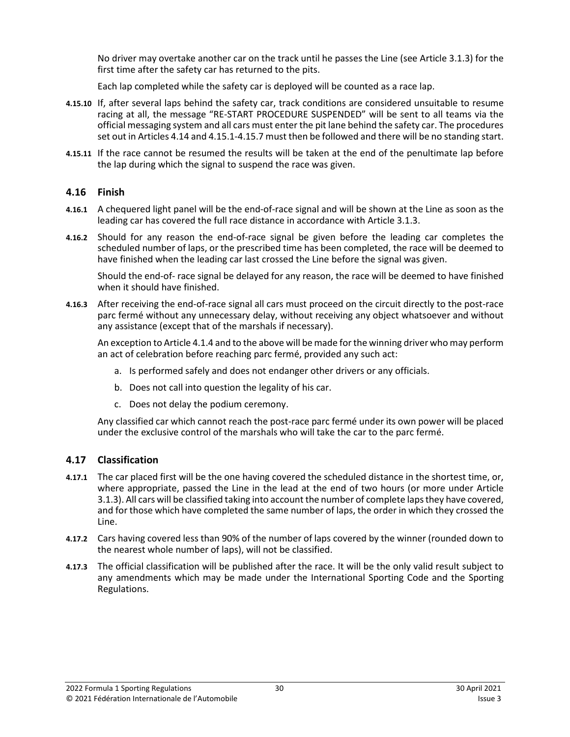No driver may overtake another car on the track until he passes the Line (see Article 3.1.3) for the first time after the safety car has returned to the pits.

Each lap completed while the safety car is deployed will be counted as a race lap.

- **4.15.10** If, after several laps behind the safety car, track conditions are considered unsuitable to resume racing at all, the message "RE-START PROCEDURE SUSPENDED" will be sent to all teams via the official messaging system and all cars must enter the pit lane behind the safety car. The procedures set out in Articles 4.14 and 4.15.1-4.15.7 must then be followed and there will be no standing start.
- **4.15.11** If the race cannot be resumed the results will be taken at the end of the penultimate lap before the lap during which the signal to suspend the race was given.

#### **4.16 Finish**

- **4.16.1** A chequered light panel will be the end-of-race signal and will be shown at the Line as soon as the leading car has covered the full race distance in accordance with Article 3.1.3.
- **4.16.2** Should for any reason the end-of-race signal be given before the leading car completes the scheduled number of laps, or the prescribed time has been completed, the race will be deemed to have finished when the leading car last crossed the Line before the signal was given.

Should the end-of- race signal be delayed for any reason, the race will be deemed to have finished when it should have finished.

**4.16.3** After receiving the end-of-race signal all cars must proceed on the circuit directly to the post-race parc fermé without any unnecessary delay, without receiving any object whatsoever and without any assistance (except that of the marshals if necessary).

An exception to Article 4.1.4 and to the above will be made for the winning driver who may perform an act of celebration before reaching parc fermé, provided any such act:

- a. Is performed safely and does not endanger other drivers or any officials.
- b. Does not call into question the legality of his car.
- c. Does not delay the podium ceremony.

Any classified car which cannot reach the post-race parc fermé under its own power will be placed under the exclusive control of the marshals who will take the car to the parc fermé.

#### **4.17 Classification**

- **4.17.1** The car placed first will be the one having covered the scheduled distance in the shortest time, or, where appropriate, passed the Line in the lead at the end of two hours (or more under Article 3.1.3). All cars will be classified taking into account the number of complete laps they have covered, and for those which have completed the same number of laps, the order in which they crossed the Line.
- **4.17.2** Cars having covered less than 90% of the number of laps covered by the winner (rounded down to the nearest whole number of laps), will not be classified.
- **4.17.3** The official classification will be published after the race. It will be the only valid result subject to any amendments which may be made under the International Sporting Code and the Sporting Regulations.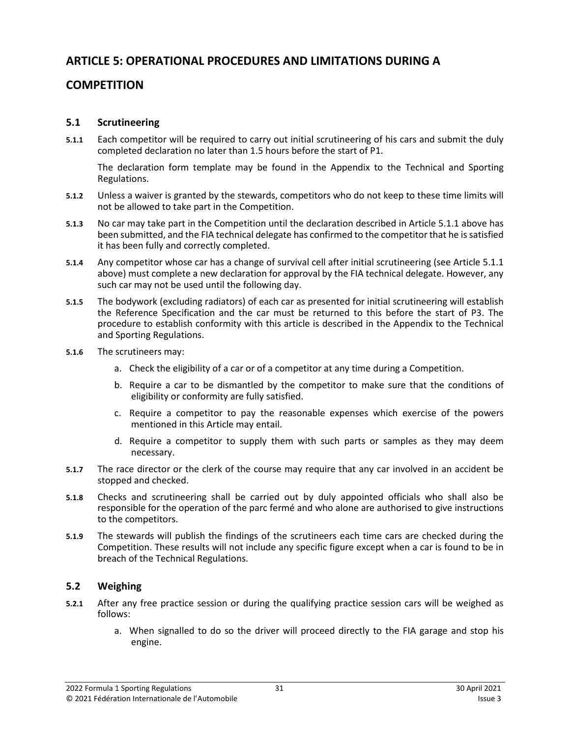# **ARTICLE 5: OPERATIONAL PROCEDURES AND LIMITATIONS DURING A**

# **COMPETITION**

# **5.1 Scrutineering**

**5.1.1** Each competitor will be required to carry out initial scrutineering of his cars and submit the duly completed declaration no later than 1.5 hours before the start of P1.

The declaration form template may be found in the Appendix to the Technical and Sporting Regulations.

- **5.1.2** Unless a waiver is granted by the stewards, competitors who do not keep to these time limits will not be allowed to take part in the Competition.
- **5.1.3** No car may take part in the Competition until the declaration described in Article 5.1.1 above has been submitted, and the FIA technical delegate has confirmed to the competitor that he is satisfied it has been fully and correctly completed.
- **5.1.4** Any competitor whose car has a change of survival cell after initial scrutineering (see Article 5.1.1 above) must complete a new declaration for approval by the FIA technical delegate. However, any such car may not be used until the following day.
- **5.1.5** The bodywork (excluding radiators) of each car as presented for initial scrutineering will establish the Reference Specification and the car must be returned to this before the start of P3. The procedure to establish conformity with this article is described in the Appendix to the Technical and Sporting Regulations.
- **5.1.6** The scrutineers may:
	- a. Check the eligibility of a car or of a competitor at any time during a Competition.
	- b. Require a car to be dismantled by the competitor to make sure that the conditions of eligibility or conformity are fully satisfied.
	- c. Require a competitor to pay the reasonable expenses which exercise of the powers mentioned in this Article may entail.
	- d. Require a competitor to supply them with such parts or samples as they may deem necessary.
- **5.1.7** The race director or the clerk of the course may require that any car involved in an accident be stopped and checked.
- **5.1.8** Checks and scrutineering shall be carried out by duly appointed officials who shall also be responsible for the operation of the parc fermé and who alone are authorised to give instructions to the competitors.
- **5.1.9** The stewards will publish the findings of the scrutineers each time cars are checked during the Competition. These results will not include any specific figure except when a car is found to be in breach of the Technical Regulations.

# **5.2 Weighing**

- **5.2.1** After any free practice session or during the qualifying practice session cars will be weighed as follows:
	- a. When signalled to do so the driver will proceed directly to the FIA garage and stop his engine.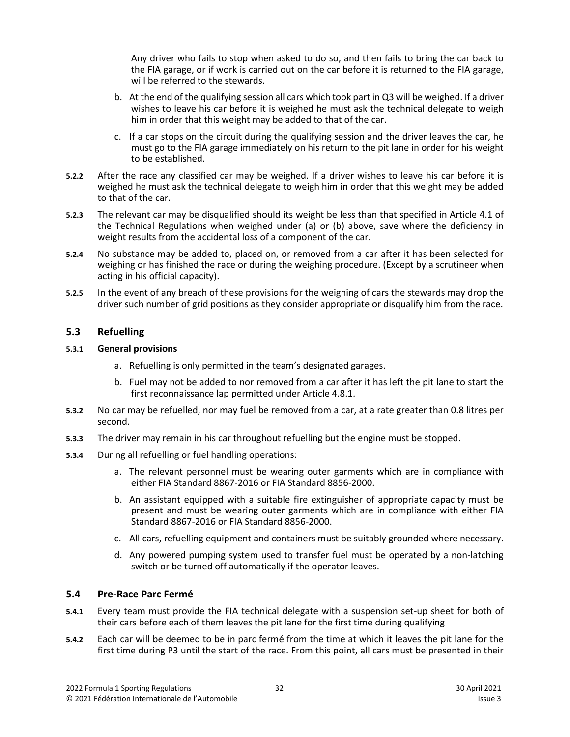Any driver who fails to stop when asked to do so, and then fails to bring the car back to the FIA garage, or if work is carried out on the car before it is returned to the FIA garage, will be referred to the stewards.

- b. At the end of the qualifying session all cars which took part in Q3 will be weighed. If a driver wishes to leave his car before it is weighed he must ask the technical delegate to weigh him in order that this weight may be added to that of the car.
- c. If a car stops on the circuit during the qualifying session and the driver leaves the car, he must go to the FIA garage immediately on his return to the pit lane in order for his weight to be established.
- **5.2.2** After the race any classified car may be weighed. If a driver wishes to leave his car before it is weighed he must ask the technical delegate to weigh him in order that this weight may be added to that of the car.
- **5.2.3** The relevant car may be disqualified should its weight be less than that specified in Article 4.1 of the Technical Regulations when weighed under (a) or (b) above, save where the deficiency in weight results from the accidental loss of a component of the car.
- **5.2.4** No substance may be added to, placed on, or removed from a car after it has been selected for weighing or has finished the race or during the weighing procedure. (Except by a scrutineer when acting in his official capacity).
- **5.2.5** In the event of any breach of these provisions for the weighing of cars the stewards may drop the driver such number of grid positions as they consider appropriate or disqualify him from the race.

#### **5.3 Refuelling**

#### **5.3.1 General provisions**

- a. Refuelling is only permitted in the team's designated garages.
- b. Fuel may not be added to nor removed from a car after it has left the pit lane to start the first reconnaissance lap permitted under Article 4.8.1.
- **5.3.2** No car may be refuelled, nor may fuel be removed from a car, at a rate greater than 0.8 litres per second.
- **5.3.3** The driver may remain in his car throughout refuelling but the engine must be stopped.
- **5.3.4** During all refuelling or fuel handling operations:
	- a. The relevant personnel must be wearing outer garments which are in compliance with either FIA Standard 8867-2016 or FIA Standard 8856-2000.
	- b. An assistant equipped with a suitable fire extinguisher of appropriate capacity must be present and must be wearing outer garments which are in compliance with either FIA Standard 8867-2016 or FIA Standard 8856-2000.
	- c. All cars, refuelling equipment and containers must be suitably grounded where necessary.
	- d. Any powered pumping system used to transfer fuel must be operated by a non-latching switch or be turned off automatically if the operator leaves.

#### **5.4 Pre-Race Parc Fermé**

- **5.4.1** Every team must provide the FIA technical delegate with a suspension set-up sheet for both of their cars before each of them leaves the pit lane for the first time during qualifying
- **5.4.2** Each car will be deemed to be in parc fermé from the time at which it leaves the pit lane for the first time during P3 until the start of the race. From this point, all cars must be presented in their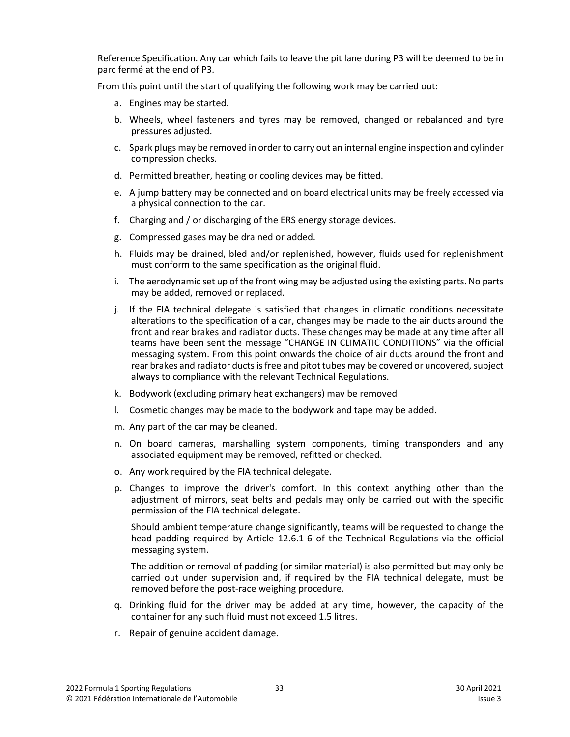Reference Specification. Any car which fails to leave the pit lane during P3 will be deemed to be in parc fermé at the end of P3.

From this point until the start of qualifying the following work may be carried out:

- a. Engines may be started.
- b. Wheels, wheel fasteners and tyres may be removed, changed or rebalanced and tyre pressures adjusted.
- c. Spark plugs may be removed in order to carry out an internal engine inspection and cylinder compression checks.
- d. Permitted breather, heating or cooling devices may be fitted.
- e. A jump battery may be connected and on board electrical units may be freely accessed via a physical connection to the car.
- f. Charging and / or discharging of the ERS energy storage devices.
- g. Compressed gases may be drained or added.
- h. Fluids may be drained, bled and/or replenished, however, fluids used for replenishment must conform to the same specification as the original fluid.
- i. The aerodynamic set up of the front wing may be adjusted using the existing parts. No parts may be added, removed or replaced.
- j. If the FIA technical delegate is satisfied that changes in climatic conditions necessitate alterations to the specification of a car, changes may be made to the air ducts around the front and rear brakes and radiator ducts. These changes may be made at any time after all teams have been sent the message "CHANGE IN CLIMATIC CONDITIONS" via the official messaging system. From this point onwards the choice of air ducts around the front and rear brakes and radiator ducts is free and pitot tubes may be covered or uncovered, subject always to compliance with the relevant Technical Regulations.
- k. Bodywork (excluding primary heat exchangers) may be removed
- l. Cosmetic changes may be made to the bodywork and tape may be added.
- m. Any part of the car may be cleaned.
- n. On board cameras, marshalling system components, timing transponders and any associated equipment may be removed, refitted or checked.
- o. Any work required by the FIA technical delegate.
- p. Changes to improve the driver's comfort. In this context anything other than the adjustment of mirrors, seat belts and pedals may only be carried out with the specific permission of the FIA technical delegate.

Should ambient temperature change significantly, teams will be requested to change the head padding required by Article 12.6.1-6 of the Technical Regulations via the official messaging system.

The addition or removal of padding (or similar material) is also permitted but may only be carried out under supervision and, if required by the FIA technical delegate, must be removed before the post-race weighing procedure.

- q. Drinking fluid for the driver may be added at any time, however, the capacity of the container for any such fluid must not exceed 1.5 litres.
- r. Repair of genuine accident damage.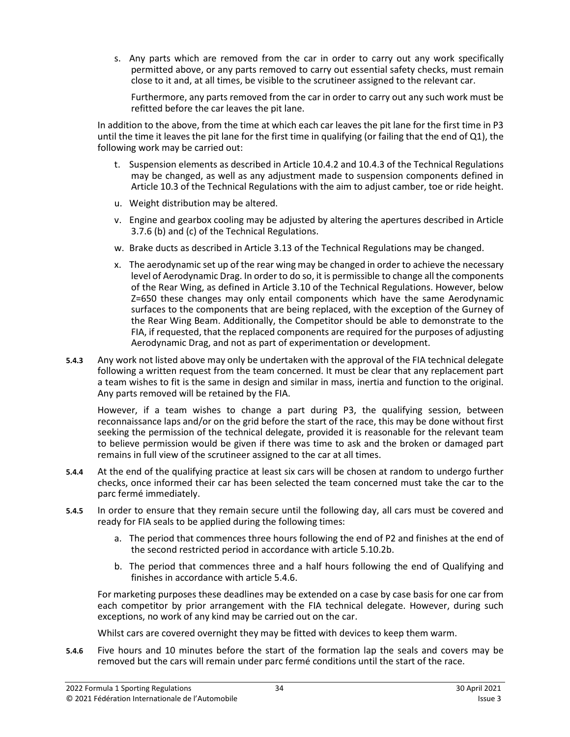s. Any parts which are removed from the car in order to carry out any work specifically permitted above, or any parts removed to carry out essential safety checks, must remain close to it and, at all times, be visible to the scrutineer assigned to the relevant car.

Furthermore, any parts removed from the car in order to carry out any such work must be refitted before the car leaves the pit lane.

In addition to the above, from the time at which each car leaves the pit lane for the first time in P3 until the time it leaves the pit lane for the first time in qualifying (or failing that the end of Q1), the following work may be carried out:

- t. Suspension elements as described in Article 10.4.2 and 10.4.3 of the Technical Regulations may be changed, as well as any adjustment made to suspension components defined in Article 10.3 of the Technical Regulations with the aim to adjust camber, toe or ride height.
- u. Weight distribution may be altered.
- v. Engine and gearbox cooling may be adjusted by altering the apertures described in Article 3.7.6 (b) and (c) of the Technical Regulations.
- w. Brake ducts as described in Article 3.13 of the Technical Regulations may be changed.
- x. The aerodynamic set up of the rear wing may be changed in order to achieve the necessary level of Aerodynamic Drag. In order to do so, it is permissible to change all the components of the Rear Wing, as defined in Article 3.10 of the Technical Regulations. However, below Z=650 these changes may only entail components which have the same Aerodynamic surfaces to the components that are being replaced, with the exception of the Gurney of the Rear Wing Beam. Additionally, the Competitor should be able to demonstrate to the FIA, if requested, that the replaced components are required for the purposes of adjusting Aerodynamic Drag, and not as part of experimentation or development.
- **5.4.3** Any work not listed above may only be undertaken with the approval of the FIA technical delegate following a written request from the team concerned. It must be clear that any replacement part a team wishes to fit is the same in design and similar in mass, inertia and function to the original. Any parts removed will be retained by the FIA.

However, if a team wishes to change a part during P3, the qualifying session, between reconnaissance laps and/or on the grid before the start of the race, this may be done without first seeking the permission of the technical delegate, provided it is reasonable for the relevant team to believe permission would be given if there was time to ask and the broken or damaged part remains in full view of the scrutineer assigned to the car at all times.

- **5.4.4** At the end of the qualifying practice at least six cars will be chosen at random to undergo further checks, once informed their car has been selected the team concerned must take the car to the parc fermé immediately.
- **5.4.5** In order to ensure that they remain secure until the following day, all cars must be covered and ready for FIA seals to be applied during the following times:
	- a. The period that commences three hours following the end of P2 and finishes at the end of the second restricted period in accordance with article 5.10.2b.
	- b. The period that commences three and a half hours following the end of Qualifying and finishes in accordance with article 5.4.6.

For marketing purposes these deadlines may be extended on a case by case basis for one car from each competitor by prior arrangement with the FIA technical delegate. However, during such exceptions, no work of any kind may be carried out on the car.

Whilst cars are covered overnight they may be fitted with devices to keep them warm.

**5.4.6** Five hours and 10 minutes before the start of the formation lap the seals and covers may be removed but the cars will remain under parc fermé conditions until the start of the race.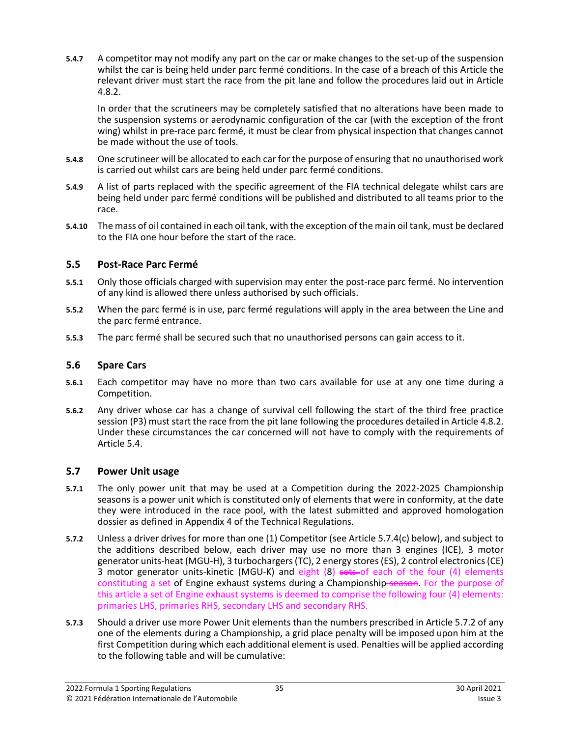**5.4.7** A competitor may not modify any part on the car or make changes to the set-up of the suspension whilst the car is being held under parc fermé conditions. In the case of a breach of this Article the relevant driver must start the race from the pit lane and follow the procedures laid out in Article 4.8.2.

In order that the scrutineers may be completely satisfied that no alterations have been made to the suspension systems or aerodynamic configuration of the car (with the exception of the front wing) whilst in pre-race parc fermé, it must be clear from physical inspection that changes cannot be made without the use of tools.

- **5.4.8** One scrutineer will be allocated to each car for the purpose of ensuring that no unauthorised work is carried out whilst cars are being held under parc fermé conditions.
- **5.4.9** A list of parts replaced with the specific agreement of the FIA technical delegate whilst cars are being held under parc fermé conditions will be published and distributed to all teams prior to the race.
- **5.4.10** The mass of oil contained in each oil tank, with the exception of the main oil tank, must be declared to the FIA one hour before the start of the race.

#### **5.5 Post-Race Parc Fermé**

- **5.5.1** Only those officials charged with supervision may enter the post-race parc fermé. No intervention of any kind is allowed there unless authorised by such officials.
- **5.5.2** When the parc fermé is in use, parc fermé regulations will apply in the area between the Line and the parc fermé entrance.
- **5.5.3** The parc fermé shall be secured such that no unauthorised persons can gain access to it.

#### **5.6 Spare Cars**

- **5.6.1** Each competitor may have no more than two cars available for use at any one time during a Competition.
- **5.6.2** Any driver whose car has a change of survival cell following the start of the third free practice session (P3) must start the race from the pit lane following the procedures detailed in Article 4.8.2. Under these circumstances the car concerned will not have to comply with the requirements of Article 5.4.

#### **5.7 Power Unit usage**

- **5.7.1** The only power unit that may be used at a Competition during the 2022-2025 Championship seasons is a power unit which is constituted only of elements that were in conformity, at the date they were introduced in the race pool, with the latest submitted and approved homologation dossier as defined in Appendix 4 of the Technical Regulations.
- **5.7.2** Unless a driver drives for more than one (1) Competitor (see Article 5.7.4(c) below), and subject to the additions described below, each driver may use no more than 3 engines (ICE), 3 motor generator units-heat (MGU-H), 3 turbochargers (TC), 2 energy stores (ES), 2 control electronics (CE) 3 motor generator units-kinetic (MGU-K) and eight  $(8)$  sets of each of the four (4) elements constituting a set of Engine exhaust systems during a Championship-season. For the purpose of this article a set of Engine exhaust systems is deemed to comprise the following four (4) elements: primaries LHS, primaries RHS, secondary LHS and secondary RHS.
- **5.7.3** Should a driver use more Power Unit elements than the numbers prescribed in Article 5.7.2 of any one of the elements during a Championship, a grid place penalty will be imposed upon him at the first Competition during which each additional element is used. Penalties will be applied according to the following table and will be cumulative: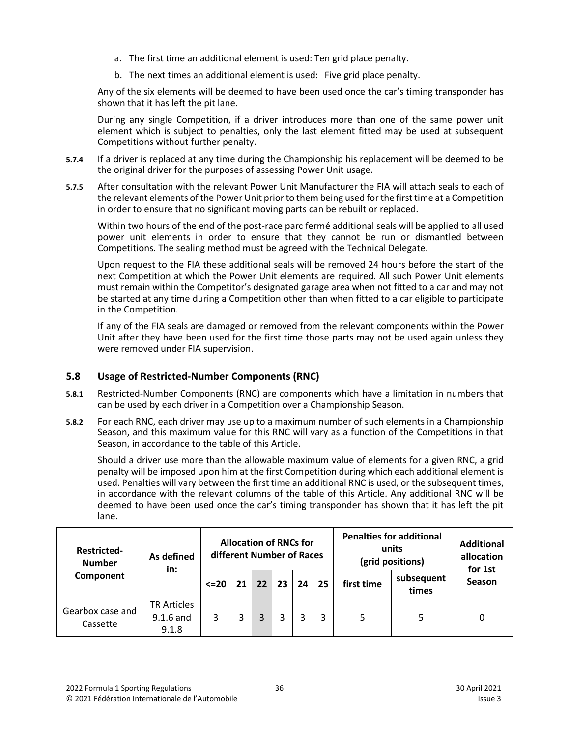- a. The first time an additional element is used: Ten grid place penalty.
- b. The next times an additional element is used: Five grid place penalty.

Any of the six elements will be deemed to have been used once the car's timing transponder has shown that it has left the pit lane.

During any single Competition, if a driver introduces more than one of the same power unit element which is subject to penalties, only the last element fitted may be used at subsequent Competitions without further penalty.

- **5.7.4** If a driver is replaced at any time during the Championship his replacement will be deemed to be the original driver for the purposes of assessing Power Unit usage.
- **5.7.5** After consultation with the relevant Power Unit Manufacturer the FIA will attach seals to each of the relevant elements of the Power Unit prior to them being used for the first time at a Competition in order to ensure that no significant moving parts can be rebuilt or replaced.

Within two hours of the end of the post-race parc fermé additional seals will be applied to all used power unit elements in order to ensure that they cannot be run or dismantled between Competitions. The sealing method must be agreed with the Technical Delegate.

Upon request to the FIA these additional seals will be removed 24 hours before the start of the next Competition at which the Power Unit elements are required. All such Power Unit elements must remain within the Competitor's designated garage area when not fitted to a car and may not be started at any time during a Competition other than when fitted to a car eligible to participate in the Competition.

If any of the FIA seals are damaged or removed from the relevant components within the Power Unit after they have been used for the first time those parts may not be used again unless they were removed under FIA supervision.

# **5.8 Usage of Restricted-Number Components (RNC)**

- **5.8.1** Restricted-Number Components (RNC) are components which have a limitation in numbers that can be used by each driver in a Competition over a Championship Season.
- **5.8.2** For each RNC, each driver may use up to a maximum number of such elements in a Championship Season, and this maximum value for this RNC will vary as a function of the Competitions in that Season, in accordance to the table of this Article.

Should a driver use more than the allowable maximum value of elements for a given RNC, a grid penalty will be imposed upon him at the first Competition during which each additional element is used. Penalties will vary between the first time an additional RNC is used, or the subsequent times, in accordance with the relevant columns of the table of this Article. Any additional RNC will be deemed to have been used once the car's timing transponder has shown that it has left the pit lane.

| <b>Restricted-</b><br><b>Number</b> | As defined<br>in:                          | <b>Allocation of RNCs for</b><br>different Number of Races |    |    |    |    |    | <b>Penalties for additional</b><br>units<br>(grid positions) | <b>Additional</b><br>allocation<br>for 1st |               |
|-------------------------------------|--------------------------------------------|------------------------------------------------------------|----|----|----|----|----|--------------------------------------------------------------|--------------------------------------------|---------------|
| Component                           |                                            | $\leq$ 20                                                  | 21 | 22 | 23 | 24 | 25 | first time                                                   | subsequent<br>times                        | <b>Season</b> |
| Gearbox case and<br>Cassette        | <b>TR Articles</b><br>$9.1.6$ and<br>9.1.8 | 3                                                          | 3  | 3  |    | 3  | 3  | 5                                                            | 5                                          | 0             |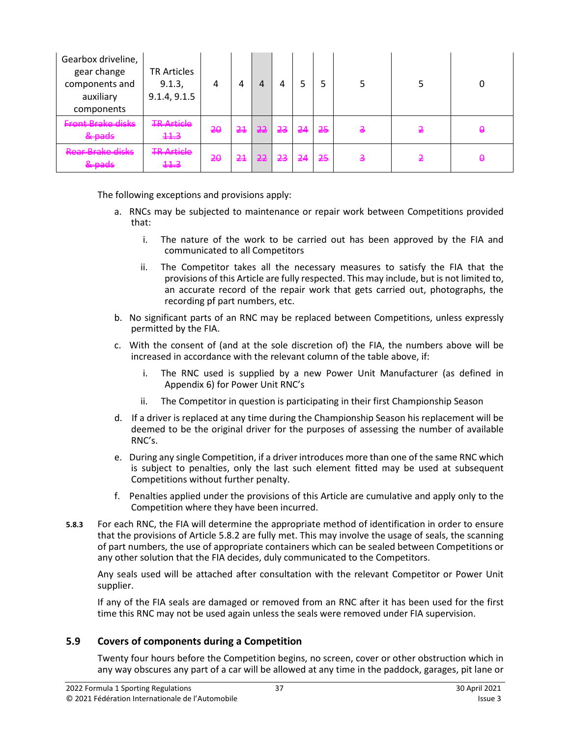| Gearbox driveline,<br>gear change<br>components and<br>auxiliary<br>components   | <b>TR Articles</b><br>9.1.3,<br>9.1.4, 9.1.5 | 4               | 4              | 4             |    | 5               |               |   |   |
|----------------------------------------------------------------------------------|----------------------------------------------|-----------------|----------------|---------------|----|-----------------|---------------|---|---|
| Eront Drako dicko<br><b>BEATABATE TABALANTE SEPART</b><br>& pads                 | <b>TR Article</b><br>44.3                    | $\overline{20}$ | 24             | 22            | 23 | $\overline{24}$ | 25            |   | ₿ |
| <b>Door Droko dicks</b><br>----------------------------<br><del>&amp; pads</del> | <b>TR Article</b><br>44.3                    | $\overline{20}$ | 2 <sub>1</sub> | <del>22</del> | 23 | $\overline{24}$ | <del>25</del> | ₹ | ₿ |

The following exceptions and provisions apply:

- a. RNCs may be subjected to maintenance or repair work between Competitions provided that:
	- i. The nature of the work to be carried out has been approved by the FIA and communicated to all Competitors
	- ii. The Competitor takes all the necessary measures to satisfy the FIA that the provisions of this Article are fully respected. This may include, but is not limited to, an accurate record of the repair work that gets carried out, photographs, the recording pf part numbers, etc.
- b. No significant parts of an RNC may be replaced between Competitions, unless expressly permitted by the FIA.
- c. With the consent of (and at the sole discretion of) the FIA, the numbers above will be increased in accordance with the relevant column of the table above, if:
	- i. The RNC used is supplied by a new Power Unit Manufacturer (as defined in Appendix 6) for Power Unit RNC's
	- ii. The Competitor in question is participating in their first Championship Season
- d. If a driver is replaced at any time during the Championship Season his replacement will be deemed to be the original driver for the purposes of assessing the number of available RNC's.
- e. During any single Competition, if a driver introduces more than one of the same RNC which is subject to penalties, only the last such element fitted may be used at subsequent Competitions without further penalty.
- f. Penalties applied under the provisions of this Article are cumulative and apply only to the Competition where they have been incurred.
- **5.8.3** For each RNC, the FIA will determine the appropriate method of identification in order to ensure that the provisions of Article 5.8.2 are fully met. This may involve the usage of seals, the scanning of part numbers, the use of appropriate containers which can be sealed between Competitions or any other solution that the FIA decides, duly communicated to the Competitors.

Any seals used will be attached after consultation with the relevant Competitor or Power Unit supplier.

If any of the FIA seals are damaged or removed from an RNC after it has been used for the first time this RNC may not be used again unless the seals were removed under FIA supervision.

## **5.9 Covers of components during a Competition**

Twenty four hours before the Competition begins, no screen, cover or other obstruction which in any way obscures any part of a car will be allowed at any time in the paddock, garages, pit lane or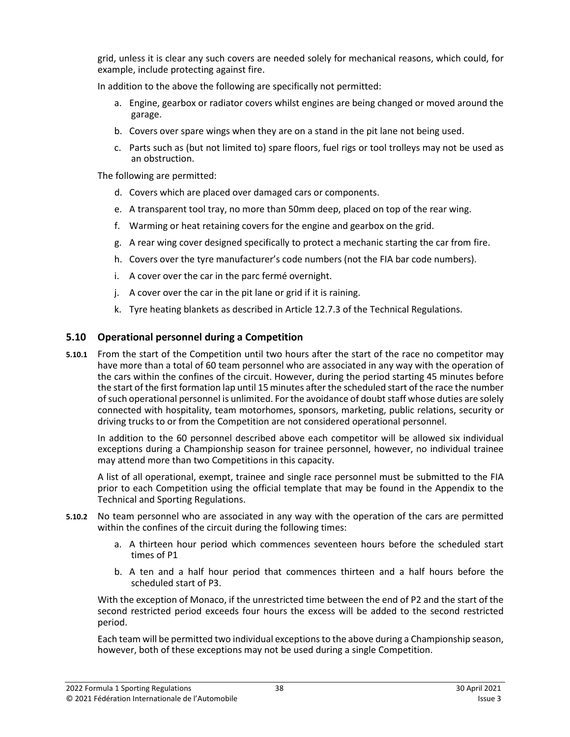grid, unless it is clear any such covers are needed solely for mechanical reasons, which could, for example, include protecting against fire.

In addition to the above the following are specifically not permitted:

- a. Engine, gearbox or radiator covers whilst engines are being changed or moved around the garage.
- b. Covers over spare wings when they are on a stand in the pit lane not being used.
- c. Parts such as (but not limited to) spare floors, fuel rigs or tool trolleys may not be used as an obstruction.

The following are permitted:

- d. Covers which are placed over damaged cars or components.
- e. A transparent tool tray, no more than 50mm deep, placed on top of the rear wing.
- f. Warming or heat retaining covers for the engine and gearbox on the grid.
- g. A rear wing cover designed specifically to protect a mechanic starting the car from fire.
- h. Covers over the tyre manufacturer's code numbers (not the FIA bar code numbers).
- i. A cover over the car in the parc fermé overnight.
- j. A cover over the car in the pit lane or grid if it is raining.
- k. Tyre heating blankets as described in Article 12.7.3 of the Technical Regulations.

## **5.10 Operational personnel during a Competition**

**5.10.1** From the start of the Competition until two hours after the start of the race no competitor may have more than a total of 60 team personnel who are associated in any way with the operation of the cars within the confines of the circuit. However, during the period starting 45 minutes before the start of the first formation lap until 15 minutes after the scheduled start of the race the number of such operational personnel is unlimited. For the avoidance of doubt staff whose duties are solely connected with hospitality, team motorhomes, sponsors, marketing, public relations, security or driving trucks to or from the Competition are not considered operational personnel.

In addition to the 60 personnel described above each competitor will be allowed six individual exceptions during a Championship season for trainee personnel, however, no individual trainee may attend more than two Competitions in this capacity.

A list of all operational, exempt, trainee and single race personnel must be submitted to the FIA prior to each Competition using the official template that may be found in the Appendix to the Technical and Sporting Regulations.

- **5.10.2** No team personnel who are associated in any way with the operation of the cars are permitted within the confines of the circuit during the following times:
	- a. A thirteen hour period which commences seventeen hours before the scheduled start times of P1
	- b. A ten and a half hour period that commences thirteen and a half hours before the scheduled start of P3.

With the exception of Monaco, if the unrestricted time between the end of P2 and the start of the second restricted period exceeds four hours the excess will be added to the second restricted period.

Each team will be permitted two individual exceptions to the above during a Championship season, however, both of these exceptions may not be used during a single Competition.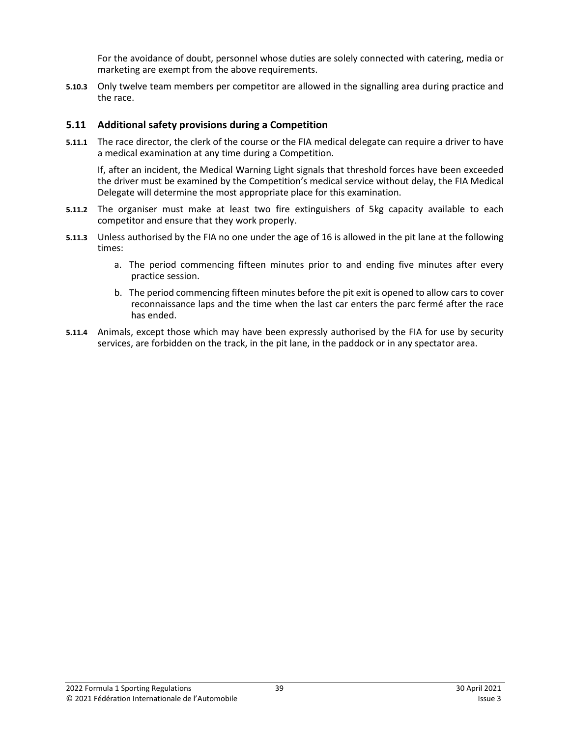For the avoidance of doubt, personnel whose duties are solely connected with catering, media or marketing are exempt from the above requirements.

**5.10.3** Only twelve team members per competitor are allowed in the signalling area during practice and the race.

#### **5.11 Additional safety provisions during a Competition**

**5.11.1** The race director, the clerk of the course or the FIA medical delegate can require a driver to have a medical examination at any time during a Competition.

If, after an incident, the Medical Warning Light signals that threshold forces have been exceeded the driver must be examined by the Competition's medical service without delay, the FIA Medical Delegate will determine the most appropriate place for this examination.

- **5.11.2** The organiser must make at least two fire extinguishers of 5kg capacity available to each competitor and ensure that they work properly.
- **5.11.3** Unless authorised by the FIA no one under the age of 16 is allowed in the pit lane at the following times:
	- a. The period commencing fifteen minutes prior to and ending five minutes after every practice session.
	- b. The period commencing fifteen minutes before the pit exit is opened to allow cars to cover reconnaissance laps and the time when the last car enters the parc fermé after the race has ended.
- **5.11.4** Animals, except those which may have been expressly authorised by the FIA for use by security services, are forbidden on the track, in the pit lane, in the paddock or in any spectator area.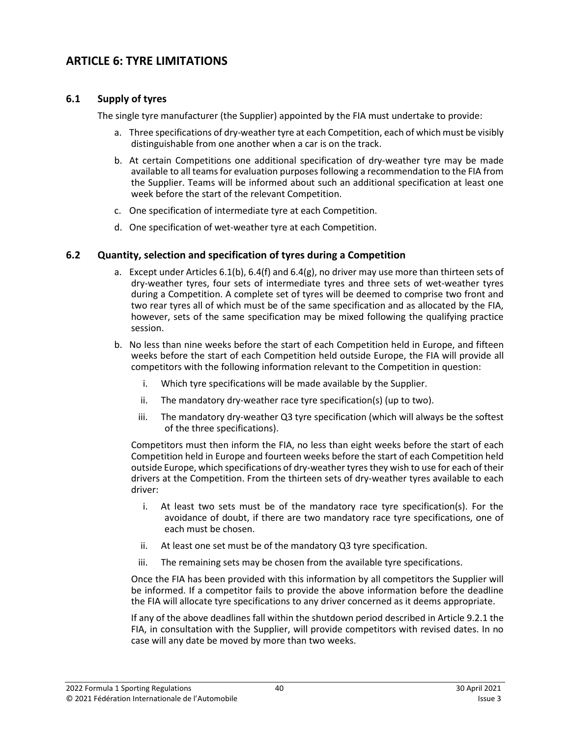# **ARTICLE 6: TYRE LIMITATIONS**

## **6.1 Supply of tyres**

The single tyre manufacturer (the Supplier) appointed by the FIA must undertake to provide:

- a. Three specifications of dry-weather tyre at each Competition, each of which must be visibly distinguishable from one another when a car is on the track.
- b. At certain Competitions one additional specification of dry-weather tyre may be made available to all teams for evaluation purposes following a recommendation to the FIA from the Supplier. Teams will be informed about such an additional specification at least one week before the start of the relevant Competition.
- c. One specification of intermediate tyre at each Competition.
- d. One specification of wet-weather tyre at each Competition.

## **6.2 Quantity, selection and specification of tyres during a Competition**

- a. Except under Articles 6.1(b),  $6.4(f)$  and  $6.4(g)$ , no driver may use more than thirteen sets of dry-weather tyres, four sets of intermediate tyres and three sets of wet-weather tyres during a Competition. A complete set of tyres will be deemed to comprise two front and two rear tyres all of which must be of the same specification and as allocated by the FIA, however, sets of the same specification may be mixed following the qualifying practice session.
- b. No less than nine weeks before the start of each Competition held in Europe, and fifteen weeks before the start of each Competition held outside Europe, the FIA will provide all competitors with the following information relevant to the Competition in question:
	- i. Which tyre specifications will be made available by the Supplier.
	- ii. The mandatory dry-weather race tyre specification(s) (up to two).
	- iii. The mandatory dry-weather Q3 tyre specification (which will always be the softest of the three specifications).

Competitors must then inform the FIA, no less than eight weeks before the start of each Competition held in Europe and fourteen weeks before the start of each Competition held outside Europe, which specifications of dry-weather tyres they wish to use for each of their drivers at the Competition. From the thirteen sets of dry-weather tyres available to each driver:

- i. At least two sets must be of the mandatory race tyre specification(s). For the avoidance of doubt, if there are two mandatory race tyre specifications, one of each must be chosen.
- ii. At least one set must be of the mandatory Q3 tyre specification.
- iii. The remaining sets may be chosen from the available tyre specifications.

Once the FIA has been provided with this information by all competitors the Supplier will be informed. If a competitor fails to provide the above information before the deadline the FIA will allocate tyre specifications to any driver concerned as it deems appropriate.

If any of the above deadlines fall within the shutdown period described in Article 9.2.1 the FIA, in consultation with the Supplier, will provide competitors with revised dates. In no case will any date be moved by more than two weeks.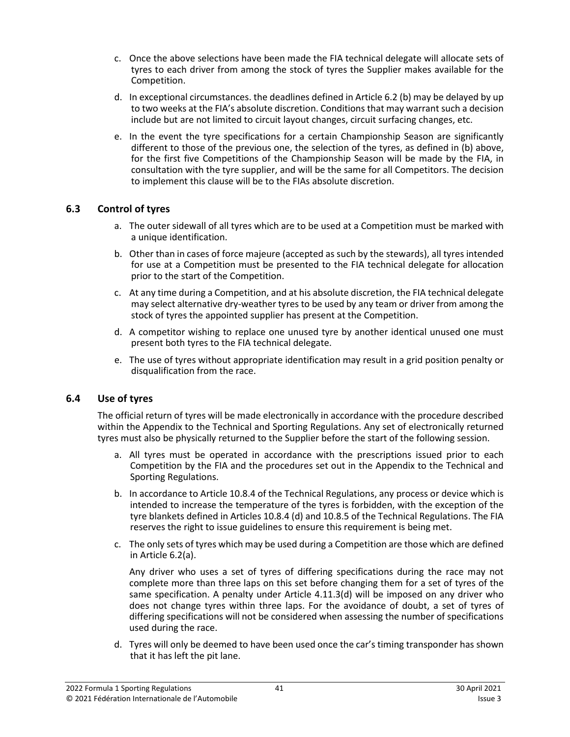- c. Once the above selections have been made the FIA technical delegate will allocate sets of tyres to each driver from among the stock of tyres the Supplier makes available for the Competition.
- d. In exceptional circumstances. the deadlines defined in Article 6.2 (b) may be delayed by up to two weeks at the FIA's absolute discretion. Conditions that may warrant such a decision include but are not limited to circuit layout changes, circuit surfacing changes, etc.
- e. In the event the tyre specifications for a certain Championship Season are significantly different to those of the previous one, the selection of the tyres, as defined in (b) above, for the first five Competitions of the Championship Season will be made by the FIA, in consultation with the tyre supplier, and will be the same for all Competitors. The decision to implement this clause will be to the FIAs absolute discretion.

## **6.3 Control of tyres**

- a. The outer sidewall of all tyres which are to be used at a Competition must be marked with a unique identification.
- b. Other than in cases of force majeure (accepted as such by the stewards), all tyres intended for use at a Competition must be presented to the FIA technical delegate for allocation prior to the start of the Competition.
- c. At any time during a Competition, and at his absolute discretion, the FIA technical delegate may select alternative dry-weather tyres to be used by any team or driver from among the stock of tyres the appointed supplier has present at the Competition.
- d. A competitor wishing to replace one unused tyre by another identical unused one must present both tyres to the FIA technical delegate.
- e. The use of tyres without appropriate identification may result in a grid position penalty or disqualification from the race.

## **6.4 Use of tyres**

The official return of tyres will be made electronically in accordance with the procedure described within the Appendix to the Technical and Sporting Regulations. Any set of electronically returned tyres must also be physically returned to the Supplier before the start of the following session.

- a. All tyres must be operated in accordance with the prescriptions issued prior to each Competition by the FIA and the procedures set out in the Appendix to the Technical and Sporting Regulations.
- b. In accordance to Article 10.8.4 of the Technical Regulations, any process or device which is intended to increase the temperature of the tyres is forbidden, with the exception of the tyre blankets defined in Articles 10.8.4 (d) and 10.8.5 of the Technical Regulations. The FIA reserves the right to issue guidelines to ensure this requirement is being met.
- c. The only sets of tyres which may be used during a Competition are those which are defined in Article 6.2(a).

Any driver who uses a set of tyres of differing specifications during the race may not complete more than three laps on this set before changing them for a set of tyres of the same specification. A penalty under Article 4.11.3(d) will be imposed on any driver who does not change tyres within three laps. For the avoidance of doubt, a set of tyres of differing specifications will not be considered when assessing the number of specifications used during the race.

d. Tyres will only be deemed to have been used once the car's timing transponder has shown that it has left the pit lane.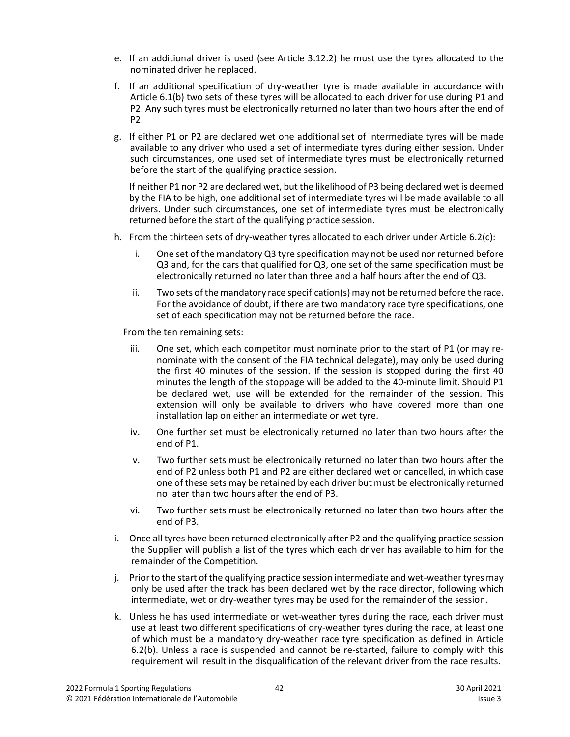- e. If an additional driver is used (see Article 3.12.2) he must use the tyres allocated to the nominated driver he replaced.
- f. If an additional specification of dry-weather tyre is made available in accordance with Article 6.1(b) two sets of these tyres will be allocated to each driver for use during P1 and P2. Any such tyres must be electronically returned no later than two hours after the end of P2.
- g. If either P1 or P2 are declared wet one additional set of intermediate tyres will be made available to any driver who used a set of intermediate tyres during either session. Under such circumstances, one used set of intermediate tyres must be electronically returned before the start of the qualifying practice session.

If neither P1 nor P2 are declared wet, but the likelihood of P3 being declared wet is deemed by the FIA to be high, one additional set of intermediate tyres will be made available to all drivers. Under such circumstances, one set of intermediate tyres must be electronically returned before the start of the qualifying practice session.

- h. From the thirteen sets of dry-weather tyres allocated to each driver under Article 6.2(c):
	- i. One set of the mandatory Q3 tyre specification may not be used nor returned before Q3 and, for the cars that qualified for Q3, one set of the same specification must be electronically returned no later than three and a half hours after the end of Q3.
	- ii. Two sets of the mandatory race specification(s) may not be returned before the race. For the avoidance of doubt, if there are two mandatory race tyre specifications, one set of each specification may not be returned before the race.

From the ten remaining sets:

- iii. One set, which each competitor must nominate prior to the start of P1 (or may renominate with the consent of the FIA technical delegate), may only be used during the first 40 minutes of the session. If the session is stopped during the first 40 minutes the length of the stoppage will be added to the 40-minute limit. Should P1 be declared wet, use will be extended for the remainder of the session. This extension will only be available to drivers who have covered more than one installation lap on either an intermediate or wet tyre.
- iv. One further set must be electronically returned no later than two hours after the end of P1.
- v. Two further sets must be electronically returned no later than two hours after the end of P2 unless both P1 and P2 are either declared wet or cancelled, in which case one of these sets may be retained by each driver but must be electronically returned no later than two hours after the end of P3.
- vi. Two further sets must be electronically returned no later than two hours after the end of P3.
- i. Once all tyres have been returned electronically after P2 and the qualifying practice session the Supplier will publish a list of the tyres which each driver has available to him for the remainder of the Competition.
- j. Prior to the start of the qualifying practice session intermediate and wet-weather tyres may only be used after the track has been declared wet by the race director, following which intermediate, wet or dry-weather tyres may be used for the remainder of the session.
- k. Unless he has used intermediate or wet-weather tyres during the race, each driver must use at least two different specifications of dry-weather tyres during the race, at least one of which must be a mandatory dry-weather race tyre specification as defined in Article 6.2(b). Unless a race is suspended and cannot be re-started, failure to comply with this requirement will result in the disqualification of the relevant driver from the race results.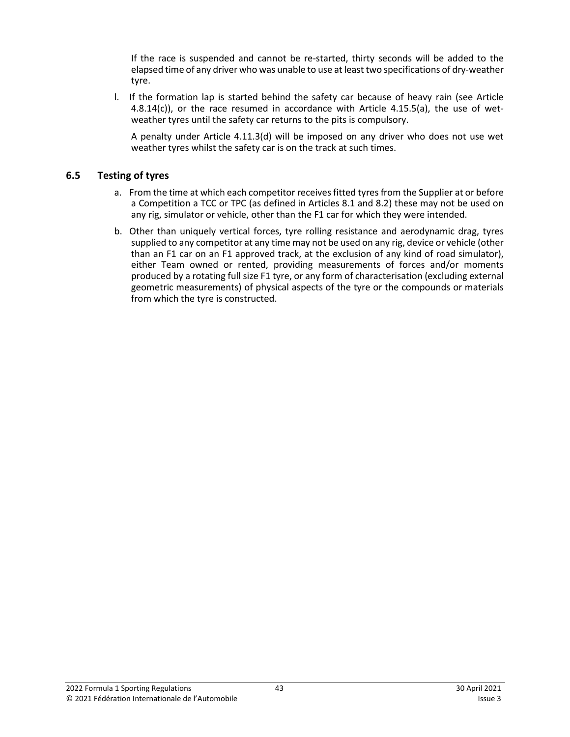If the race is suspended and cannot be re-started, thirty seconds will be added to the elapsed time of any driver who was unable to use at least two specifications of dry-weather tyre.

l. If the formation lap is started behind the safety car because of heavy rain (see Article 4.8.14(c)), or the race resumed in accordance with Article 4.15.5(a), the use of wetweather tyres until the safety car returns to the pits is compulsory.

A penalty under Article 4.11.3(d) will be imposed on any driver who does not use wet weather tyres whilst the safety car is on the track at such times.

## **6.5 Testing of tyres**

- a. From the time at which each competitor receives fitted tyres from the Supplier at or before a Competition a TCC or TPC (as defined in Articles 8.1 and 8.2) these may not be used on any rig, simulator or vehicle, other than the F1 car for which they were intended.
- b. Other than uniquely vertical forces, tyre rolling resistance and aerodynamic drag, tyres supplied to any competitor at any time may not be used on any rig, device or vehicle (other than an F1 car on an F1 approved track, at the exclusion of any kind of road simulator), either Team owned or rented, providing measurements of forces and/or moments produced by a rotating full size F1 tyre, or any form of characterisation (excluding external geometric measurements) of physical aspects of the tyre or the compounds or materials from which the tyre is constructed.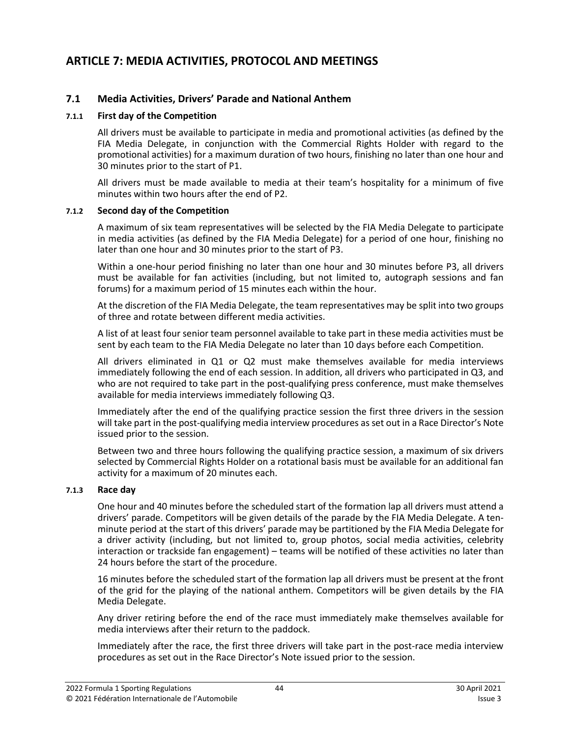# **ARTICLE 7: MEDIA ACTIVITIES, PROTOCOL AND MEETINGS**

## **7.1 Media Activities, Drivers' Parade and National Anthem**

#### **7.1.1 First day of the Competition**

All drivers must be available to participate in media and promotional activities (as defined by the FIA Media Delegate, in conjunction with the Commercial Rights Holder with regard to the promotional activities) for a maximum duration of two hours, finishing no later than one hour and 30 minutes prior to the start of P1.

All drivers must be made available to media at their team's hospitality for a minimum of five minutes within two hours after the end of P2.

#### **7.1.2 Second day of the Competition**

A maximum of six team representatives will be selected by the FIA Media Delegate to participate in media activities (as defined by the FIA Media Delegate) for a period of one hour, finishing no later than one hour and 30 minutes prior to the start of P3.

Within a one-hour period finishing no later than one hour and 30 minutes before P3, all drivers must be available for fan activities (including, but not limited to, autograph sessions and fan forums) for a maximum period of 15 minutes each within the hour.

At the discretion of the FIA Media Delegate, the team representatives may be split into two groups of three and rotate between different media activities.

A list of at least four senior team personnel available to take part in these media activities must be sent by each team to the FIA Media Delegate no later than 10 days before each Competition.

All drivers eliminated in Q1 or Q2 must make themselves available for media interviews immediately following the end of each session. In addition, all drivers who participated in Q3, and who are not required to take part in the post-qualifying press conference, must make themselves available for media interviews immediately following Q3.

Immediately after the end of the qualifying practice session the first three drivers in the session will take part in the post-qualifying media interview procedures as set out in a Race Director's Note issued prior to the session.

Between two and three hours following the qualifying practice session, a maximum of six drivers selected by Commercial Rights Holder on a rotational basis must be available for an additional fan activity for a maximum of 20 minutes each.

#### **7.1.3 Race day**

One hour and 40 minutes before the scheduled start of the formation lap all drivers must attend a drivers' parade. Competitors will be given details of the parade by the FIA Media Delegate. A tenminute period at the start of this drivers' parade may be partitioned by the FIA Media Delegate for a driver activity (including, but not limited to, group photos, social media activities, celebrity interaction or trackside fan engagement) – teams will be notified of these activities no later than 24 hours before the start of the procedure.

16 minutes before the scheduled start of the formation lap all drivers must be present at the front of the grid for the playing of the national anthem. Competitors will be given details by the FIA Media Delegate.

Any driver retiring before the end of the race must immediately make themselves available for media interviews after their return to the paddock.

Immediately after the race, the first three drivers will take part in the post-race media interview procedures as set out in the Race Director's Note issued prior to the session.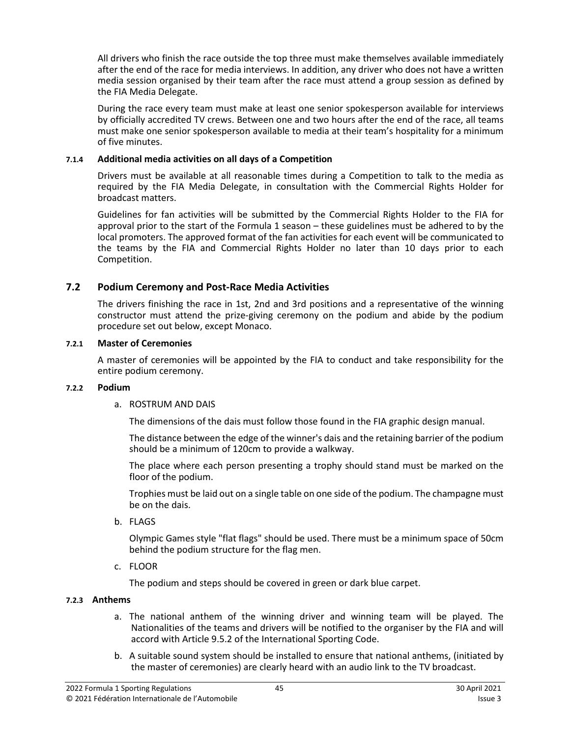All drivers who finish the race outside the top three must make themselves available immediately after the end of the race for media interviews. In addition, any driver who does not have a written media session organised by their team after the race must attend a group session as defined by the FIA Media Delegate.

During the race every team must make at least one senior spokesperson available for interviews by officially accredited TV crews. Between one and two hours after the end of the race, all teams must make one senior spokesperson available to media at their team's hospitality for a minimum of five minutes.

#### **7.1.4 Additional media activities on all days of a Competition**

Drivers must be available at all reasonable times during a Competition to talk to the media as required by the FIA Media Delegate, in consultation with the Commercial Rights Holder for broadcast matters.

Guidelines for fan activities will be submitted by the Commercial Rights Holder to the FIA for approval prior to the start of the Formula 1 season – these guidelines must be adhered to by the local promoters. The approved format of the fan activities for each event will be communicated to the teams by the FIA and Commercial Rights Holder no later than 10 days prior to each Competition.

## **7.2 Podium Ceremony and Post-Race Media Activities**

The drivers finishing the race in 1st, 2nd and 3rd positions and a representative of the winning constructor must attend the prize-giving ceremony on the podium and abide by the podium procedure set out below, except Monaco.

## **7.2.1 Master of Ceremonies**

A master of ceremonies will be appointed by the FIA to conduct and take responsibility for the entire podium ceremony.

#### **7.2.2 Podium**

a. ROSTRUM AND DAIS

The dimensions of the dais must follow those found in the FIA graphic design manual.

The distance between the edge of the winner's dais and the retaining barrier of the podium should be a minimum of 120cm to provide a walkway.

The place where each person presenting a trophy should stand must be marked on the floor of the podium.

Trophies must be laid out on a single table on one side of the podium. The champagne must be on the dais.

b. FLAGS

Olympic Games style "flat flags" should be used. There must be a minimum space of 50cm behind the podium structure for the flag men.

c. FLOOR

The podium and steps should be covered in green or dark blue carpet.

#### **7.2.3 Anthems**

- a. The national anthem of the winning driver and winning team will be played. The Nationalities of the teams and drivers will be notified to the organiser by the FIA and will accord with Article 9.5.2 of the International Sporting Code.
- b. A suitable sound system should be installed to ensure that national anthems, (initiated by the master of ceremonies) are clearly heard with an audio link to the TV broadcast.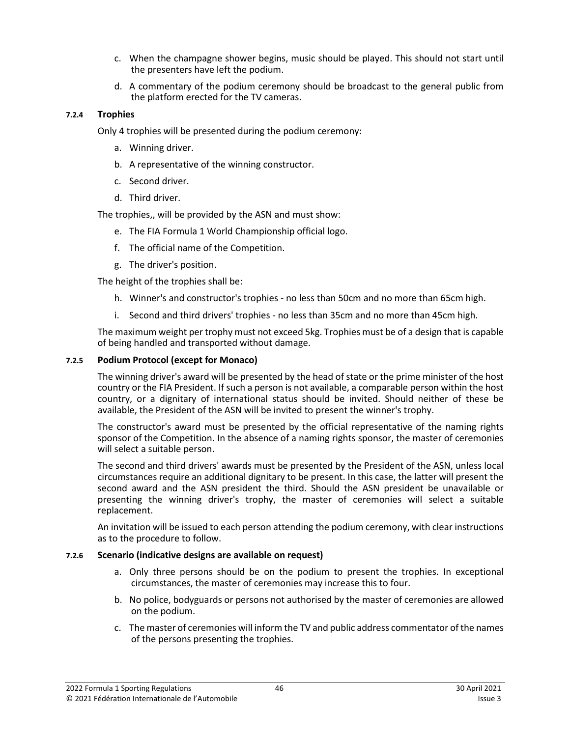- c. When the champagne shower begins, music should be played. This should not start until the presenters have left the podium.
- d. A commentary of the podium ceremony should be broadcast to the general public from the platform erected for the TV cameras.

#### **7.2.4 Trophies**

Only 4 trophies will be presented during the podium ceremony:

- a. Winning driver.
- b. A representative of the winning constructor.
- c. Second driver.
- d. Third driver.

The trophies,, will be provided by the ASN and must show:

- e. The FIA Formula 1 World Championship official logo.
- f. The official name of the Competition.
- g. The driver's position.

The height of the trophies shall be:

- h. Winner's and constructor's trophies no less than 50cm and no more than 65cm high.
- i. Second and third drivers' trophies no less than 35cm and no more than 45cm high.

The maximum weight per trophy must not exceed 5kg. Trophies must be of a design that is capable of being handled and transported without damage.

#### **7.2.5 Podium Protocol (except for Monaco)**

The winning driver's award will be presented by the head of state or the prime minister of the host country or the FIA President. If such a person is not available, a comparable person within the host country, or a dignitary of international status should be invited. Should neither of these be available, the President of the ASN will be invited to present the winner's trophy.

The constructor's award must be presented by the official representative of the naming rights sponsor of the Competition. In the absence of a naming rights sponsor, the master of ceremonies will select a suitable person.

The second and third drivers' awards must be presented by the President of the ASN, unless local circumstances require an additional dignitary to be present. In this case, the latter will present the second award and the ASN president the third. Should the ASN president be unavailable or presenting the winning driver's trophy, the master of ceremonies will select a suitable replacement.

An invitation will be issued to each person attending the podium ceremony, with clear instructions as to the procedure to follow.

#### **7.2.6 Scenario (indicative designs are available on request)**

- a. Only three persons should be on the podium to present the trophies. In exceptional circumstances, the master of ceremonies may increase this to four.
- b. No police, bodyguards or persons not authorised by the master of ceremonies are allowed on the podium.
- c. The master of ceremonies will inform the TV and public address commentator of the names of the persons presenting the trophies.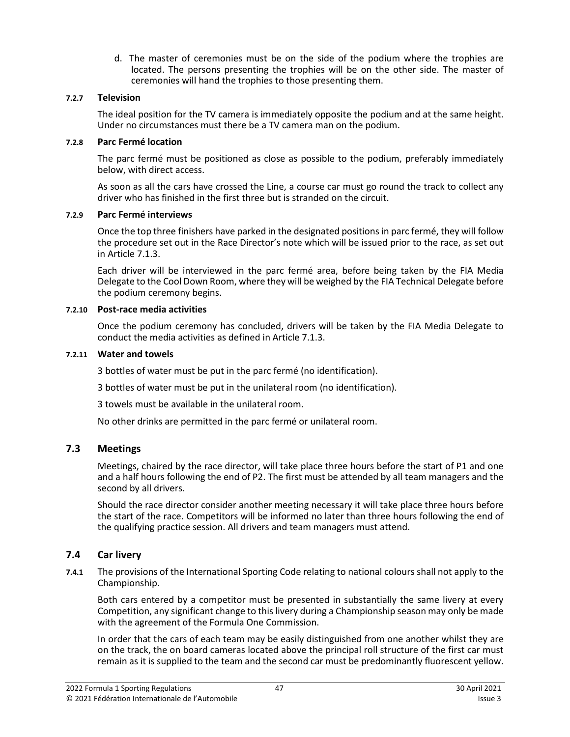d. The master of ceremonies must be on the side of the podium where the trophies are located. The persons presenting the trophies will be on the other side. The master of ceremonies will hand the trophies to those presenting them.

#### **7.2.7 Television**

The ideal position for the TV camera is immediately opposite the podium and at the same height. Under no circumstances must there be a TV camera man on the podium.

#### **7.2.8 Parc Fermé location**

The parc fermé must be positioned as close as possible to the podium, preferably immediately below, with direct access.

As soon as all the cars have crossed the Line, a course car must go round the track to collect any driver who has finished in the first three but is stranded on the circuit.

#### **7.2.9 Parc Fermé interviews**

Once the top three finishers have parked in the designated positions in parc fermé, they will follow the procedure set out in the Race Director's note which will be issued prior to the race, as set out in Article 7.1.3.

Each driver will be interviewed in the parc fermé area, before being taken by the FIA Media Delegate to the Cool Down Room, where they will be weighed by the FIA Technical Delegate before the podium ceremony begins.

#### **7.2.10 Post-race media activities**

Once the podium ceremony has concluded, drivers will be taken by the FIA Media Delegate to conduct the media activities as defined in Article 7.1.3.

#### **7.2.11 Water and towels**

3 bottles of water must be put in the parc fermé (no identification).

3 bottles of water must be put in the unilateral room (no identification).

3 towels must be available in the unilateral room.

No other drinks are permitted in the parc fermé or unilateral room.

## **7.3 Meetings**

Meetings, chaired by the race director, will take place three hours before the start of P1 and one and a half hours following the end of P2. The first must be attended by all team managers and the second by all drivers.

Should the race director consider another meeting necessary it will take place three hours before the start of the race. Competitors will be informed no later than three hours following the end of the qualifying practice session. All drivers and team managers must attend.

## **7.4 Car livery**

**7.4.1** The provisions of the International Sporting Code relating to national colours shall not apply to the Championship.

Both cars entered by a competitor must be presented in substantially the same livery at every Competition, any significant change to this livery during a Championship season may only be made with the agreement of the Formula One Commission.

In order that the cars of each team may be easily distinguished from one another whilst they are on the track, the on board cameras located above the principal roll structure of the first car must remain as it is supplied to the team and the second car must be predominantly fluorescent yellow.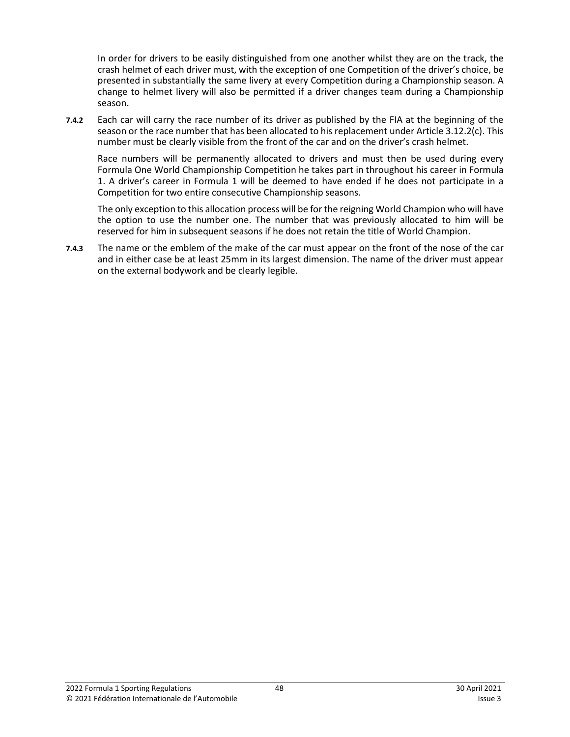In order for drivers to be easily distinguished from one another whilst they are on the track, the crash helmet of each driver must, with the exception of one Competition of the driver's choice, be presented in substantially the same livery at every Competition during a Championship season. A change to helmet livery will also be permitted if a driver changes team during a Championship season.

**7.4.2** Each car will carry the race number of its driver as published by the FIA at the beginning of the season or the race number that has been allocated to his replacement under Article 3.12.2(c). This number must be clearly visible from the front of the car and on the driver's crash helmet.

Race numbers will be permanently allocated to drivers and must then be used during every Formula One World Championship Competition he takes part in throughout his career in Formula 1. A driver's career in Formula 1 will be deemed to have ended if he does not participate in a Competition for two entire consecutive Championship seasons.

The only exception to this allocation process will be for the reigning World Champion who will have the option to use the number one. The number that was previously allocated to him will be reserved for him in subsequent seasons if he does not retain the title of World Champion.

**7.4.3** The name or the emblem of the make of the car must appear on the front of the nose of the car and in either case be at least 25mm in its largest dimension. The name of the driver must appear on the external bodywork and be clearly legible.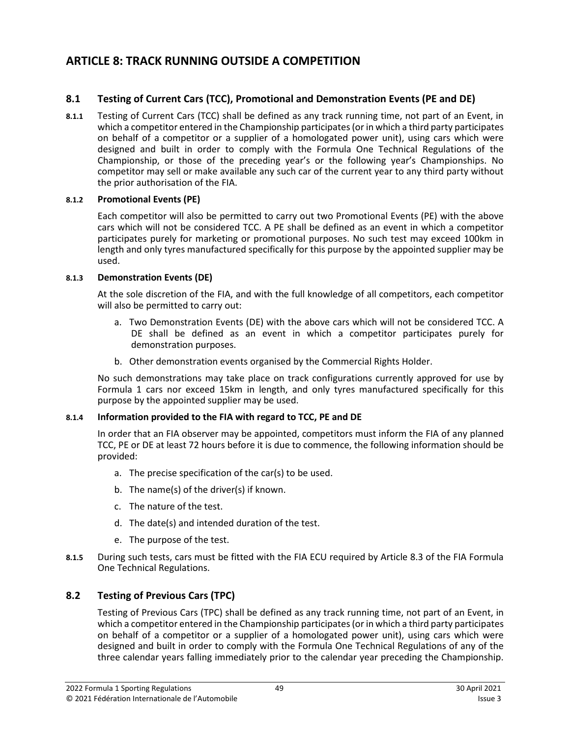# **ARTICLE 8: TRACK RUNNING OUTSIDE A COMPETITION**

## **8.1 Testing of Current Cars (TCC), Promotional and Demonstration Events (PE and DE)**

**8.1.1** Testing of Current Cars (TCC) shall be defined as any track running time, not part of an Event, in which a competitor entered in the Championship participates (or in which a third party participates on behalf of a competitor or a supplier of a homologated power unit), using cars which were designed and built in order to comply with the Formula One Technical Regulations of the Championship, or those of the preceding year's or the following year's Championships. No competitor may sell or make available any such car of the current year to any third party without the prior authorisation of the FIA.

#### **8.1.2 Promotional Events (PE)**

Each competitor will also be permitted to carry out two Promotional Events (PE) with the above cars which will not be considered TCC. A PE shall be defined as an event in which a competitor participates purely for marketing or promotional purposes. No such test may exceed 100km in length and only tyres manufactured specifically for this purpose by the appointed supplier may be used.

#### **8.1.3 Demonstration Events (DE)**

At the sole discretion of the FIA, and with the full knowledge of all competitors, each competitor will also be permitted to carry out:

- a. Two Demonstration Events (DE) with the above cars which will not be considered TCC. A DE shall be defined as an event in which a competitor participates purely for demonstration purposes.
- b. Other demonstration events organised by the Commercial Rights Holder.

No such demonstrations may take place on track configurations currently approved for use by Formula 1 cars nor exceed 15km in length, and only tyres manufactured specifically for this purpose by the appointed supplier may be used.

## **8.1.4 Information provided to the FIA with regard to TCC, PE and DE**

In order that an FIA observer may be appointed, competitors must inform the FIA of any planned TCC, PE or DE at least 72 hours before it is due to commence, the following information should be provided:

- a. The precise specification of the car(s) to be used.
- b. The name(s) of the driver(s) if known.
- c. The nature of the test.
- d. The date(s) and intended duration of the test.
- e. The purpose of the test.
- **8.1.5** During such tests, cars must be fitted with the FIA ECU required by Article 8.3 of the FIA Formula One Technical Regulations.

## **8.2 Testing of Previous Cars (TPC)**

Testing of Previous Cars (TPC) shall be defined as any track running time, not part of an Event, in which a competitor entered in the Championship participates (or in which a third party participates on behalf of a competitor or a supplier of a homologated power unit), using cars which were designed and built in order to comply with the Formula One Technical Regulations of any of the three calendar years falling immediately prior to the calendar year preceding the Championship.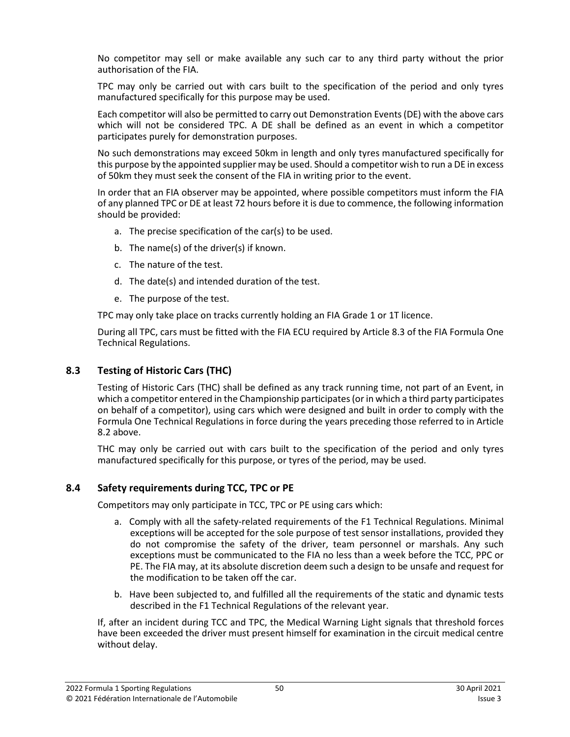No competitor may sell or make available any such car to any third party without the prior authorisation of the FIA.

TPC may only be carried out with cars built to the specification of the period and only tyres manufactured specifically for this purpose may be used.

Each competitor will also be permitted to carry out Demonstration Events (DE) with the above cars which will not be considered TPC. A DE shall be defined as an event in which a competitor participates purely for demonstration purposes.

No such demonstrations may exceed 50km in length and only tyres manufactured specifically for this purpose by the appointed supplier may be used. Should a competitor wish to run a DE in excess of 50km they must seek the consent of the FIA in writing prior to the event.

In order that an FIA observer may be appointed, where possible competitors must inform the FIA of any planned TPC or DE at least 72 hours before it is due to commence, the following information should be provided:

- a. The precise specification of the car(s) to be used.
- b. The name(s) of the driver(s) if known.
- c. The nature of the test.
- d. The date(s) and intended duration of the test.
- e. The purpose of the test.

TPC may only take place on tracks currently holding an FIA Grade 1 or 1T licence.

During all TPC, cars must be fitted with the FIA ECU required by Article 8.3 of the FIA Formula One Technical Regulations.

## **8.3 Testing of Historic Cars (THC)**

Testing of Historic Cars (THC) shall be defined as any track running time, not part of an Event, in which a competitor entered in the Championship participates (or in which a third party participates on behalf of a competitor), using cars which were designed and built in order to comply with the Formula One Technical Regulations in force during the years preceding those referred to in Article 8.2 above.

THC may only be carried out with cars built to the specification of the period and only tyres manufactured specifically for this purpose, or tyres of the period, may be used.

## **8.4 Safety requirements during TCC, TPC or PE**

Competitors may only participate in TCC, TPC or PE using cars which:

- a. Comply with all the safety-related requirements of the F1 Technical Regulations. Minimal exceptions will be accepted for the sole purpose of test sensor installations, provided they do not compromise the safety of the driver, team personnel or marshals. Any such exceptions must be communicated to the FIA no less than a week before the TCC, PPC or PE. The FIA may, at its absolute discretion deem such a design to be unsafe and request for the modification to be taken off the car.
- b. Have been subjected to, and fulfilled all the requirements of the static and dynamic tests described in the F1 Technical Regulations of the relevant year.

If, after an incident during TCC and TPC, the Medical Warning Light signals that threshold forces have been exceeded the driver must present himself for examination in the circuit medical centre without delay.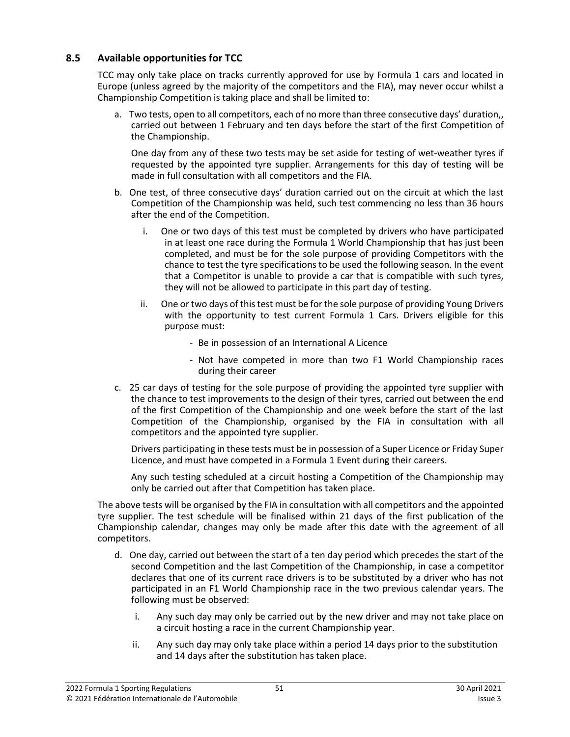## **8.5 Available opportunities for TCC**

TCC may only take place on tracks currently approved for use by Formula 1 cars and located in Europe (unless agreed by the majority of the competitors and the FIA), may never occur whilst a Championship Competition is taking place and shall be limited to:

a. Two tests, open to all competitors, each of no more than three consecutive days' duration,, carried out between 1 February and ten days before the start of the first Competition of the Championship.

One day from any of these two tests may be set aside for testing of wet-weather tyres if requested by the appointed tyre supplier. Arrangements for this day of testing will be made in full consultation with all competitors and the FIA.

- b. One test, of three consecutive days' duration carried out on the circuit at which the last Competition of the Championship was held, such test commencing no less than 36 hours after the end of the Competition.
	- One or two days of this test must be completed by drivers who have participated in at least one race during the Formula 1 World Championship that has just been completed, and must be for the sole purpose of providing Competitors with the chance to test the tyre specifications to be used the following season. In the event that a Competitor is unable to provide a car that is compatible with such tyres, they will not be allowed to participate in this part day of testing.
	- ii. One or two days of this test must be for the sole purpose of providing Young Drivers with the opportunity to test current Formula 1 Cars. Drivers eligible for this purpose must:
		- Be in possession of an International A Licence
		- Not have competed in more than two F1 World Championship races during their career
- c. 25 car days of testing for the sole purpose of providing the appointed tyre supplier with the chance to test improvements to the design of their tyres, carried out between the end of the first Competition of the Championship and one week before the start of the last Competition of the Championship, organised by the FIA in consultation with all competitors and the appointed tyre supplier.

Drivers participating in these tests must be in possession of a Super Licence or Friday Super Licence, and must have competed in a Formula 1 Event during their careers.

Any such testing scheduled at a circuit hosting a Competition of the Championship may only be carried out after that Competition has taken place.

The above tests will be organised by the FIA in consultation with all competitors and the appointed tyre supplier. The test schedule will be finalised within 21 days of the first publication of the Championship calendar, changes may only be made after this date with the agreement of all competitors.

- d. One day, carried out between the start of a ten day period which precedes the start of the second Competition and the last Competition of the Championship, in case a competitor declares that one of its current race drivers is to be substituted by a driver who has not participated in an F1 World Championship race in the two previous calendar years. The following must be observed:
	- i. Any such day may only be carried out by the new driver and may not take place on a circuit hosting a race in the current Championship year.
	- ii. Any such day may only take place within a period 14 days prior to the substitution and 14 days after the substitution has taken place.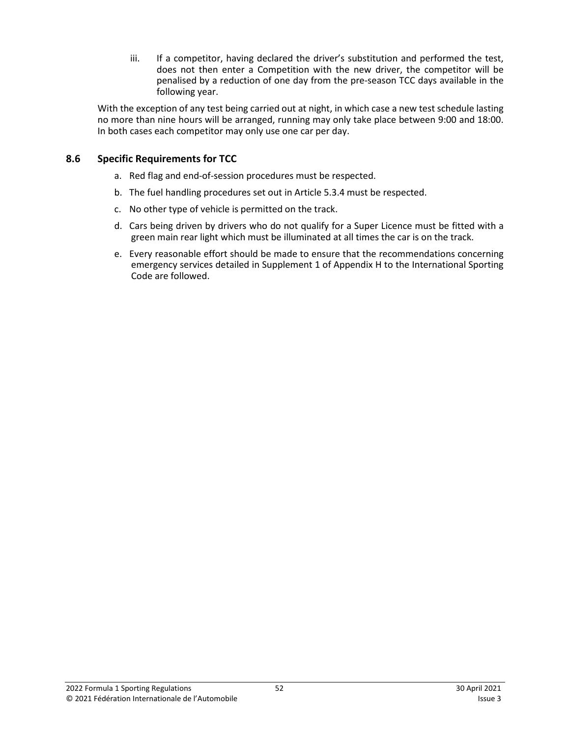iii. If a competitor, having declared the driver's substitution and performed the test, does not then enter a Competition with the new driver, the competitor will be penalised by a reduction of one day from the pre-season TCC days available in the following year.

With the exception of any test being carried out at night, in which case a new test schedule lasting no more than nine hours will be arranged, running may only take place between 9:00 and 18:00. In both cases each competitor may only use one car per day.

## **8.6 Specific Requirements for TCC**

- a. Red flag and end-of-session procedures must be respected.
- b. The fuel handling procedures set out in Article 5.3.4 must be respected.
- c. No other type of vehicle is permitted on the track.
- d. Cars being driven by drivers who do not qualify for a Super Licence must be fitted with a green main rear light which must be illuminated at all times the car is on the track.
- e. Every reasonable effort should be made to ensure that the recommendations concerning emergency services detailed in Supplement 1 of Appendix H to the International Sporting Code are followed.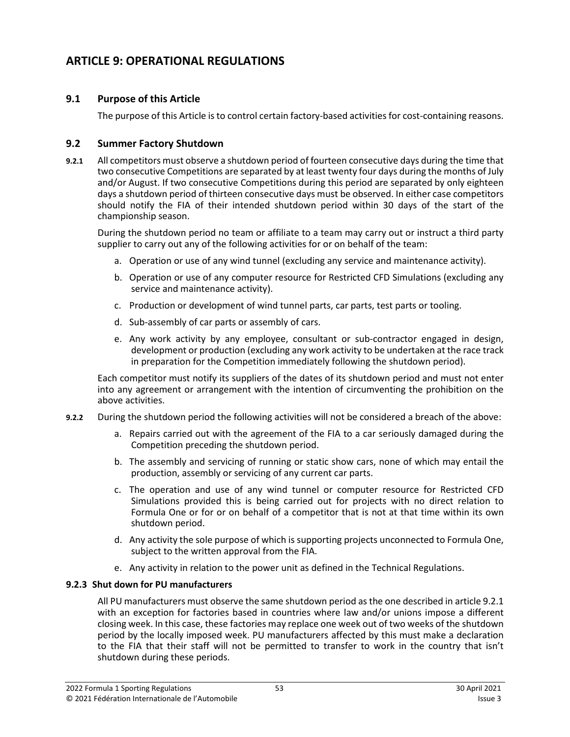# **ARTICLE 9: OPERATIONAL REGULATIONS**

## **9.1 Purpose of this Article**

The purpose of this Article is to control certain factory-based activities for cost-containing reasons.

## **9.2 Summer Factory Shutdown**

**9.2.1** All competitors must observe a shutdown period of fourteen consecutive days during the time that two consecutive Competitions are separated by at least twenty four days during the months of July and/or August. If two consecutive Competitions during this period are separated by only eighteen days a shutdown period of thirteen consecutive days must be observed. In either case competitors should notify the FIA of their intended shutdown period within 30 days of the start of the championship season.

During the shutdown period no team or affiliate to a team may carry out or instruct a third party supplier to carry out any of the following activities for or on behalf of the team:

- a. Operation or use of any wind tunnel (excluding any service and maintenance activity).
- b. Operation or use of any computer resource for Restricted CFD Simulations (excluding any service and maintenance activity).
- c. Production or development of wind tunnel parts, car parts, test parts or tooling.
- d. Sub-assembly of car parts or assembly of cars.
- e. Any work activity by any employee, consultant or sub-contractor engaged in design, development or production (excluding any work activity to be undertaken at the race track in preparation for the Competition immediately following the shutdown period).

Each competitor must notify its suppliers of the dates of its shutdown period and must not enter into any agreement or arrangement with the intention of circumventing the prohibition on the above activities.

- **9.2.2** During the shutdown period the following activities will not be considered a breach of the above:
	- a. Repairs carried out with the agreement of the FIA to a car seriously damaged during the Competition preceding the shutdown period.
	- b. The assembly and servicing of running or static show cars, none of which may entail the production, assembly or servicing of any current car parts.
	- c. The operation and use of any wind tunnel or computer resource for Restricted CFD Simulations provided this is being carried out for projects with no direct relation to Formula One or for or on behalf of a competitor that is not at that time within its own shutdown period.
	- d. Any activity the sole purpose of which is supporting projects unconnected to Formula One, subject to the written approval from the FIA.
	- e. Any activity in relation to the power unit as defined in the Technical Regulations.

## **9.2.3 Shut down for PU manufacturers**

All PU manufacturers must observe the same shutdown period as the one described in article 9.2.1 with an exception for factories based in countries where law and/or unions impose a different closing week. In this case, these factories may replace one week out of two weeks of the shutdown period by the locally imposed week. PU manufacturers affected by this must make a declaration to the FIA that their staff will not be permitted to transfer to work in the country that isn't shutdown during these periods.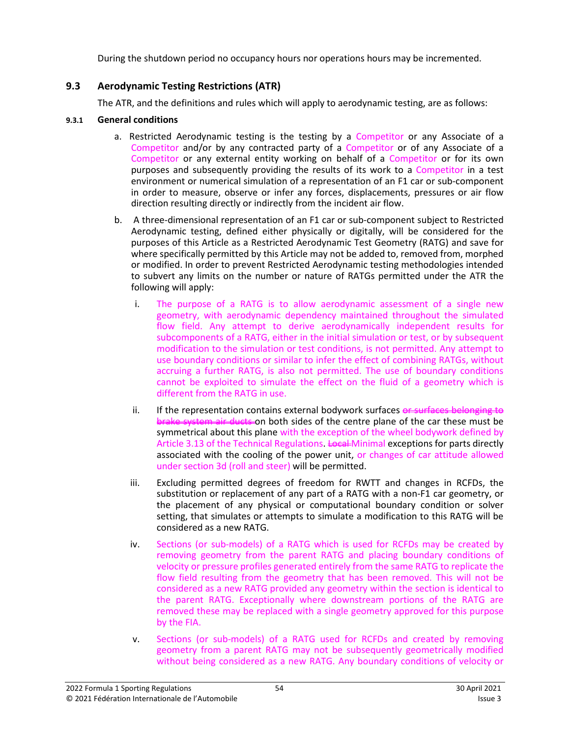During the shutdown period no occupancy hours nor operations hours may be incremented.

## **9.3 Aerodynamic Testing Restrictions (ATR)**

The ATR, and the definitions and rules which will apply to aerodynamic testing, are as follows:

#### **9.3.1 General conditions**

- a. Restricted Aerodynamic testing is the testing by a Competitor or any Associate of a Competitor and/or by any contracted party of a Competitor or of any Associate of a Competitor or any external entity working on behalf of a Competitor or for its own purposes and subsequently providing the results of its work to a Competitor in a test environment or numerical simulation of a representation of an F1 car or sub-component in order to measure, observe or infer any forces, displacements, pressures or air flow direction resulting directly or indirectly from the incident air flow.
- b. A three-dimensional representation of an F1 car or sub-component subject to Restricted Aerodynamic testing, defined either physically or digitally, will be considered for the purposes of this Article as a Restricted Aerodynamic Test Geometry (RATG) and save for where specifically permitted by this Article may not be added to, removed from, morphed or modified. In order to prevent Restricted Aerodynamic testing methodologies intended to subvert any limits on the number or nature of RATGs permitted under the ATR the following will apply:
	- i. The purpose of a RATG is to allow aerodynamic assessment of a single new geometry, with aerodynamic dependency maintained throughout the simulated flow field. Any attempt to derive aerodynamically independent results for subcomponents of a RATG, either in the initial simulation or test, or by subsequent modification to the simulation or test conditions, is not permitted. Any attempt to use boundary conditions or similar to infer the effect of combining RATGs, without accruing a further RATG, is also not permitted. The use of boundary conditions cannot be exploited to simulate the effect on the fluid of a geometry which is different from the RATG in use.
	- ii. If the representation contains external bodywork surfaces or surfaces belonging to brake system air ducts on both sides of the centre plane of the car these must be symmetrical about this plane with the exception of the wheel bodywork defined by Article 3.13 of the Technical Regulations. Local Minimal exceptions for parts directly associated with the cooling of the power unit, or changes of car attitude allowed under section 3d (roll and steer) will be permitted.
	- iii. Excluding permitted degrees of freedom for RWTT and changes in RCFDs, the substitution or replacement of any part of a RATG with a non-F1 car geometry, or the placement of any physical or computational boundary condition or solver setting, that simulates or attempts to simulate a modification to this RATG will be considered as a new RATG.
	- iv. Sections (or sub-models) of a RATG which is used for RCFDs may be created by removing geometry from the parent RATG and placing boundary conditions of velocity or pressure profiles generated entirely from the same RATG to replicate the flow field resulting from the geometry that has been removed. This will not be considered as a new RATG provided any geometry within the section is identical to the parent RATG. Exceptionally where downstream portions of the RATG are removed these may be replaced with a single geometry approved for this purpose by the FIA.
	- v. Sections (or sub-models) of a RATG used for RCFDs and created by removing geometry from a parent RATG may not be subsequently geometrically modified without being considered as a new RATG. Any boundary conditions of velocity or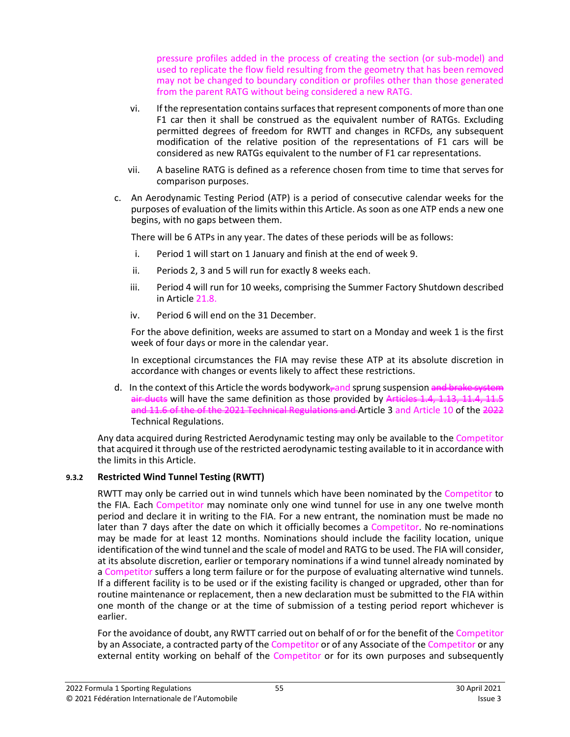pressure profiles added in the process of creating the section (or sub-model) and used to replicate the flow field resulting from the geometry that has been removed may not be changed to boundary condition or profiles other than those generated from the parent RATG without being considered a new RATG.

- vi. If the representation contains surfaces that represent components of more than one F1 car then it shall be construed as the equivalent number of RATGs. Excluding permitted degrees of freedom for RWTT and changes in RCFDs, any subsequent modification of the relative position of the representations of F1 cars will be considered as new RATGs equivalent to the number of F1 car representations.
- vii. A baseline RATG is defined as a reference chosen from time to time that serves for comparison purposes.
- c. An Aerodynamic Testing Period (ATP) is a period of consecutive calendar weeks for the purposes of evaluation of the limits within this Article. As soon as one ATP ends a new one begins, with no gaps between them.

There will be 6 ATPs in any year. The dates of these periods will be as follows:

- i. Period 1 will start on 1 January and finish at the end of week 9.
- ii. Periods 2, 3 and 5 will run for exactly 8 weeks each.
- iii. Period 4 will run for 10 weeks, comprising the Summer Factory Shutdown described in Article 21.8.
- iv. Period 6 will end on the 31 December.

For the above definition, weeks are assumed to start on a Monday and week 1 is the first week of four days or more in the calendar year.

In exceptional circumstances the FIA may revise these ATP at its absolute discretion in accordance with changes or events likely to affect these restrictions.

d. In the context of this Article the words bodywork $\frac{1}{2}$  and sprung suspension and brake system air ducts will have the same definition as those provided by Articles 1.4, 1.13, 11.4, 11.5 and 11.6 of the of the 2021 Technical Regulations and Article 3 and Article 10 of the 2022 Technical Regulations.

Any data acquired during Restricted Aerodynamic testing may only be available to the Competitor that acquired it through use of the restricted aerodynamic testing available to it in accordance with the limits in this Article.

## **9.3.2 Restricted Wind Tunnel Testing (RWTT)**

RWTT may only be carried out in wind tunnels which have been nominated by the Competitor to the FIA. Each Competitor may nominate only one wind tunnel for use in any one twelve month period and declare it in writing to the FIA. For a new entrant, the nomination must be made no later than 7 days after the date on which it officially becomes a Competitor. No re-nominations may be made for at least 12 months. Nominations should include the facility location, unique identification of the wind tunnel and the scale of model and RATG to be used. The FIA will consider, at its absolute discretion, earlier or temporary nominations if a wind tunnel already nominated by a Competitor suffers a long term failure or for the purpose of evaluating alternative wind tunnels. If a different facility is to be used or if the existing facility is changed or upgraded, other than for routine maintenance or replacement, then a new declaration must be submitted to the FIA within one month of the change or at the time of submission of a testing period report whichever is earlier.

For the avoidance of doubt, any RWTT carried out on behalf of or for the benefit of the Competitor by an Associate, a contracted party of the Competitor or of any Associate of the Competitor or any external entity working on behalf of the Competitor or for its own purposes and subsequently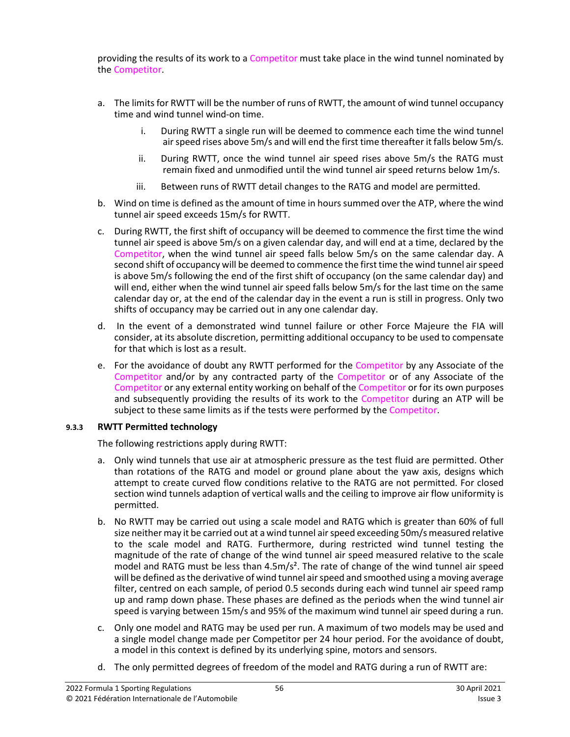providing the results of its work to a Competitor must take place in the wind tunnel nominated by the Competitor.

- a. The limits for RWTT will be the number of runs of RWTT, the amount of wind tunnel occupancy time and wind tunnel wind-on time.
	- i. During RWTT a single run will be deemed to commence each time the wind tunnel air speed rises above 5m/s and will end the first time thereafter it falls below 5m/s.
	- ii. During RWTT, once the wind tunnel air speed rises above 5m/s the RATG must remain fixed and unmodified until the wind tunnel air speed returns below 1m/s.
	- iii. Between runs of RWTT detail changes to the RATG and model are permitted.
- b. Wind on time is defined as the amount of time in hours summed over the ATP, where the wind tunnel air speed exceeds 15m/s for RWTT.
- c. During RWTT, the first shift of occupancy will be deemed to commence the first time the wind tunnel air speed is above 5m/s on a given calendar day, and will end at a time, declared by the Competitor, when the wind tunnel air speed falls below 5m/s on the same calendar day. A second shift of occupancy will be deemed to commence the first time the wind tunnel air speed is above 5m/s following the end of the first shift of occupancy (on the same calendar day) and will end, either when the wind tunnel air speed falls below 5m/s for the last time on the same calendar day or, at the end of the calendar day in the event a run is still in progress. Only two shifts of occupancy may be carried out in any one calendar day.
- d. In the event of a demonstrated wind tunnel failure or other Force Majeure the FIA will consider, at its absolute discretion, permitting additional occupancy to be used to compensate for that which is lost as a result.
- e. For the avoidance of doubt any RWTT performed for the Competitor by any Associate of the Competitor and/or by any contracted party of the Competitor or of any Associate of the Competitor or any external entity working on behalf of the Competitor or for its own purposes and subsequently providing the results of its work to the Competitor during an ATP will be subject to these same limits as if the tests were performed by the Competitor.

#### **9.3.3 RWTT Permitted technology**

The following restrictions apply during RWTT:

- a. Only wind tunnels that use air at atmospheric pressure as the test fluid are permitted. Other than rotations of the RATG and model or ground plane about the yaw axis, designs which attempt to create curved flow conditions relative to the RATG are not permitted. For closed section wind tunnels adaption of vertical walls and the ceiling to improve air flow uniformity is permitted.
- b. No RWTT may be carried out using a scale model and RATG which is greater than 60% of full size neither may it be carried out at a wind tunnel air speed exceeding 50m/s measured relative to the scale model and RATG. Furthermore, during restricted wind tunnel testing the magnitude of the rate of change of the wind tunnel air speed measured relative to the scale model and RATG must be less than 4.5m/s². The rate of change of the wind tunnel air speed will be defined as the derivative of wind tunnel air speed and smoothed using a moving average filter, centred on each sample, of period 0.5 seconds during each wind tunnel air speed ramp up and ramp down phase. These phases are defined as the periods when the wind tunnel air speed is varying between 15m/s and 95% of the maximum wind tunnel air speed during a run.
- c. Only one model and RATG may be used per run. A maximum of two models may be used and a single model change made per Competitor per 24 hour period. For the avoidance of doubt, a model in this context is defined by its underlying spine, motors and sensors.
- d. The only permitted degrees of freedom of the model and RATG during a run of RWTT are: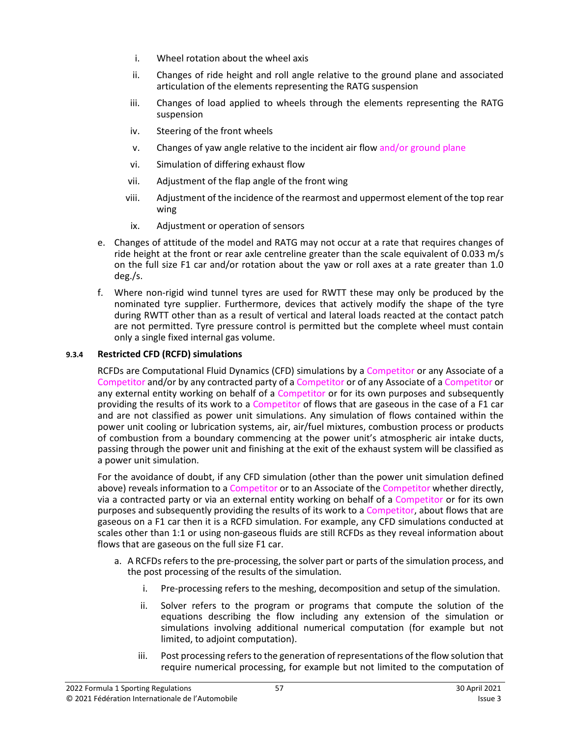- i. Wheel rotation about the wheel axis
- ii. Changes of ride height and roll angle relative to the ground plane and associated articulation of the elements representing the RATG suspension
- iii. Changes of load applied to wheels through the elements representing the RATG suspension
- iv. Steering of the front wheels
- v. Changes of yaw angle relative to the incident air flow and/or ground plane
- vi. Simulation of differing exhaust flow
- vii. Adjustment of the flap angle of the front wing
- viii. Adjustment of the incidence of the rearmost and uppermost element of the top rear wing
- ix. Adjustment or operation of sensors
- e. Changes of attitude of the model and RATG may not occur at a rate that requires changes of ride height at the front or rear axle centreline greater than the scale equivalent of 0.033 m/s on the full size F1 car and/or rotation about the yaw or roll axes at a rate greater than 1.0 deg./s.
- f. Where non-rigid wind tunnel tyres are used for RWTT these may only be produced by the nominated tyre supplier. Furthermore, devices that actively modify the shape of the tyre during RWTT other than as a result of vertical and lateral loads reacted at the contact patch are not permitted. Tyre pressure control is permitted but the complete wheel must contain only a single fixed internal gas volume.

## **9.3.4 Restricted CFD (RCFD) simulations**

RCFDs are Computational Fluid Dynamics (CFD) simulations by a Competitor or any Associate of a Competitor and/or by any contracted party of a Competitor or of any Associate of a Competitor or any external entity working on behalf of a Competitor or for its own purposes and subsequently providing the results of its work to a Competitor of flows that are gaseous in the case of a F1 car and are not classified as power unit simulations. Any simulation of flows contained within the power unit cooling or lubrication systems, air, air/fuel mixtures, combustion process or products of combustion from a boundary commencing at the power unit's atmospheric air intake ducts, passing through the power unit and finishing at the exit of the exhaust system will be classified as a power unit simulation.

For the avoidance of doubt, if any CFD simulation (other than the power unit simulation defined above) reveals information to a Competitor or to an Associate of the Competitor whether directly, via a contracted party or via an external entity working on behalf of a Competitor or for its own purposes and subsequently providing the results of its work to a Competitor, about flows that are gaseous on a F1 car then it is a RCFD simulation. For example, any CFD simulations conducted at scales other than 1:1 or using non-gaseous fluids are still RCFDs as they reveal information about flows that are gaseous on the full size F1 car.

- a. A RCFDs refers to the pre-processing, the solver part or parts of the simulation process, and the post processing of the results of the simulation.
	- i. Pre-processing refers to the meshing, decomposition and setup of the simulation.
	- ii. Solver refers to the program or programs that compute the solution of the equations describing the flow including any extension of the simulation or simulations involving additional numerical computation (for example but not limited, to adjoint computation).
	- iii. Post processing refers to the generation of representations of the flow solution that require numerical processing, for example but not limited to the computation of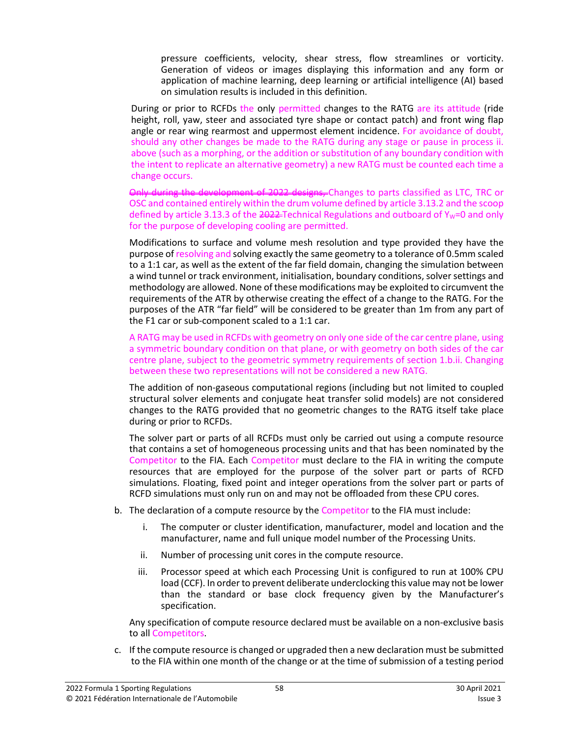pressure coefficients, velocity, shear stress, flow streamlines or vorticity. Generation of videos or images displaying this information and any form or application of machine learning, deep learning or artificial intelligence (AI) based on simulation results is included in this definition.

During or prior to RCFDs the only permitted changes to the RATG are its attitude (ride height, roll, yaw, steer and associated tyre shape or contact patch) and front wing flap angle or rear wing rearmost and uppermost element incidence. For avoidance of doubt, should any other changes be made to the RATG during any stage or pause in process ii. above (such as a morphing, or the addition or substitution of any boundary condition with the intent to replicate an alternative geometry) a new RATG must be counted each time a change occurs.

Only during the development of 2022 designs, Changes to parts classified as LTC, TRC or OSC and contained entirely within the drum volume defined by article 3.13.2 and the scoop defined by article 3.13.3 of the  $2022$ -Technical Regulations and outboard of Y<sub>W</sub>=0 and only for the purpose of developing cooling are permitted.

Modifications to surface and volume mesh resolution and type provided they have the purpose of resolving and solving exactly the same geometry to a tolerance of 0.5mm scaled to a 1:1 car, as well as the extent of the far field domain, changing the simulation between a wind tunnel or track environment, initialisation, boundary conditions, solver settings and methodology are allowed. None of these modifications may be exploited to circumvent the requirements of the ATR by otherwise creating the effect of a change to the RATG. For the purposes of the ATR "far field" will be considered to be greater than 1m from any part of the F1 car or sub-component scaled to a 1:1 car.

A RATG may be used in RCFDs with geometry on only one side of the car centre plane, using a symmetric boundary condition on that plane, or with geometry on both sides of the car centre plane, subject to the geometric symmetry requirements of section 1.b.ii. Changing between these two representations will not be considered a new RATG.

The addition of non-gaseous computational regions (including but not limited to coupled structural solver elements and conjugate heat transfer solid models) are not considered changes to the RATG provided that no geometric changes to the RATG itself take place during or prior to RCFDs.

The solver part or parts of all RCFDs must only be carried out using a compute resource that contains a set of homogeneous processing units and that has been nominated by the Competitor to the FIA. Each Competitor must declare to the FIA in writing the compute resources that are employed for the purpose of the solver part or parts of RCFD simulations. Floating, fixed point and integer operations from the solver part or parts of RCFD simulations must only run on and may not be offloaded from these CPU cores.

- b. The declaration of a compute resource by the Competitor to the FIA must include:
	- i. The computer or cluster identification, manufacturer, model and location and the manufacturer, name and full unique model number of the Processing Units.
	- ii. Number of processing unit cores in the compute resource.
	- iii. Processor speed at which each Processing Unit is configured to run at 100% CPU load (CCF). In order to prevent deliberate underclocking this value may not be lower than the standard or base clock frequency given by the Manufacturer's specification.

Any specification of compute resource declared must be available on a non-exclusive basis to all Competitors.

c. If the compute resource is changed or upgraded then a new declaration must be submitted to the FIA within one month of the change or at the time of submission of a testing period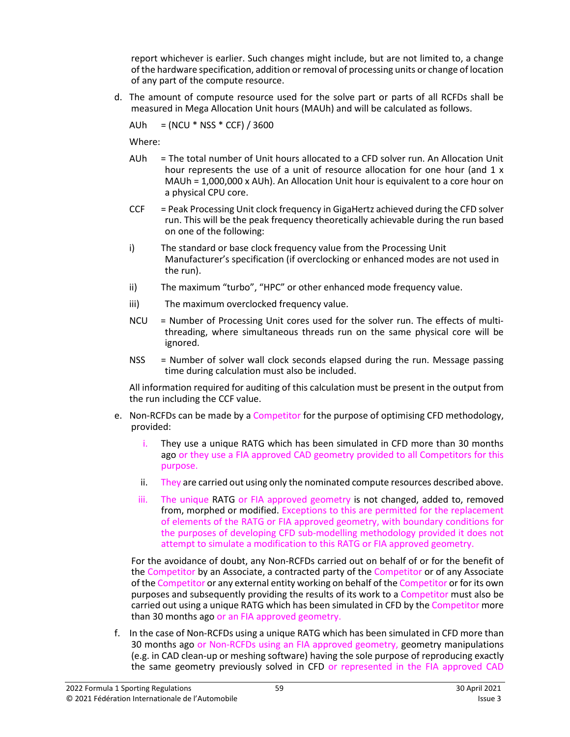report whichever is earlier. Such changes might include, but are not limited to, a change of the hardware specification, addition or removal of processing units or change of location of any part of the compute resource.

d. The amount of compute resource used for the solve part or parts of all RCFDs shall be measured in Mega Allocation Unit hours (MAUh) and will be calculated as follows.

AUh = (NCU \* NSS \* CCF) / 3600

Where:

- AUh = The total number of Unit hours allocated to a CFD solver run. An Allocation Unit hour represents the use of a unit of resource allocation for one hour (and 1 x MAUh = 1,000,000 x AUh). An Allocation Unit hour is equivalent to a core hour on a physical CPU core.
- CCF = Peak Processing Unit clock frequency in GigaHertz achieved during the CFD solver run. This will be the peak frequency theoretically achievable during the run based on one of the following:
- i) The standard or base clock frequency value from the Processing Unit Manufacturer's specification (if overclocking or enhanced modes are not used in the run).
- ii) The maximum "turbo", "HPC" or other enhanced mode frequency value.
- iii) The maximum overclocked frequency value.
- NCU = Number of Processing Unit cores used for the solver run. The effects of multithreading, where simultaneous threads run on the same physical core will be ignored.
- NSS = Number of solver wall clock seconds elapsed during the run. Message passing time during calculation must also be included.

All information required for auditing of this calculation must be present in the output from the run including the CCF value.

- e. Non-RCFDs can be made by a Competitor for the purpose of optimising CFD methodology, provided:
	- i. They use a unique RATG which has been simulated in CFD more than 30 months ago or they use a FIA approved CAD geometry provided to all Competitors for this purpose.
	- ii. They are carried out using only the nominated compute resources described above.
	- iii. The unique RATG or FIA approved geometry is not changed, added to, removed from, morphed or modified. Exceptions to this are permitted for the replacement of elements of the RATG or FIA approved geometry, with boundary conditions for the purposes of developing CFD sub-modelling methodology provided it does not attempt to simulate a modification to this RATG or FIA approved geometry.

For the avoidance of doubt, any Non-RCFDs carried out on behalf of or for the benefit of the Competitor by an Associate, a contracted party of the Competitor or of any Associate of the Competitor or any external entity working on behalf of the Competitor or for its own purposes and subsequently providing the results of its work to a Competitor must also be carried out using a unique RATG which has been simulated in CFD by the Competitor more than 30 months ago or an FIA approved geometry.

f. In the case of Non-RCFDs using a unique RATG which has been simulated in CFD more than 30 months ago or Non-RCFDs using an FIA approved geometry, geometry manipulations (e.g. in CAD clean-up or meshing software) having the sole purpose of reproducing exactly the same geometry previously solved in CFD or represented in the FIA approved CAD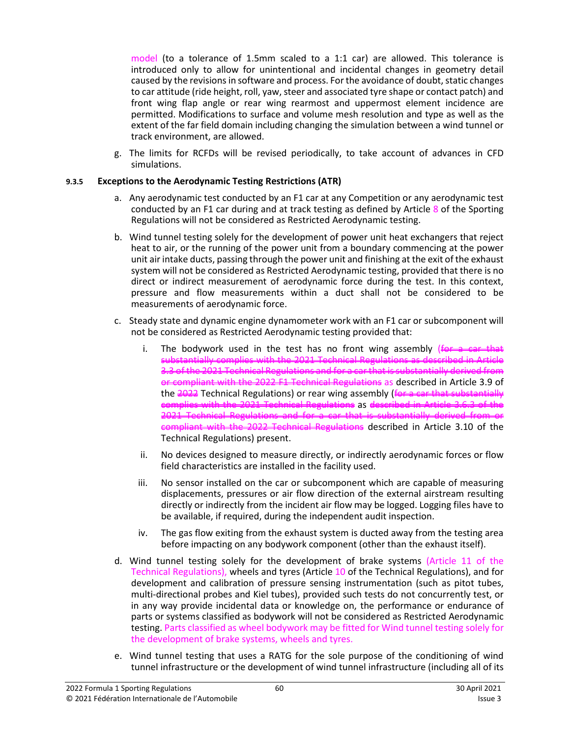model (to a tolerance of 1.5mm scaled to a 1:1 car) are allowed. This tolerance is introduced only to allow for unintentional and incidental changes in geometry detail caused by the revisions in software and process. For the avoidance of doubt, static changes to car attitude (ride height, roll, yaw, steer and associated tyre shape or contact patch) and front wing flap angle or rear wing rearmost and uppermost element incidence are permitted. Modifications to surface and volume mesh resolution and type as well as the extent of the far field domain including changing the simulation between a wind tunnel or track environment, are allowed.

g. The limits for RCFDs will be revised periodically, to take account of advances in CFD simulations.

#### **9.3.5 Exceptions to the Aerodynamic Testing Restrictions (ATR)**

- a. Any aerodynamic test conducted by an F1 car at any Competition or any aerodynamic test conducted by an F1 car during and at track testing as defined by Article 8 of the Sporting Regulations will not be considered as Restricted Aerodynamic testing.
- b. Wind tunnel testing solely for the development of power unit heat exchangers that reject heat to air, or the running of the power unit from a boundary commencing at the power unit air intake ducts, passing through the power unit and finishing at the exit of the exhaust system will not be considered as Restricted Aerodynamic testing, provided that there is no direct or indirect measurement of aerodynamic force during the test. In this context, pressure and flow measurements within a duct shall not be considered to be measurements of aerodynamic force.
- c. Steady state and dynamic engine dynamometer work with an F1 car or subcomponent will not be considered as Restricted Aerodynamic testing provided that:
	- i. The bodywork used in the test has no front wing assembly ( $\frac{f}{f}$ or a car that substantially complies with the 2021 Technical Regulations as described in Article 3.3 of the 2021 Technical Regulations and for a car that is substantially derived from or compliant with the 2022 F1 Technical Regulations as described in Article 3.9 of the 2022 Technical Regulations) or rear wing assembly (for a car that substantially complies with the 2021 Technical Regulations as described in Article 3.6.3 of the 2021 Technical Regulations and for a car that is substantially derived from or compliant with the 2022 Technical Regulations described in Article 3.10 of the Technical Regulations) present.
	- ii. No devices designed to measure directly, or indirectly aerodynamic forces or flow field characteristics are installed in the facility used.
	- iii. No sensor installed on the car or subcomponent which are capable of measuring displacements, pressures or air flow direction of the external airstream resulting directly or indirectly from the incident air flow may be logged. Logging files have to be available, if required, during the independent audit inspection.
	- iv. The gas flow exiting from the exhaust system is ducted away from the testing area before impacting on any bodywork component (other than the exhaust itself).
- d. Wind tunnel testing solely for the development of brake systems (Article 11 of the Technical Regulations), wheels and tyres (Article 10 of the Technical Regulations), and for development and calibration of pressure sensing instrumentation (such as pitot tubes, multi-directional probes and Kiel tubes), provided such tests do not concurrently test, or in any way provide incidental data or knowledge on, the performance or endurance of parts or systems classified as bodywork will not be considered as Restricted Aerodynamic testing. Parts classified as wheel bodywork may be fitted for Wind tunnel testing solely for the development of brake systems, wheels and tyres.
- e. Wind tunnel testing that uses a RATG for the sole purpose of the conditioning of wind tunnel infrastructure or the development of wind tunnel infrastructure (including all of its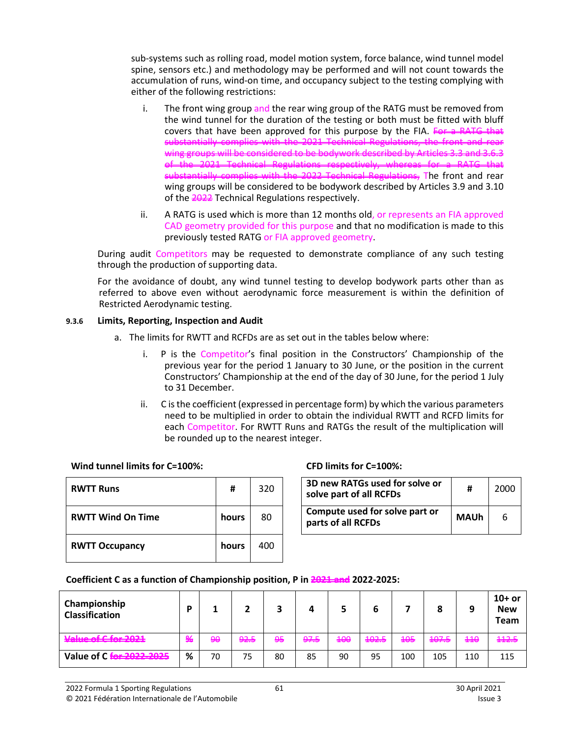sub-systems such as rolling road, model motion system, force balance, wind tunnel model spine, sensors etc.) and methodology may be performed and will not count towards the accumulation of runs, wind-on time, and occupancy subject to the testing complying with either of the following restrictions:

- i. The front wing group and the rear wing group of the RATG must be removed from the wind tunnel for the duration of the testing or both must be fitted with bluff covers that have been approved for this purpose by the FIA. For a RATG that substantially complies with the 2021 Technical Regulations, the front and rear wing groups will be considered to be bodywork described by Articles 3.3 and 3.6.3 of the 2021 Technical Regulations respectively, whereas for a RATG that substantially complies with the 2022 Technical Regulations. The front and rear wing groups will be considered to be bodywork described by Articles 3.9 and 3.10 of the  $\frac{2022}{20}$  Technical Regulations respectively.
- ii. A RATG is used which is more than 12 months old, or represents an FIA approved CAD geometry provided for this purpose and that no modification is made to this previously tested RATG or FIA approved geometry.

During audit Competitors may be requested to demonstrate compliance of any such testing through the production of supporting data.

For the avoidance of doubt, any wind tunnel testing to develop bodywork parts other than as referred to above even without aerodynamic force measurement is within the definition of Restricted Aerodynamic testing.

#### **9.3.6 Limits, Reporting, Inspection and Audit**

- a. The limits for RWTT and RCFDs are as set out in the tables below where:
	- i. P is the Competitor's final position in the Constructors' Championship of the previous year for the period 1 January to 30 June, or the position in the current Constructors' Championship at the end of the day of 30 June, for the period 1 July to 31 December.
	- ii. C is the coefficient (expressed in percentage form) by which the various parameters need to be multiplied in order to obtain the individual RWTT and RCFD limits for each Competitor. For RWTT Runs and RATGs the result of the multiplication will be rounded up to the nearest integer.

#### **Wind tunnel limits for C=100%: CFD limits for C=100%:**

| <b>RWTT Runs</b>         | #     | 320 | 3D new RATGs used for solve or<br>solve part of all RCFDs |
|--------------------------|-------|-----|-----------------------------------------------------------|
| <b>RWTT Wind On Time</b> | hours | 80  | Compute used for solve part or<br>parts of all RCFDs      |
| <b>RWTT Occupancy</b>    | hours | 400 |                                                           |

| 3D new RATGs used for solve or<br>solve part of all RCFDs | #           | 2000 |
|-----------------------------------------------------------|-------------|------|
| Compute used for solve part or<br>parts of all RCFDs      | <b>MAUh</b> | 6    |

#### **Coefficient C as a function of Championship position, P in 2021 and 2022-2025:**

| Championship<br><b>Classification</b> | D             |          |                 |               |      |                  | ь       |           | 8     | 9                | $10+$ or<br><b>New</b><br>Team |
|---------------------------------------|---------------|----------|-----------------|---------------|------|------------------|---------|-----------|-------|------------------|--------------------------------|
| $M2$ and $M2$ and $M2$                | $\frac{9}{4}$ | $\theta$ | <del>92.5</del> | $\frac{1}{2}$ | 97.5 | $\overline{400}$ | $+02.5$ | عمد<br>ᆂᇦ | 407.5 | $\pm \pm \theta$ | 442.5                          |
| Value of C for 2022-2025              | %             | 70       | 75              | 80            | 85   | 90               | 95      | 100       | 105   | 110              | 115                            |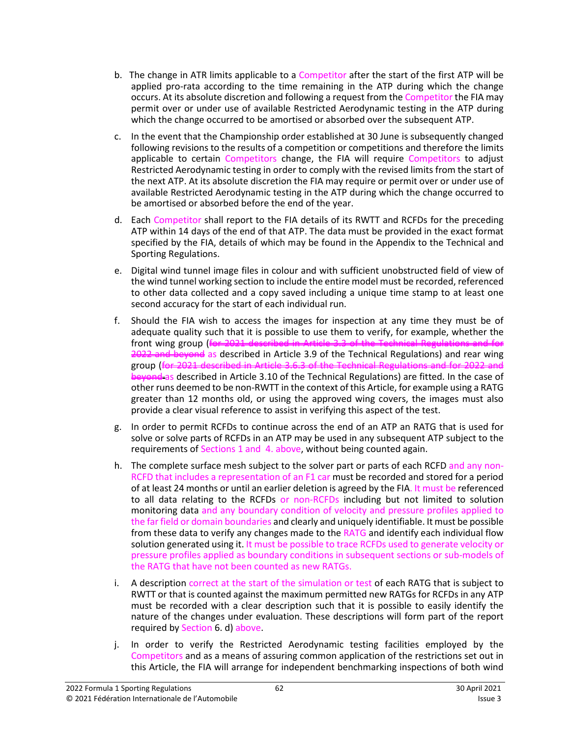- b. The change in ATR limits applicable to a Competitor after the start of the first ATP will be applied pro-rata according to the time remaining in the ATP during which the change occurs. At its absolute discretion and following a request from the Competitor the FIA may permit over or under use of available Restricted Aerodynamic testing in the ATP during which the change occurred to be amortised or absorbed over the subsequent ATP.
- c. In the event that the Championship order established at 30 June is subsequently changed following revisions to the results of a competition or competitions and therefore the limits applicable to certain Competitors change, the FIA will require Competitors to adjust Restricted Aerodynamic testing in order to comply with the revised limits from the start of the next ATP. At its absolute discretion the FIA may require or permit over or under use of available Restricted Aerodynamic testing in the ATP during which the change occurred to be amortised or absorbed before the end of the year.
- d. Each Competitor shall report to the FIA details of its RWTT and RCFDs for the preceding ATP within 14 days of the end of that ATP. The data must be provided in the exact format specified by the FIA, details of which may be found in the Appendix to the Technical and Sporting Regulations.
- e. Digital wind tunnel image files in colour and with sufficient unobstructed field of view of the wind tunnel working section to include the entire model must be recorded, referenced to other data collected and a copy saved including a unique time stamp to at least one second accuracy for the start of each individual run.
- f. Should the FIA wish to access the images for inspection at any time they must be of adequate quality such that it is possible to use them to verify, for example, whether the front wing group (for 2021 described in Article 3.3 of the Technical Regulations and for 2022 and beyond as described in Article 3.9 of the Technical Regulations) and rear wing group (<del>for 2021 described in Article 3.6.3 of the Technical Regulations</del> beyond as described in Article 3.10 of the Technical Regulations) are fitted. In the case of other runs deemed to be non-RWTT in the context of this Article, for example using a RATG greater than 12 months old, or using the approved wing covers, the images must also provide a clear visual reference to assist in verifying this aspect of the test.
- g. In order to permit RCFDs to continue across the end of an ATP an RATG that is used for solve or solve parts of RCFDs in an ATP may be used in any subsequent ATP subject to the requirements of Sections 1 and 4. above, without being counted again.
- h. The complete surface mesh subject to the solver part or parts of each RCFD and any non-RCFD that includes a representation of an F1 car must be recorded and stored for a period of at least 24 months or until an earlier deletion is agreed by the FIA. It must be referenced to all data relating to the RCFDs or non-RCFDs including but not limited to solution monitoring data and any boundary condition of velocity and pressure profiles applied to the far field or domain boundaries and clearly and uniquely identifiable. It must be possible from these data to verify any changes made to the RATG and identify each individual flow solution generated using it. It must be possible to trace RCFDs used to generate velocity or pressure profiles applied as boundary conditions in subsequent sections or sub-models of the RATG that have not been counted as new RATGs.
- i. A description correct at the start of the simulation or test of each RATG that is subject to RWTT or that is counted against the maximum permitted new RATGs for RCFDs in any ATP must be recorded with a clear description such that it is possible to easily identify the nature of the changes under evaluation. These descriptions will form part of the report required by Section 6. d) above.
- j. In order to verify the Restricted Aerodynamic testing facilities employed by the Competitors and as a means of assuring common application of the restrictions set out in this Article, the FIA will arrange for independent benchmarking inspections of both wind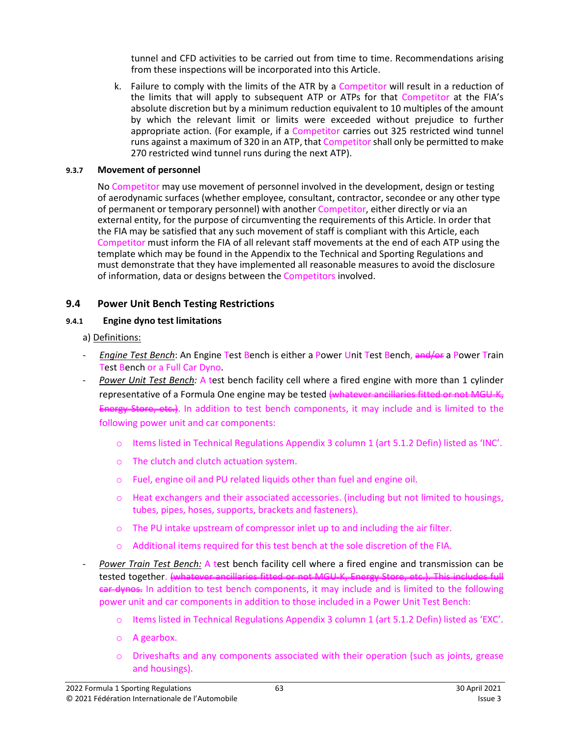tunnel and CFD activities to be carried out from time to time. Recommendations arising from these inspections will be incorporated into this Article.

k. Failure to comply with the limits of the ATR by a Competitor will result in a reduction of the limits that will apply to subsequent ATP or ATPs for that Competitor at the FIA's absolute discretion but by a minimum reduction equivalent to 10 multiples of the amount by which the relevant limit or limits were exceeded without prejudice to further appropriate action. (For example, if a Competitor carries out 325 restricted wind tunnel runs against a maximum of 320 in an ATP, that Competitorshall only be permitted to make 270 restricted wind tunnel runs during the next ATP).

#### **9.3.7 Movement of personnel**

No Competitor may use movement of personnel involved in the development, design or testing of aerodynamic surfaces (whether employee, consultant, contractor, secondee or any other type of permanent or temporary personnel) with another Competitor, either directly or via an external entity, for the purpose of circumventing the requirements of this Article. In order that the FIA may be satisfied that any such movement of staff is compliant with this Article, each Competitor must inform the FIA of all relevant staff movements at the end of each ATP using the template which may be found in the Appendix to the Technical and Sporting Regulations and must demonstrate that they have implemented all reasonable measures to avoid the disclosure of information, data or designs between the Competitors involved.

#### **9.4 Power Unit Bench Testing Restrictions**

#### **9.4.1 Engine dyno test limitations**

a) Definitions:

- *Engine Test Bench*: An Engine Test Bench is either a Power Unit Test Bench, and/or a Power Train Test Bench or a Full Car Dyno.
- *Power Unit Test Bench:* A test bench facility cell where a fired engine with more than 1 cylinder representative of a Formula One engine may be tested (whatever ancillaries fitted or not MGU-K, Energy Store, etc.). In addition to test bench components, it may include and is limited to the following power unit and car components:
	- o Items listed in Technical Regulations Appendix 3 column 1 (art 5.1.2 Defin) listed as 'INC'.
	- o The clutch and clutch actuation system.
	- o Fuel, engine oil and PU related liquids other than fuel and engine oil.
	- o Heat exchangers and their associated accessories. (including but not limited to housings, tubes, pipes, hoses, supports, brackets and fasteners).
	- $\circ$  The PU intake upstream of compressor inlet up to and including the air filter.
	- o Additional items required for this test bench at the sole discretion of the FIA.
- Power Train Test Bench: A test bench facility cell where a fired engine and transmission can be tested together. (whatever ancillaries fitted or not MGU-K, Energy Store, etc.). This includes full ear dynos. In addition to test bench components, it may include and is limited to the following power unit and car components in addition to those included in a Power Unit Test Bench:
	- $\circ$  Items listed in Technical Regulations Appendix 3 column 1 (art 5.1.2 Defin) listed as 'EXC'.
	- o A gearbox.
	- $\circ$  Driveshafts and any components associated with their operation (such as joints, grease and housings).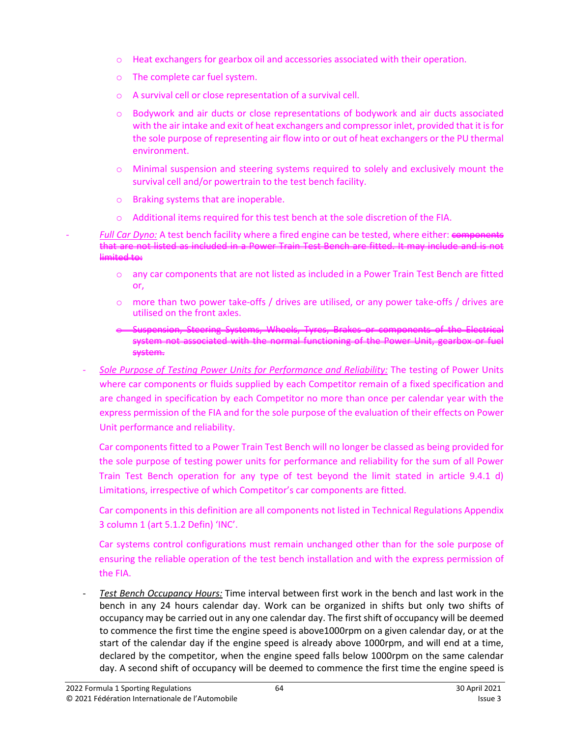- o Heat exchangers for gearbox oil and accessories associated with their operation.
- o The complete car fuel system.
- o A survival cell or close representation of a survival cell.
- o Bodywork and air ducts or close representations of bodywork and air ducts associated with the air intake and exit of heat exchangers and compressor inlet, provided that it is for the sole purpose of representing air flow into or out of heat exchangers or the PU thermal environment.
- o Minimal suspension and steering systems required to solely and exclusively mount the survival cell and/or powertrain to the test bench facility.
- o Braking systems that are inoperable.
- $\circ$  Additional items required for this test bench at the sole discretion of the FIA.
- Full Car Dyno: A test bench facility where a fired engine can be tested, where either: components that are not listed as included in a Power Train Test Bench are fitted. It may include and is not limited to:
	- $\circ$  any car components that are not listed as included in a Power Train Test Bench are fitted or,
	- $\circ$  more than two power take-offs / drives are utilised, or any power take-offs / drives are utilised on the front axles.
	- Suspension, Steering Systems, Wheels, Tyres, Brakes or components of the Electrical system not associated with the normal functioning of the Power Unit, gearbox or fuel system.
	- *Sole Purpose of Testing Power Units for Performance and Reliability:* The testing of Power Units where car components or fluids supplied by each Competitor remain of a fixed specification and are changed in specification by each Competitor no more than once per calendar year with the express permission of the FIA and for the sole purpose of the evaluation of their effects on Power Unit performance and reliability.

Car components fitted to a Power Train Test Bench will no longer be classed as being provided for the sole purpose of testing power units for performance and reliability for the sum of all Power Train Test Bench operation for any type of test beyond the limit stated in article 9.4.1 d) Limitations, irrespective of which Competitor's car components are fitted.

Car components in this definition are all components not listed in Technical Regulations Appendix 3 column 1 (art 5.1.2 Defin) 'INC'.

Car systems control configurations must remain unchanged other than for the sole purpose of ensuring the reliable operation of the test bench installation and with the express permission of the FIA.

- *Test Bench Occupancy Hours:* Time interval between first work in the bench and last work in the bench in any 24 hours calendar day. Work can be organized in shifts but only two shifts of occupancy may be carried out in any one calendar day. The first shift of occupancy will be deemed to commence the first time the engine speed is above1000rpm on a given calendar day, or at the start of the calendar day if the engine speed is already above 1000rpm, and will end at a time, declared by the competitor, when the engine speed falls below 1000rpm on the same calendar day. A second shift of occupancy will be deemed to commence the first time the engine speed is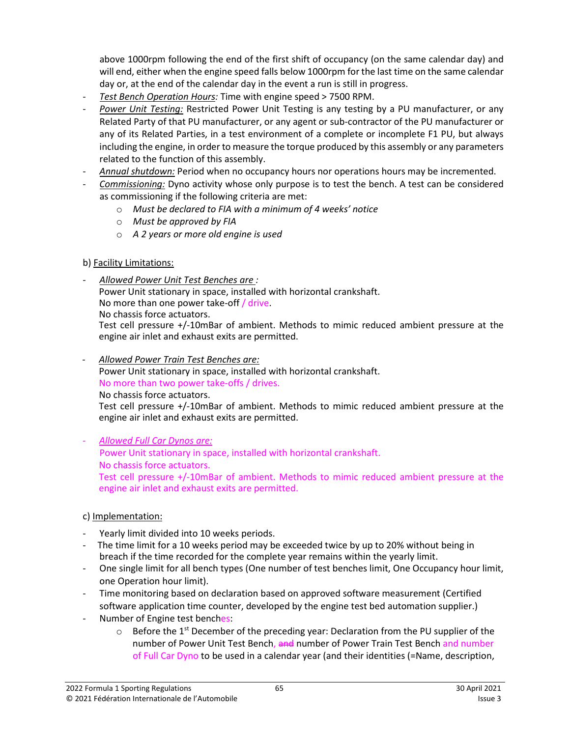above 1000rpm following the end of the first shift of occupancy (on the same calendar day) and will end, either when the engine speed falls below 1000rpm for the last time on the same calendar day or, at the end of the calendar day in the event a run is still in progress.

- *Test Bench Operation Hours:* Time with engine speed > 7500 RPM.
- *Power Unit Testing:* Restricted Power Unit Testing is any testing by a PU manufacturer, or any Related Party of that PU manufacturer, or any agent or sub-contractor of the PU manufacturer or any of its Related Parties, in a test environment of a complete or incomplete F1 PU, but always including the engine, in order to measure the torque produced by this assembly or any parameters related to the function of this assembly.
- *Annual shutdown:* Period when no occupancy hours nor operations hours may be incremented.
- *Commissioning:* Dyno activity whose only purpose is to test the bench. A test can be considered as commissioning if the following criteria are met:
	- o *Must be declared to FIA with a minimum of 4 weeks' notice*
	- o *Must be approved by FIA*
	- o *A 2 years or more old engine is used*
- b) Facility Limitations:
- *Allowed Power Unit Test Benches are :*

Power Unit stationary in space, installed with horizontal crankshaft.

No more than one power take-off / drive.

No chassis force actuators.

Test cell pressure +/-10mBar of ambient. Methods to mimic reduced ambient pressure at the engine air inlet and exhaust exits are permitted.

- *Allowed Power Train Test Benches are:*

Power Unit stationary in space, installed with horizontal crankshaft.

No more than two power take-offs / drives.

No chassis force actuators.

Test cell pressure +/-10mBar of ambient. Methods to mimic reduced ambient pressure at the engine air inlet and exhaust exits are permitted.

- *Allowed Full Car Dynos are:*

Power Unit stationary in space, installed with horizontal crankshaft. No chassis force actuators. Test cell pressure +/-10mBar of ambient. Methods to mimic reduced ambient pressure at the engine air inlet and exhaust exits are permitted.

## c) Implementation:

- Yearly limit divided into 10 weeks periods.
- The time limit for a 10 weeks period may be exceeded twice by up to 20% without being in breach if the time recorded for the complete year remains within the yearly limit.
- One single limit for all bench types (One number of test benches limit, One Occupancy hour limit, one Operation hour limit).
- Time monitoring based on declaration based on approved software measurement (Certified software application time counter, developed by the engine test bed automation supplier.)
- Number of Engine test benches:
	- $\circ$  Before the 1<sup>st</sup> December of the preceding year: Declaration from the PU supplier of the number of Power Unit Test Bench, and number of Power Train Test Bench and number of Full Car Dyno to be used in a calendar year (and their identities (=Name, description,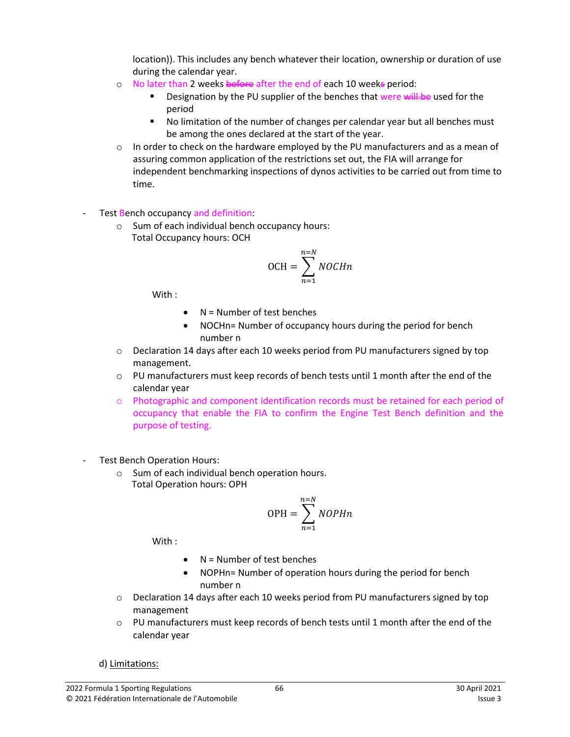location)). This includes any bench whatever their location, ownership or duration of use during the calendar year.

- o No later than 2 weeks before after the end of each 10 weeks period:
	- Designation by the PU supplier of the benches that were will be used for the period
	- No limitation of the number of changes per calendar year but all benches must be among the ones declared at the start of the year.
- $\circ$  In order to check on the hardware employed by the PU manufacturers and as a mean of assuring common application of the restrictions set out, the FIA will arrange for independent benchmarking inspections of dynos activities to be carried out from time to time.
- Test Bench occupancy and definition:
	- o Sum of each individual bench occupancy hours: Total Occupancy hours: OCH

$$
OCH = \sum_{n=1}^{n=N} NOCHn
$$

With :

- $N =$  Number of test benches
- NOCHn= Number of occupancy hours during the period for bench number n
- $\circ$  Declaration 14 days after each 10 weeks period from PU manufacturers signed by top management.
- $\circ$  PU manufacturers must keep records of bench tests until 1 month after the end of the calendar year
- o Photographic and component identification records must be retained for each period of occupancy that enable the FIA to confirm the Engine Test Bench definition and the purpose of testing.
- Test Bench Operation Hours:
	- o Sum of each individual bench operation hours. Total Operation hours: OPH

$$
OPH = \sum_{n=1}^{n=N} NOPHn
$$

With :

- $N =$  Number of test benches
- NOPHn= Number of operation hours during the period for bench number n
- o Declaration 14 days after each 10 weeks period from PU manufacturers signed by top management
- o PU manufacturers must keep records of bench tests until 1 month after the end of the calendar year

d) Limitations: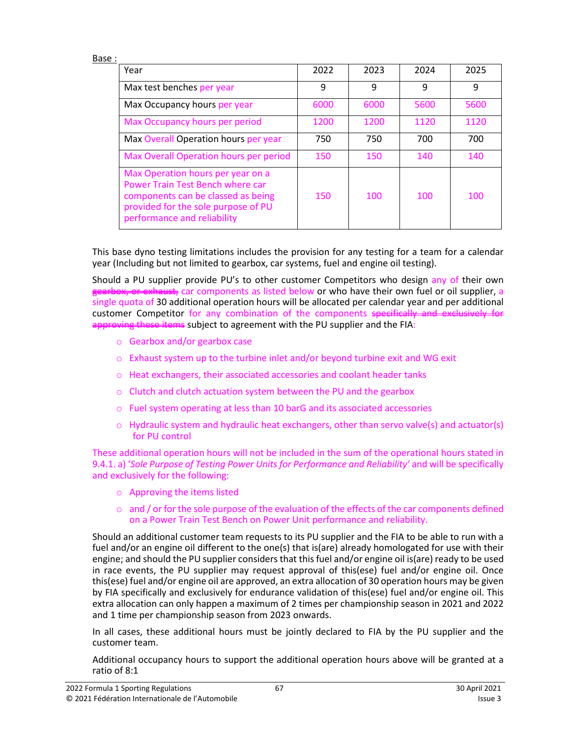#### Base :

| Year                                                                                                                                                                              | 2022 | 2023 | 2024 | 2025 |
|-----------------------------------------------------------------------------------------------------------------------------------------------------------------------------------|------|------|------|------|
| Max test benches per year                                                                                                                                                         | 9    | q    | 9    | 9    |
| Max Occupancy hours per year                                                                                                                                                      | 6000 | 6000 | 5600 | 5600 |
| Max Occupancy hours per period                                                                                                                                                    | 1200 | 1200 | 1120 | 1120 |
| Max Overall Operation hours per year                                                                                                                                              | 750  | 750  | 700  | 700  |
| Max Overall Operation hours per period                                                                                                                                            | 150  | 150  | 140  | 140  |
| Max Operation hours per year on a<br>Power Train Test Bench where car<br>components can be classed as being<br>provided for the sole purpose of PU<br>performance and reliability | 150  | 100  | 100  | 100  |

This base dyno testing limitations includes the provision for any testing for a team for a calendar year (Including but not limited to gearbox, car systems, fuel and engine oil testing).

Should a PU supplier provide PU's to other customer Competitors who design any of their own gearbox, or exhaust, car components as listed below or who have their own fuel or oil supplier, a single quota of 30 additional operation hours will be allocated per calendar year and per additional customer Competitor for any combination of the components specifically approving these items subject to agreement with the PU supplier and the FIA:

- o Gearbox and/or gearbox case
- o Exhaust system up to the turbine inlet and/or beyond turbine exit and WG exit
- o Heat exchangers, their associated accessories and coolant header tanks
- o Clutch and clutch actuation system between the PU and the gearbox
- o Fuel system operating at less than 10 barG and its associated accessories
- $\circ$  Hydraulic system and hydraulic heat exchangers, other than servo valve(s) and actuator(s) for PU control

These additional operation hours will not be included in the sum of the operational hours stated in 9.4.1. a) '*Sole Purpose of Testing Power Units for Performance and Reliability'* and will be specifically and exclusively for the following:

- o Approving the items listed
- $\circ$  and / or for the sole purpose of the evaluation of the effects of the car components defined on a Power Train Test Bench on Power Unit performance and reliability.

Should an additional customer team requests to its PU supplier and the FIA to be able to run with a fuel and/or an engine oil different to the one(s) that is(are) already homologated for use with their engine; and should the PU supplier considers that this fuel and/or engine oil is(are) ready to be used in race events, the PU supplier may request approval of this(ese) fuel and/or engine oil. Once this(ese) fuel and/or engine oil are approved, an extra allocation of 30 operation hours may be given by FIA specifically and exclusively for endurance validation of this(ese) fuel and/or engine oil. This extra allocation can only happen a maximum of 2 times per championship season in 2021 and 2022 and 1 time per championship season from 2023 onwards.

In all cases, these additional hours must be jointly declared to FIA by the PU supplier and the customer team.

Additional occupancy hours to support the additional operation hours above will be granted at a ratio of 8:1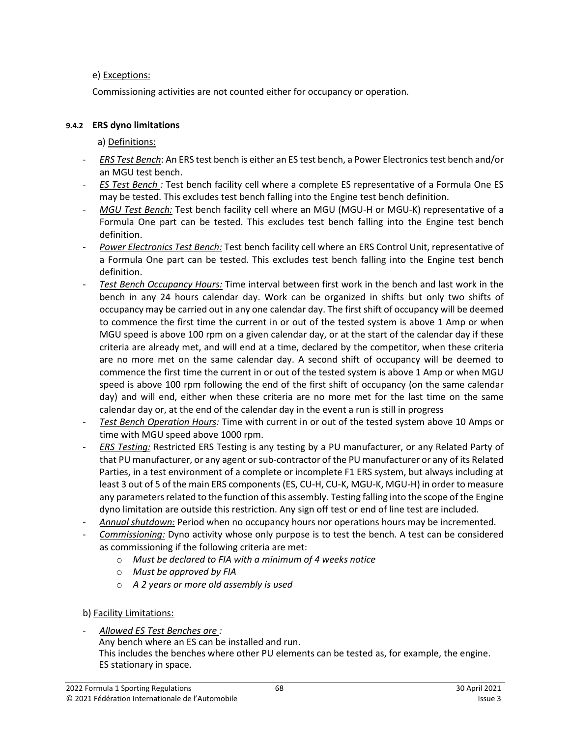## e) Exceptions:

Commissioning activities are not counted either for occupancy or operation.

## **9.4.2 ERS dyno limitations**

a) Definitions:

- *ERS Test Bench*: An ERS test bench is either an ES test bench, a Power Electronics test bench and/or an MGU test bench.
- *ES Test Bench :* Test bench facility cell where a complete ES representative of a Formula One ES may be tested. This excludes test bench falling into the Engine test bench definition.
- *MGU Test Bench:* Test bench facility cell where an MGU (MGU-H or MGU-K) representative of a Formula One part can be tested. This excludes test bench falling into the Engine test bench definition.
- *Power Electronics Test Bench:* Test bench facility cell where an ERS Control Unit, representative of a Formula One part can be tested. This excludes test bench falling into the Engine test bench definition.
- *Test Bench Occupancy Hours:* Time interval between first work in the bench and last work in the bench in any 24 hours calendar day. Work can be organized in shifts but only two shifts of occupancy may be carried out in any one calendar day. The first shift of occupancy will be deemed to commence the first time the current in or out of the tested system is above 1 Amp or when MGU speed is above 100 rpm on a given calendar day, or at the start of the calendar day if these criteria are already met, and will end at a time, declared by the competitor, when these criteria are no more met on the same calendar day. A second shift of occupancy will be deemed to commence the first time the current in or out of the tested system is above 1 Amp or when MGU speed is above 100 rpm following the end of the first shift of occupancy (on the same calendar day) and will end, either when these criteria are no more met for the last time on the same calendar day or, at the end of the calendar day in the event a run is still in progress
- *Test Bench Operation Hours:* Time with current in or out of the tested system above 10 Amps or time with MGU speed above 1000 rpm.
- *ERS Testing:* Restricted ERS Testing is any testing by a PU manufacturer, or any Related Party of that PU manufacturer, or any agent or sub-contractor of the PU manufacturer or any of its Related Parties, in a test environment of a complete or incomplete F1 ERS system, but always including at least 3 out of 5 of the main ERS components (ES, CU-H, CU-K, MGU-K, MGU-H) in order to measure any parameters related to the function of this assembly. Testing falling into the scope of the Engine dyno limitation are outside this restriction. Any sign off test or end of line test are included.
- *Annual shutdown:* Period when no occupancy hours nor operations hours may be incremented.
- *Commissioning:* Dyno activity whose only purpose is to test the bench. A test can be considered as commissioning if the following criteria are met:
	- o *Must be declared to FIA with a minimum of 4 weeks notice*
	- o *Must be approved by FIA*
	- o *A 2 years or more old assembly is used*
- b) Facility Limitations:
- *Allowed ES Test Benches are :* Any bench where an ES can be installed and run. This includes the benches where other PU elements can be tested as, for example, the engine. ES stationary in space.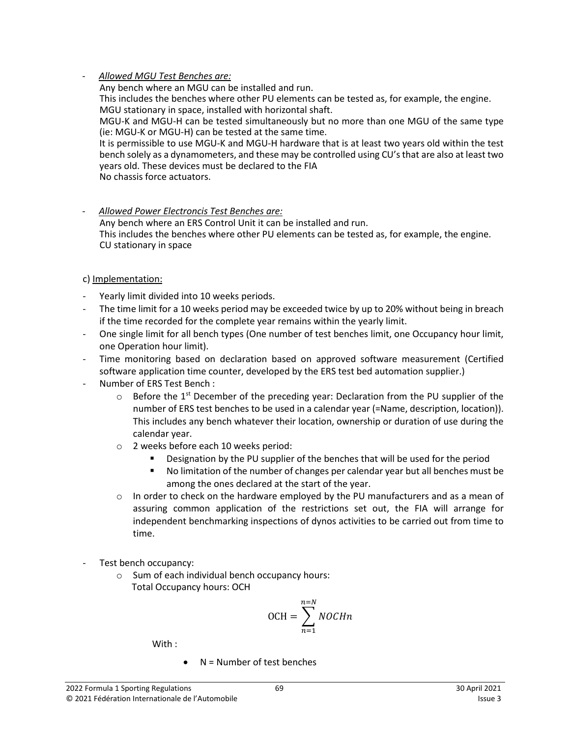- *Allowed MGU Test Benches are:*

Any bench where an MGU can be installed and run.

This includes the benches where other PU elements can be tested as, for example, the engine. MGU stationary in space, installed with horizontal shaft.

MGU-K and MGU-H can be tested simultaneously but no more than one MGU of the same type (ie: MGU-K or MGU-H) can be tested at the same time.

It is permissible to use MGU-K and MGU-H hardware that is at least two years old within the test bench solely as a dynamometers, and these may be controlled using CU's that are also at least two years old. These devices must be declared to the FIA

No chassis force actuators.

- *Allowed Power Electroncis Test Benches are:* Any bench where an ERS Control Unit it can be installed and run. This includes the benches where other PU elements can be tested as, for example, the engine. CU stationary in space

## c) Implementation:

- Yearly limit divided into 10 weeks periods.
- The time limit for a 10 weeks period may be exceeded twice by up to 20% without being in breach if the time recorded for the complete year remains within the yearly limit.
- One single limit for all bench types (One number of test benches limit, one Occupancy hour limit, one Operation hour limit).
- Time monitoring based on declaration based on approved software measurement (Certified software application time counter, developed by the ERS test bed automation supplier.)
- Number of ERS Test Bench :
	- $\circ$  Before the 1<sup>st</sup> December of the preceding year: Declaration from the PU supplier of the number of ERS test benches to be used in a calendar year (=Name, description, location)). This includes any bench whatever their location, ownership or duration of use during the calendar year.
	- o 2 weeks before each 10 weeks period:
		- Designation by the PU supplier of the benches that will be used for the period
		- No limitation of the number of changes per calendar year but all benches must be among the ones declared at the start of the year.
	- $\circ$  In order to check on the hardware employed by the PU manufacturers and as a mean of assuring common application of the restrictions set out, the FIA will arrange for independent benchmarking inspections of dynos activities to be carried out from time to time.
- Test bench occupancy:
	- o Sum of each individual bench occupancy hours: Total Occupancy hours: OCH

$$
OCH = \sum_{n=1}^{n=N} NOCHn
$$

With :

 $\bullet$  N = Number of test benches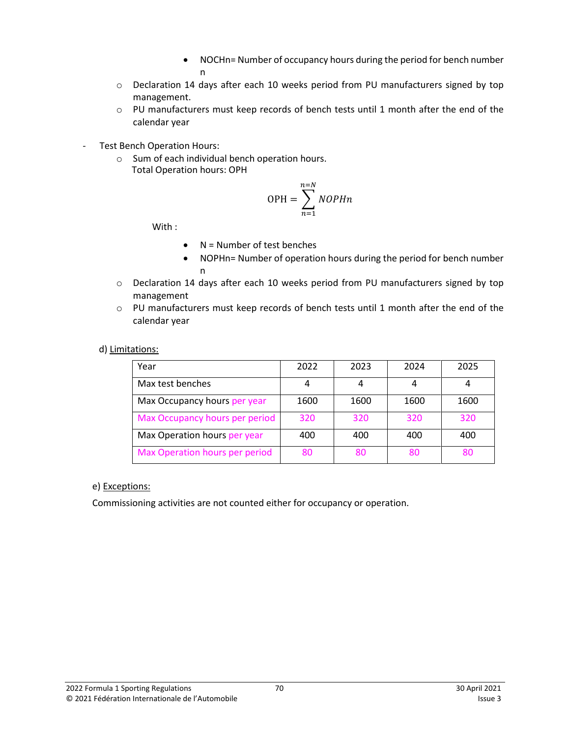- NOCHn= Number of occupancy hours during the period for bench number n
- o Declaration 14 days after each 10 weeks period from PU manufacturers signed by top management.
- o PU manufacturers must keep records of bench tests until 1 month after the end of the calendar year
- Test Bench Operation Hours:
	- o Sum of each individual bench operation hours. Total Operation hours: OPH

$$
OPH = \sum_{n=1}^{n=N} NOPHn
$$

With :

- $\bullet$  N = Number of test benches
- NOPHn= Number of operation hours during the period for bench number n
- o Declaration 14 days after each 10 weeks period from PU manufacturers signed by top management
- o PU manufacturers must keep records of bench tests until 1 month after the end of the calendar year

## d) Limitations:

| Year                           | 2022 | 2023 | 2024 | 2025 |
|--------------------------------|------|------|------|------|
| Max test benches               | 4    |      | 4    |      |
| Max Occupancy hours per year   | 1600 | 1600 | 1600 | 1600 |
| Max Occupancy hours per period | 320  | 320  | 320  | 320  |
| Max Operation hours per year   | 400  | 400  | 400  | 400  |
| Max Operation hours per period | 80   |      | 80   |      |

e) Exceptions:

Commissioning activities are not counted either for occupancy or operation.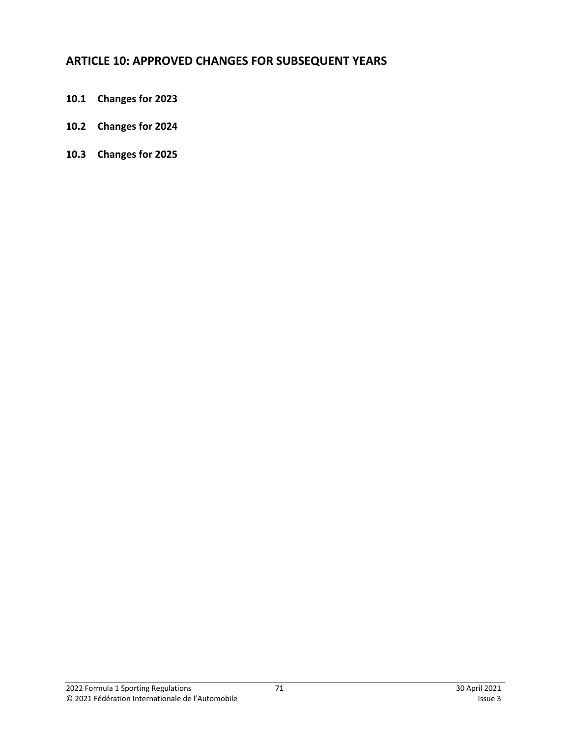# **ARTICLE 10: APPROVED CHANGES FOR SUBSEQUENT YEARS**

- **10.1 Changes for 2023**
- **10.2 Changes for 2024**
- **10.3 Changes for 2025**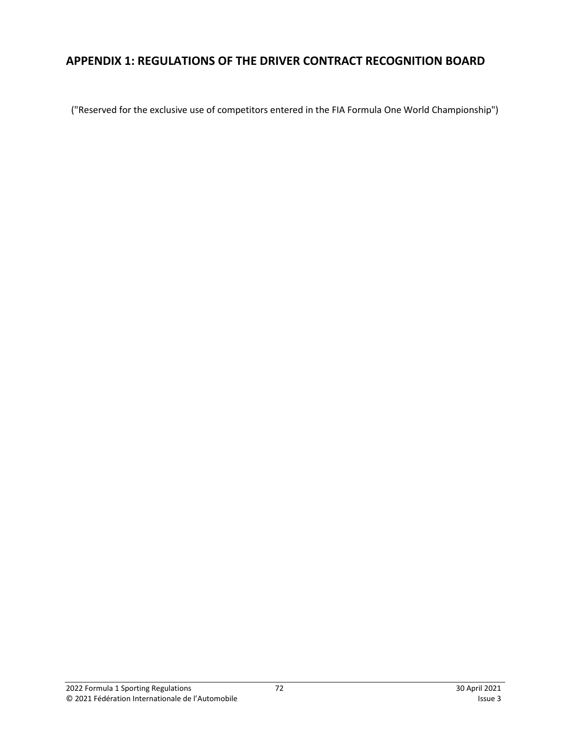# **APPENDIX 1: REGULATIONS OF THE DRIVER CONTRACT RECOGNITION BOARD**

("Reserved for the exclusive use of competitors entered in the FIA Formula One World Championship")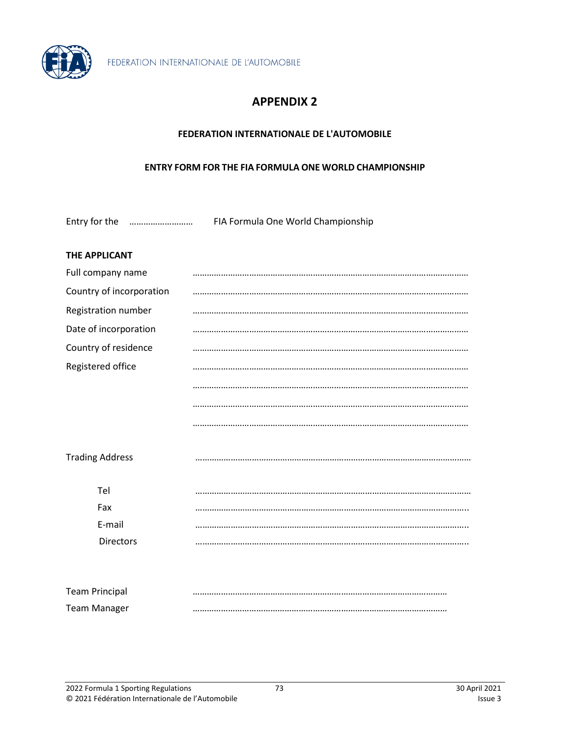

# **APPENDIX 2**

### **FEDERATION INTERNATIONALE DE L'AUTOMOBILE**

#### **ENTRY FORM FOR THE FIA FORMULA ONE WORLD CHAMPIONSHIP**

Entry for the ……………………… FIA Formula One World Championship

#### **THE APPLICANT**

| Full company name        |  |
|--------------------------|--|
| Country of incorporation |  |
| Registration number      |  |
| Date of incorporation    |  |
| Country of residence     |  |
| Registered office        |  |
|                          |  |
|                          |  |
|                          |  |
| <b>Trading Address</b>   |  |
| Tel                      |  |
| Fax                      |  |
| E-mail                   |  |
| <b>Directors</b>         |  |
|                          |  |
| <b>Team Principal</b>    |  |
| <b>Team Manager</b>      |  |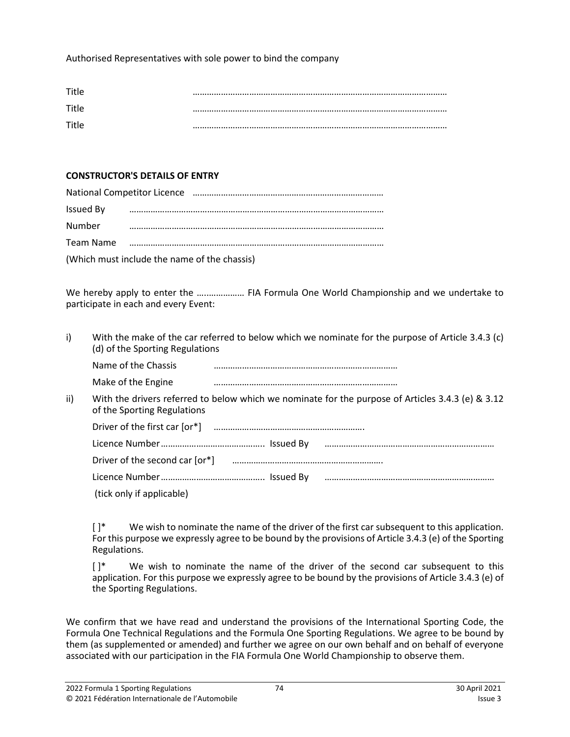Authorised Representatives with sole power to bind the company

| Title |  |
|-------|--|
| Title |  |
| Title |  |

## **CONSTRUCTOR'S DETAILS OF ENTRY**

| Issued By                                    |  |  |
|----------------------------------------------|--|--|
| Number                                       |  |  |
| Team Name                                    |  |  |
| (Which must include the name of the chassis) |  |  |

We hereby apply to enter the …..…………… FIA Formula One World Championship and we undertake to participate in each and every Event:

| With the make of the car referred to below which we nominate for the purpose of Article 3.4.3 (c) |
|---------------------------------------------------------------------------------------------------|
| (d) of the Sporting Regulations                                                                   |

|     | Name of the Chassis            |                                                                                                   |
|-----|--------------------------------|---------------------------------------------------------------------------------------------------|
|     | Make of the Engine             |                                                                                                   |
| ii) | of the Sporting Regulations    | With the drivers referred to below which we nominate for the purpose of Articles 3.4.3 (e) & 3.12 |
|     |                                |                                                                                                   |
|     |                                |                                                                                                   |
|     | Driver of the second car [or*] |                                                                                                   |
|     |                                |                                                                                                   |
|     | (tick only if applicable)      |                                                                                                   |

[]\* We wish to nominate the name of the driver of the first car subsequent to this application. For this purpose we expressly agree to be bound by the provisions of Article 3.4.3 (e) of the Sporting Regulations.

[ ]\* We wish to nominate the name of the driver of the second car subsequent to this application. For this purpose we expressly agree to be bound by the provisions of Article 3.4.3 (e) of the Sporting Regulations.

We confirm that we have read and understand the provisions of the International Sporting Code, the Formula One Technical Regulations and the Formula One Sporting Regulations. We agree to be bound by them (as supplemented or amended) and further we agree on our own behalf and on behalf of everyone associated with our participation in the FIA Formula One World Championship to observe them.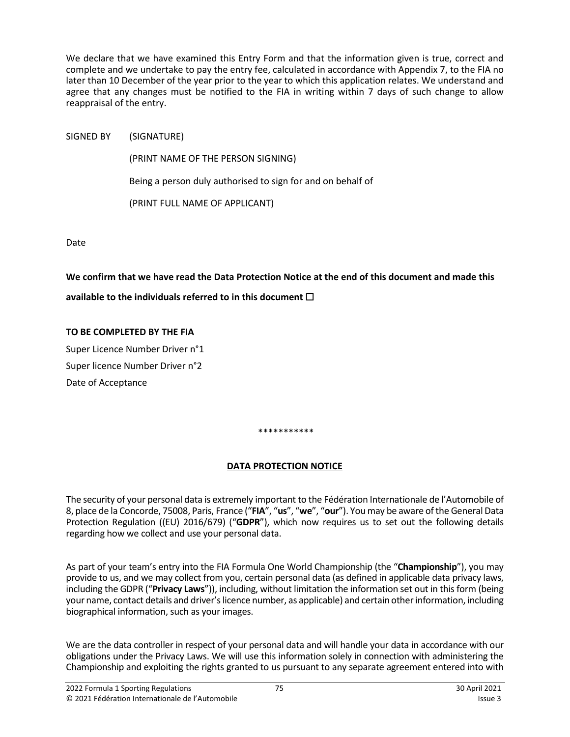We declare that we have examined this Entry Form and that the information given is true, correct and complete and we undertake to pay the entry fee, calculated in accordance with Appendix 7, to the FIA no later than 10 December of the year prior to the year to which this application relates. We understand and agree that any changes must be notified to the FIA in writing within 7 days of such change to allow reappraisal of the entry.

SIGNED BY (SIGNATURE)

(PRINT NAME OF THE PERSON SIGNING)

Being a person duly authorised to sign for and on behalf of

(PRINT FULL NAME OF APPLICANT)

Date

## **We confirm that we have read the Data Protection Notice at the end of this document and made this**

## **available to the individuals referred to in this document** ☐

### **TO BE COMPLETED BY THE FIA**

Super Licence Number Driver n°1 Super licence Number Driver n°2 Date of Acceptance

\*\*\*\*\*\*\*\*\*\*\*

### **DATA PROTECTION NOTICE**

The security of your personal data is extremely important to the Fédération Internationale de l'Automobile of 8, place de la Concorde, 75008, Paris, France ("**FIA**", "**us**", "**we**", "**our**"). You may be aware of the General Data Protection Regulation ((EU) 2016/679) ("**GDPR**"), which now requires us to set out the following details regarding how we collect and use your personal data.

As part of your team's entry into the FIA Formula One World Championship (the "**Championship**"), you may provide to us, and we may collect from you, certain personal data (as defined in applicable data privacy laws, including the GDPR ("**Privacy Laws**")), including, without limitation the information set out in this form (being your name, contact details and driver's licence number, as applicable) and certain other information, including biographical information, such as your images.

We are the data controller in respect of your personal data and will handle your data in accordance with our obligations under the Privacy Laws. We will use this information solely in connection with administering the Championship and exploiting the rights granted to us pursuant to any separate agreement entered into with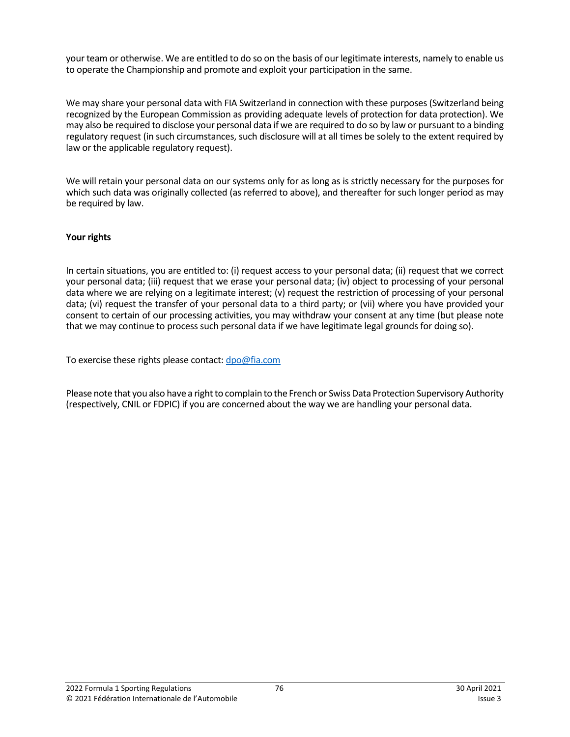your team or otherwise. We are entitled to do so on the basis of our legitimate interests, namely to enable us to operate the Championship and promote and exploit your participation in the same.

We may share your personal data with FIA Switzerland in connection with these purposes (Switzerland being recognized by the European Commission as providing adequate levels of protection for data protection). We may also be required to disclose your personal data if we are required to do so by law or pursuant to a binding regulatory request (in such circumstances, such disclosure will at all times be solely to the extent required by law or the applicable regulatory request).

We will retain your personal data on our systems only for as long as is strictly necessary for the purposes for which such data was originally collected (as referred to above), and thereafter for such longer period as may be required by law.

### **Your rights**

In certain situations, you are entitled to: (i) request access to your personal data; (ii) request that we correct your personal data; (iii) request that we erase your personal data; (iv) object to processing of your personal data where we are relying on a legitimate interest; (v) request the restriction of processing of your personal data; (vi) request the transfer of your personal data to a third party; or (vii) where you have provided your consent to certain of our processing activities, you may withdraw your consent at any time (but please note that we may continue to process such personal data if we have legitimate legal grounds for doing so).

To exercise these rights please contact[: dpo@fia.com](mailto:cil@fia.com)

Please note that you also have a right to complain to the French or Swiss Data Protection Supervisory Authority (respectively, CNIL or FDPIC) if you are concerned about the way we are handling your personal data.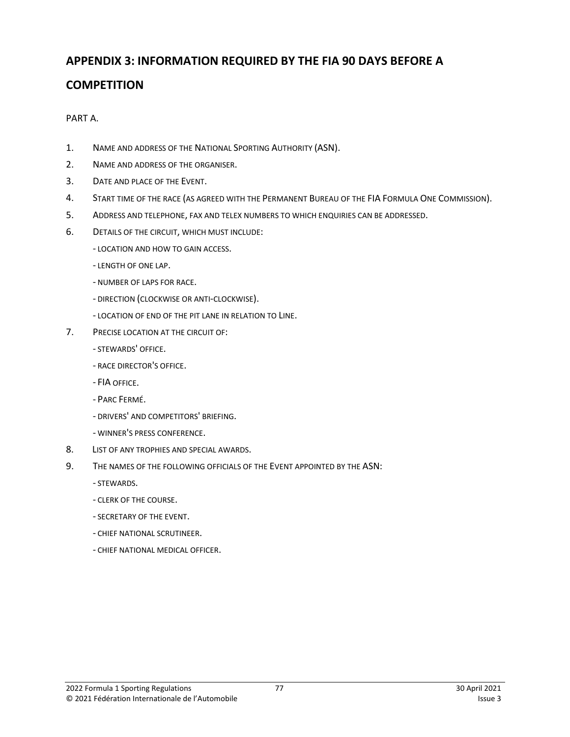# **APPENDIX 3: INFORMATION REQUIRED BY THE FIA 90 DAYS BEFORE A**

# **COMPETITION**

PART A.

- 1. NAME AND ADDRESS OF THE NATIONAL SPORTING AUTHORITY (ASN).
- 2. NAME AND ADDRESS OF THE ORGANISER.
- 3. DATE AND PLACE OF THE EVENT.
- 4. START TIME OF THE RACE (AS AGREED WITH THE PERMANENT BUREAU OF THE FIA FORMULA ONE COMMISSION).
- 5. ADDRESS AND TELEPHONE, FAX AND TELEX NUMBERS TO WHICH ENQUIRIES CAN BE ADDRESSED.
- 6. DETAILS OF THE CIRCUIT, WHICH MUST INCLUDE:
	- LOCATION AND HOW TO GAIN ACCESS.
	- LENGTH OF ONE LAP.
	- NUMBER OF LAPS FOR RACE.
	- DIRECTION (CLOCKWISE OR ANTI-CLOCKWISE).
	- LOCATION OF END OF THE PIT LANE IN RELATION TO LINE.
- 7. PRECISE LOCATION AT THE CIRCUIT OF:
	- STEWARDS' OFFICE.
	- RACE DIRECTOR'S OFFICE.
	- FIA OFFICE.
	- PARC FERMÉ.
	- DRIVERS' AND COMPETITORS' BRIEFING.
	- WINNER'S PRESS CONFERENCE.
- 8. LIST OF ANY TROPHIES AND SPECIAL AWARDS.
- 9. THE NAMES OF THE FOLLOWING OFFICIALS OF THE EVENT APPOINTED BY THE ASN:
	- STEWARDS.
	- CLERK OF THE COURSE.
	- SECRETARY OF THE EVENT.
	- CHIEF NATIONAL SCRUTINEER.
	- CHIEF NATIONAL MEDICAL OFFICER.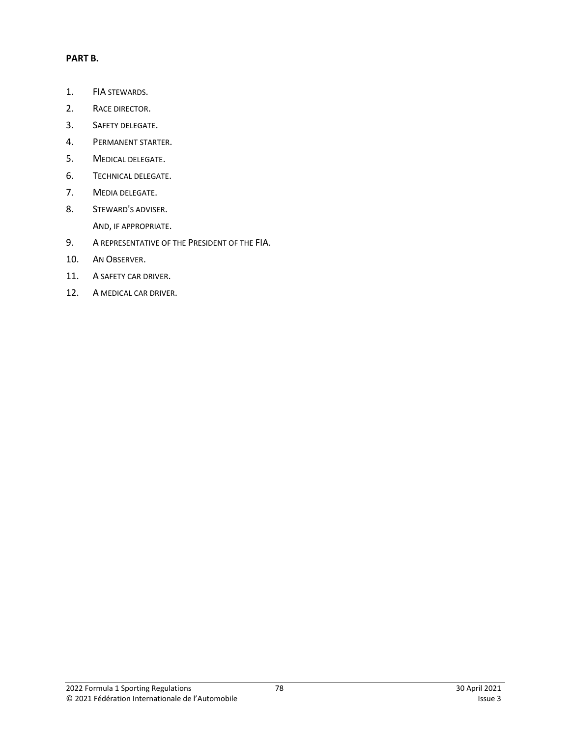### **PART B.**

- 1. FIA STEWARDS.
- 2. RACE DIRECTOR.
- 3. SAFETY DELEGATE.
- 4. PERMANENT STARTER.
- 5. MEDICAL DELEGATE.
- 6. TECHNICAL DELEGATE.
- 7. MEDIA DELEGATE.
- 8. STEWARD'S ADVISER. AND, IF APPROPRIATE.
- 9. A REPRESENTATIVE OF THE PRESIDENT OF THE FIA.
- 10. AN OBSERVER.
- 11. A SAFETY CAR DRIVER.
- 12. A MEDICAL CAR DRIVER.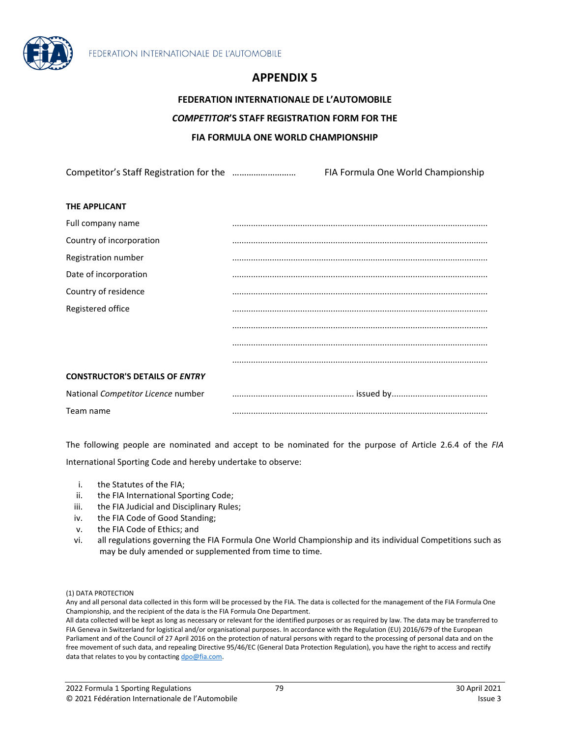



# **FEDERATION INTERNATIONALE DE L'AUTOMOBILE** *COMPETITOR***'S STAFF REGISTRATION FORM FOR THE FIA FORMULA ONE WORLD CHAMPIONSHIP**

Competitor's Staff Registration for the ……………………… FIA Formula One World Championship

# **THE APPLICANT** Full company name ............................................................................................................. Country of incorporation ............................................................................................................. Registration number ............................................................................................................. Date of incorporation ............................................................................................................. Country of residence ............................................................................................................. Registered office ............................................................................................................. ............................................................................................................. ............................................................................................................. ............................................................................................................. **CONSTRUCTOR'S DETAILS OF** *ENTRY* National *Competitor Licence* number .................................................... issued by......................................... Team name .............................................................................................................

The following people are nominated and accept to be nominated for the purpose of Article 2.6.4 of the *FIA* International Sporting Code and hereby undertake to observe:

- i. the Statutes of the FIA;
- ii. the FIA International Sporting Code;
- iii. the FIA Judicial and Disciplinary Rules;
- iv. the FIA Code of Good Standing;
- v. the FIA Code of Ethics; and
- vi. all regulations governing the FIA Formula One World Championship and its individual Competitions such as may be duly amended or supplemented from time to time.

(1) DATA PROTECTION

Any and all personal data collected in this form will be processed by the FIA. The data is collected for the management of the FIA Formula One Championship, and the recipient of the data is the FIA Formula One Department.

All data collected will be kept as long as necessary or relevant for the identified purposes or as required by law. The data may be transferred to FIA Geneva in Switzerland for logistical and/or organisational purposes. In accordance with the Regulation (EU) 2016/679 of the European Parliament and of the Council of 27 April 2016 on the protection of natural persons with regard to the processing of personal data and on the free movement of such data, and repealing Directive 95/46/EC (General Data Protection Regulation), you have the right to access and rectify data that relates to you by contactin[g dpo@fia.com.](mailto:dpo@fia.com)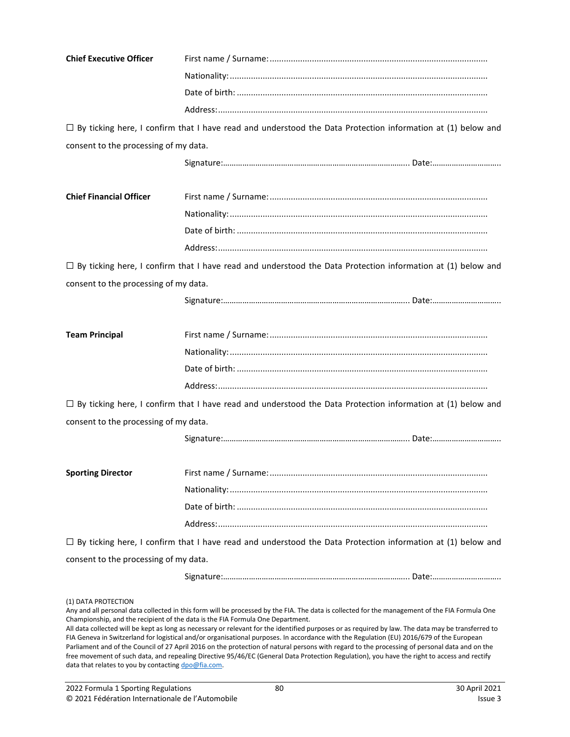| <b>Chief Executive Officer</b>        |                                                                                                                                                                                                                                                                                                                                                                                                                                                                                                                                                                                                                                                                                     |
|---------------------------------------|-------------------------------------------------------------------------------------------------------------------------------------------------------------------------------------------------------------------------------------------------------------------------------------------------------------------------------------------------------------------------------------------------------------------------------------------------------------------------------------------------------------------------------------------------------------------------------------------------------------------------------------------------------------------------------------|
|                                       |                                                                                                                                                                                                                                                                                                                                                                                                                                                                                                                                                                                                                                                                                     |
|                                       |                                                                                                                                                                                                                                                                                                                                                                                                                                                                                                                                                                                                                                                                                     |
|                                       |                                                                                                                                                                                                                                                                                                                                                                                                                                                                                                                                                                                                                                                                                     |
|                                       | $\Box$ By ticking here, I confirm that I have read and understood the Data Protection information at (1) below and                                                                                                                                                                                                                                                                                                                                                                                                                                                                                                                                                                  |
| consent to the processing of my data. |                                                                                                                                                                                                                                                                                                                                                                                                                                                                                                                                                                                                                                                                                     |
|                                       |                                                                                                                                                                                                                                                                                                                                                                                                                                                                                                                                                                                                                                                                                     |
|                                       |                                                                                                                                                                                                                                                                                                                                                                                                                                                                                                                                                                                                                                                                                     |
| <b>Chief Financial Officer</b>        |                                                                                                                                                                                                                                                                                                                                                                                                                                                                                                                                                                                                                                                                                     |
|                                       |                                                                                                                                                                                                                                                                                                                                                                                                                                                                                                                                                                                                                                                                                     |
|                                       |                                                                                                                                                                                                                                                                                                                                                                                                                                                                                                                                                                                                                                                                                     |
|                                       |                                                                                                                                                                                                                                                                                                                                                                                                                                                                                                                                                                                                                                                                                     |
|                                       | $\Box$ By ticking here, I confirm that I have read and understood the Data Protection information at (1) below and                                                                                                                                                                                                                                                                                                                                                                                                                                                                                                                                                                  |
| consent to the processing of my data. |                                                                                                                                                                                                                                                                                                                                                                                                                                                                                                                                                                                                                                                                                     |
|                                       |                                                                                                                                                                                                                                                                                                                                                                                                                                                                                                                                                                                                                                                                                     |
|                                       |                                                                                                                                                                                                                                                                                                                                                                                                                                                                                                                                                                                                                                                                                     |
| <b>Team Principal</b>                 |                                                                                                                                                                                                                                                                                                                                                                                                                                                                                                                                                                                                                                                                                     |
|                                       |                                                                                                                                                                                                                                                                                                                                                                                                                                                                                                                                                                                                                                                                                     |
|                                       |                                                                                                                                                                                                                                                                                                                                                                                                                                                                                                                                                                                                                                                                                     |
|                                       |                                                                                                                                                                                                                                                                                                                                                                                                                                                                                                                                                                                                                                                                                     |
|                                       | $\Box$ By ticking here, I confirm that I have read and understood the Data Protection information at (1) below and                                                                                                                                                                                                                                                                                                                                                                                                                                                                                                                                                                  |
| consent to the processing of my data. |                                                                                                                                                                                                                                                                                                                                                                                                                                                                                                                                                                                                                                                                                     |
|                                       |                                                                                                                                                                                                                                                                                                                                                                                                                                                                                                                                                                                                                                                                                     |
|                                       |                                                                                                                                                                                                                                                                                                                                                                                                                                                                                                                                                                                                                                                                                     |
| <b>Sporting Director</b>              |                                                                                                                                                                                                                                                                                                                                                                                                                                                                                                                                                                                                                                                                                     |
|                                       |                                                                                                                                                                                                                                                                                                                                                                                                                                                                                                                                                                                                                                                                                     |
|                                       |                                                                                                                                                                                                                                                                                                                                                                                                                                                                                                                                                                                                                                                                                     |
|                                       |                                                                                                                                                                                                                                                                                                                                                                                                                                                                                                                                                                                                                                                                                     |
|                                       | $\Box$ By ticking here, I confirm that I have read and understood the Data Protection information at (1) below and                                                                                                                                                                                                                                                                                                                                                                                                                                                                                                                                                                  |
| consent to the processing of my data. |                                                                                                                                                                                                                                                                                                                                                                                                                                                                                                                                                                                                                                                                                     |
|                                       |                                                                                                                                                                                                                                                                                                                                                                                                                                                                                                                                                                                                                                                                                     |
|                                       |                                                                                                                                                                                                                                                                                                                                                                                                                                                                                                                                                                                                                                                                                     |
| (1) DATA PROTECTION                   | Any and all personal data collected in this form will be processed by the FIA. The data is collected for the management of the FIA Formula One<br>Championship, and the recipient of the data is the FIA Formula One Department.<br>All data collected will be kept as long as necessary or relevant for the identified purposes or as required by law. The data may be transferred to<br>FIA Geneva in Switzerland for logistical and/or organisational purposes. In accordance with the Regulation (EU) 2016/679 of the European<br>Parliament and of the Council of 27 April 2016 on the protection of natural persons with regard to the processing of personal data and on the |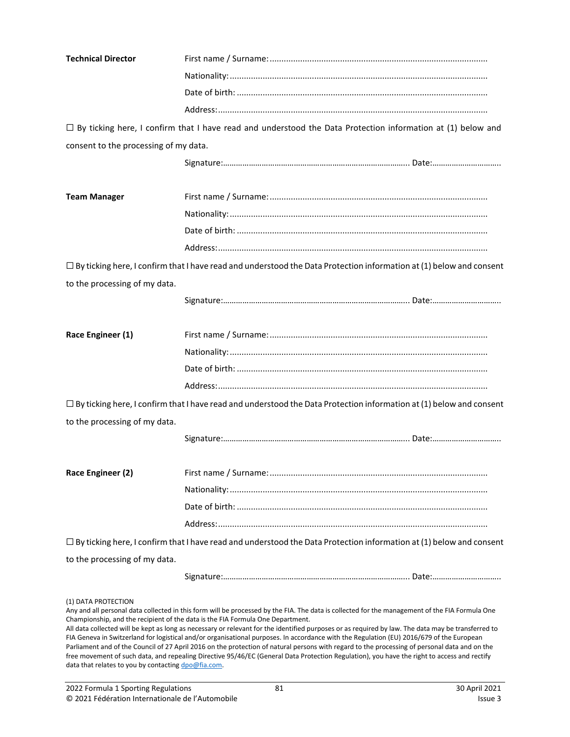| <b>Technical Director</b>             |                                                                                                                                                                                                                                                                                                                                                                                                                                                                                                                                                                                                                                                                                     |
|---------------------------------------|-------------------------------------------------------------------------------------------------------------------------------------------------------------------------------------------------------------------------------------------------------------------------------------------------------------------------------------------------------------------------------------------------------------------------------------------------------------------------------------------------------------------------------------------------------------------------------------------------------------------------------------------------------------------------------------|
|                                       |                                                                                                                                                                                                                                                                                                                                                                                                                                                                                                                                                                                                                                                                                     |
|                                       |                                                                                                                                                                                                                                                                                                                                                                                                                                                                                                                                                                                                                                                                                     |
|                                       |                                                                                                                                                                                                                                                                                                                                                                                                                                                                                                                                                                                                                                                                                     |
|                                       | $\Box$ By ticking here, I confirm that I have read and understood the Data Protection information at (1) below and                                                                                                                                                                                                                                                                                                                                                                                                                                                                                                                                                                  |
| consent to the processing of my data. |                                                                                                                                                                                                                                                                                                                                                                                                                                                                                                                                                                                                                                                                                     |
|                                       |                                                                                                                                                                                                                                                                                                                                                                                                                                                                                                                                                                                                                                                                                     |
| <b>Team Manager</b>                   |                                                                                                                                                                                                                                                                                                                                                                                                                                                                                                                                                                                                                                                                                     |
|                                       |                                                                                                                                                                                                                                                                                                                                                                                                                                                                                                                                                                                                                                                                                     |
|                                       |                                                                                                                                                                                                                                                                                                                                                                                                                                                                                                                                                                                                                                                                                     |
|                                       |                                                                                                                                                                                                                                                                                                                                                                                                                                                                                                                                                                                                                                                                                     |
|                                       | $\Box$ By ticking here, I confirm that I have read and understood the Data Protection information at (1) below and consent                                                                                                                                                                                                                                                                                                                                                                                                                                                                                                                                                          |
| to the processing of my data.         |                                                                                                                                                                                                                                                                                                                                                                                                                                                                                                                                                                                                                                                                                     |
|                                       |                                                                                                                                                                                                                                                                                                                                                                                                                                                                                                                                                                                                                                                                                     |
| Race Engineer (1)                     |                                                                                                                                                                                                                                                                                                                                                                                                                                                                                                                                                                                                                                                                                     |
|                                       |                                                                                                                                                                                                                                                                                                                                                                                                                                                                                                                                                                                                                                                                                     |
|                                       |                                                                                                                                                                                                                                                                                                                                                                                                                                                                                                                                                                                                                                                                                     |
|                                       |                                                                                                                                                                                                                                                                                                                                                                                                                                                                                                                                                                                                                                                                                     |
|                                       | $\Box$ By ticking here, I confirm that I have read and understood the Data Protection information at (1) below and consent                                                                                                                                                                                                                                                                                                                                                                                                                                                                                                                                                          |
| to the processing of my data.         |                                                                                                                                                                                                                                                                                                                                                                                                                                                                                                                                                                                                                                                                                     |
|                                       |                                                                                                                                                                                                                                                                                                                                                                                                                                                                                                                                                                                                                                                                                     |
| Race Engineer (2)                     |                                                                                                                                                                                                                                                                                                                                                                                                                                                                                                                                                                                                                                                                                     |
|                                       |                                                                                                                                                                                                                                                                                                                                                                                                                                                                                                                                                                                                                                                                                     |
|                                       |                                                                                                                                                                                                                                                                                                                                                                                                                                                                                                                                                                                                                                                                                     |
|                                       |                                                                                                                                                                                                                                                                                                                                                                                                                                                                                                                                                                                                                                                                                     |
|                                       | $\Box$ By ticking here, I confirm that I have read and understood the Data Protection information at (1) below and consent                                                                                                                                                                                                                                                                                                                                                                                                                                                                                                                                                          |
| to the processing of my data.         |                                                                                                                                                                                                                                                                                                                                                                                                                                                                                                                                                                                                                                                                                     |
|                                       |                                                                                                                                                                                                                                                                                                                                                                                                                                                                                                                                                                                                                                                                                     |
| (1) DATA PROTECTION                   | Any and all personal data collected in this form will be processed by the FIA. The data is collected for the management of the FIA Formula One<br>Championship, and the recipient of the data is the FIA Formula One Department.<br>All data collected will be kept as long as necessary or relevant for the identified purposes or as required by law. The data may be transferred to<br>FIA Geneva in Switzerland for logistical and/or organisational purposes. In accordance with the Regulation (EU) 2016/679 of the European<br>Parliament and of the Council of 27 April 2016 on the protection of natural persons with regard to the processing of personal data and on the |

data that relates to you by contactin[g dpo@fia.com.](mailto:dpo@fia.com)

free movement of such data, and repealing Directive 95/46/EC (General Data Protection Regulation), you have the right to access and rectify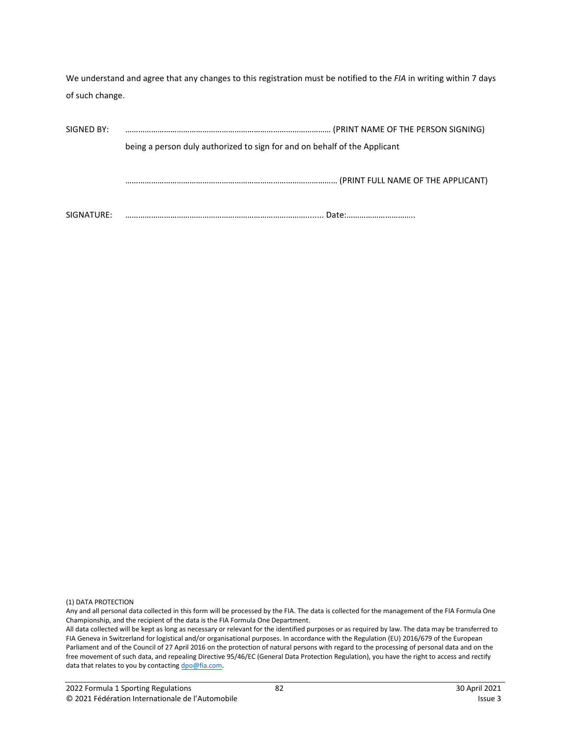We understand and agree that any changes to this registration must be notified to the *FIA* in writing within 7 days of such change.

| SIGNED BY: |                                                                           |
|------------|---------------------------------------------------------------------------|
|            | being a person duly authorized to sign for and on behalf of the Applicant |
|            |                                                                           |
| SIGNATURE: | Date:                                                                     |

(1) DATA PROTECTION

Any and all personal data collected in this form will be processed by the FIA. The data is collected for the management of the FIA Formula One Championship, and the recipient of the data is the FIA Formula One Department.

All data collected will be kept as long as necessary or relevant for the identified purposes or as required by law. The data may be transferred to FIA Geneva in Switzerland for logistical and/or organisational purposes. In accordance with the Regulation (EU) 2016/679 of the European Parliament and of the Council of 27 April 2016 on the protection of natural persons with regard to the processing of personal data and on the free movement of such data, and repealing Directive 95/46/EC (General Data Protection Regulation), you have the right to access and rectify data that relates to you by contactin[g dpo@fia.com.](mailto:dpo@fia.com)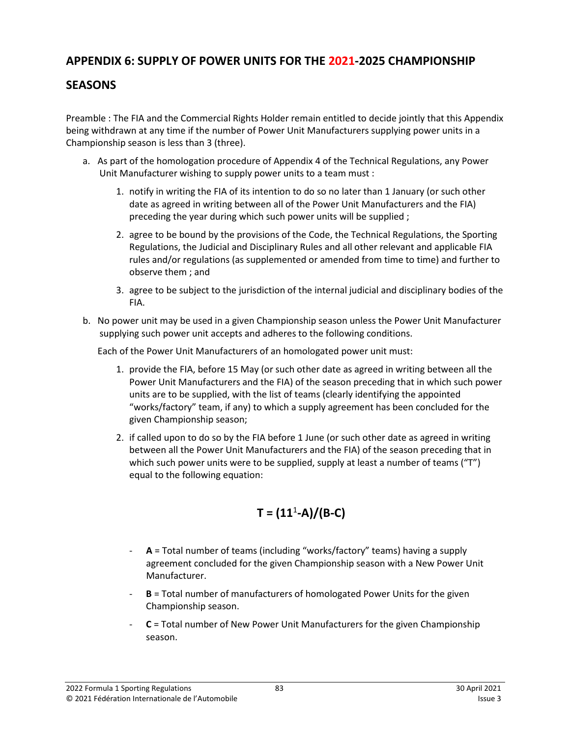# **APPENDIX 6: SUPPLY OF POWER UNITS FOR THE 2021-2025 CHAMPIONSHIP**

# **SEASONS**

Preamble : The FIA and the Commercial Rights Holder remain entitled to decide jointly that this Appendix being withdrawn at any time if the number of Power Unit Manufacturers supplying power units in a Championship season is less than 3 (three).

- a. As part of the homologation procedure of Appendix 4 of the Technical Regulations, any Power Unit Manufacturer wishing to supply power units to a team must :
	- 1. notify in writing the FIA of its intention to do so no later than 1 January (or such other date as agreed in writing between all of the Power Unit Manufacturers and the FIA) preceding the year during which such power units will be supplied ;
	- 2. agree to be bound by the provisions of the Code, the Technical Regulations, the Sporting Regulations, the Judicial and Disciplinary Rules and all other relevant and applicable FIA rules and/or regulations (as supplemented or amended from time to time) and further to observe them ; and
	- 3. agree to be subject to the jurisdiction of the internal judicial and disciplinary bodies of the FIA.
- b. No power unit may be used in a given Championship season unless the Power Unit Manufacturer supplying such power unit accepts and adheres to the following conditions.

Each of the Power Unit Manufacturers of an homologated power unit must:

- 1. provide the FIA, before 15 May (or such other date as agreed in writing between all the Power Unit Manufacturers and the FIA) of the season preceding that in which such power units are to be supplied, with the list of teams (clearly identifying the appointed "works/factory" team, if any) to which a supply agreement has been concluded for the given Championship season;
- 2. if called upon to do so by the FIA before 1 June (or such other date as agreed in writing between all the Power Unit Manufacturers and the FIA) of the season preceding that in which such power units were to be supplied, supply at least a number of teams ("T") equal to the following equation:

$$
T = (111-A)/(B-C)
$$

- A = Total number of teams (including "works/factory" teams) having a supply agreement concluded for the given Championship season with a New Power Unit Manufacturer.
- **B** = Total number of manufacturers of homologated Power Units for the given Championship season.
- **C** = Total number of New Power Unit Manufacturers for the given Championship season.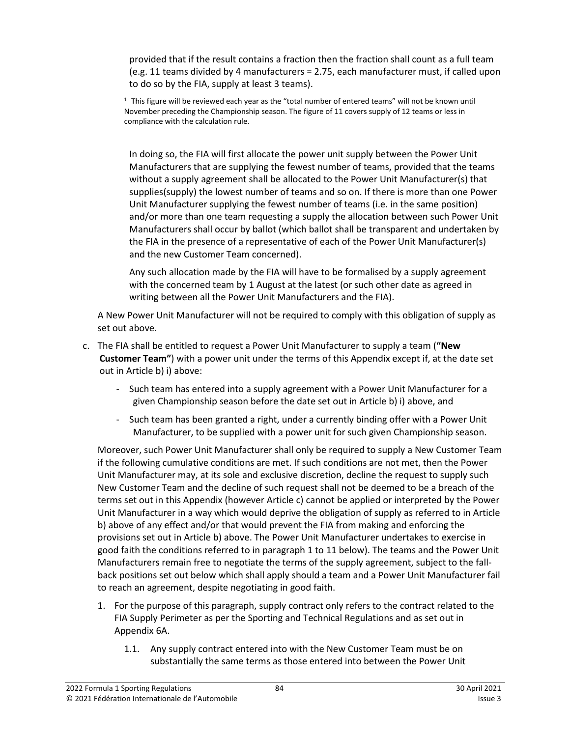provided that if the result contains a fraction then the fraction shall count as a full team (e.g. 11 teams divided by 4 manufacturers = 2.75, each manufacturer must, if called upon to do so by the FIA, supply at least 3 teams).

 $1$  This figure will be reviewed each year as the "total number of entered teams" will not be known until November preceding the Championship season. The figure of 11 covers supply of 12 teams or less in compliance with the calculation rule.

In doing so, the FIA will first allocate the power unit supply between the Power Unit Manufacturers that are supplying the fewest number of teams, provided that the teams without a supply agreement shall be allocated to the Power Unit Manufacturer(s) that supplies(supply) the lowest number of teams and so on. If there is more than one Power Unit Manufacturer supplying the fewest number of teams (i.e. in the same position) and/or more than one team requesting a supply the allocation between such Power Unit Manufacturers shall occur by ballot (which ballot shall be transparent and undertaken by the FIA in the presence of a representative of each of the Power Unit Manufacturer(s) and the new Customer Team concerned).

Any such allocation made by the FIA will have to be formalised by a supply agreement with the concerned team by 1 August at the latest (or such other date as agreed in writing between all the Power Unit Manufacturers and the FIA).

A New Power Unit Manufacturer will not be required to comply with this obligation of supply as set out above.

- c. The FIA shall be entitled to request a Power Unit Manufacturer to supply a team (**"New Customer Team"**) with a power unit under the terms of this Appendix except if, at the date set out in Article b) i) above:
	- Such team has entered into a supply agreement with a Power Unit Manufacturer for a given Championship season before the date set out in Article b) i) above, and
	- Such team has been granted a right, under a currently binding offer with a Power Unit Manufacturer, to be supplied with a power unit for such given Championship season.

Moreover, such Power Unit Manufacturer shall only be required to supply a New Customer Team if the following cumulative conditions are met. If such conditions are not met, then the Power Unit Manufacturer may, at its sole and exclusive discretion, decline the request to supply such New Customer Team and the decline of such request shall not be deemed to be a breach of the terms set out in this Appendix (however Article c) cannot be applied or interpreted by the Power Unit Manufacturer in a way which would deprive the obligation of supply as referred to in Article b) above of any effect and/or that would prevent the FIA from making and enforcing the provisions set out in Article b) above. The Power Unit Manufacturer undertakes to exercise in good faith the conditions referred to in paragraph 1 to 11 below). The teams and the Power Unit Manufacturers remain free to negotiate the terms of the supply agreement, subject to the fallback positions set out below which shall apply should a team and a Power Unit Manufacturer fail to reach an agreement, despite negotiating in good faith.

- 1. For the purpose of this paragraph, supply contract only refers to the contract related to the FIA Supply Perimeter as per the Sporting and Technical Regulations and as set out in Appendix 6A.
	- 1.1. Any supply contract entered into with the New Customer Team must be on substantially the same terms as those entered into between the Power Unit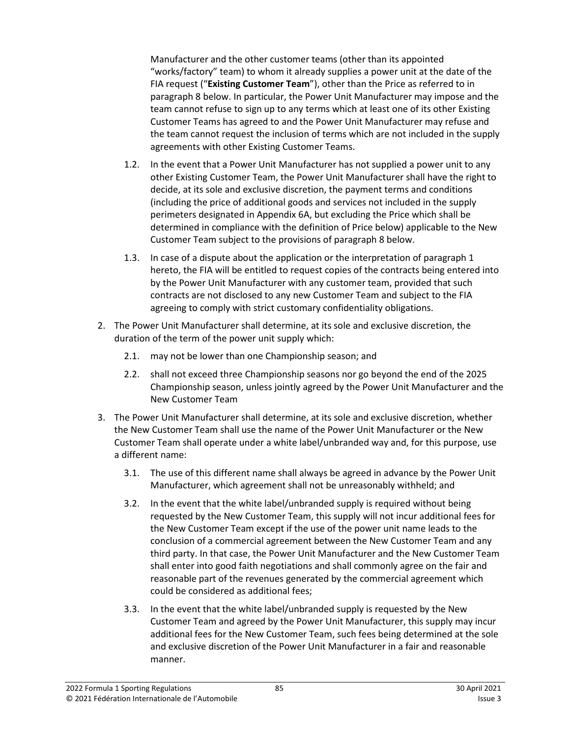Manufacturer and the other customer teams (other than its appointed "works/factory" team) to whom it already supplies a power unit at the date of the FIA request ("**Existing Customer Team**"), other than the Price as referred to in paragraph 8 below. In particular, the Power Unit Manufacturer may impose and the team cannot refuse to sign up to any terms which at least one of its other Existing Customer Teams has agreed to and the Power Unit Manufacturer may refuse and the team cannot request the inclusion of terms which are not included in the supply agreements with other Existing Customer Teams.

- 1.2. In the event that a Power Unit Manufacturer has not supplied a power unit to any other Existing Customer Team, the Power Unit Manufacturer shall have the right to decide, at its sole and exclusive discretion, the payment terms and conditions (including the price of additional goods and services not included in the supply perimeters designated in Appendix 6A, but excluding the Price which shall be determined in compliance with the definition of Price below) applicable to the New Customer Team subject to the provisions of paragraph 8 below.
- 1.3. In case of a dispute about the application or the interpretation of paragraph 1 hereto, the FIA will be entitled to request copies of the contracts being entered into by the Power Unit Manufacturer with any customer team, provided that such contracts are not disclosed to any new Customer Team and subject to the FIA agreeing to comply with strict customary confidentiality obligations.
- 2. The Power Unit Manufacturer shall determine, at its sole and exclusive discretion, the duration of the term of the power unit supply which:
	- 2.1. may not be lower than one Championship season; and
	- 2.2. shall not exceed three Championship seasons nor go beyond the end of the 2025 Championship season, unless jointly agreed by the Power Unit Manufacturer and the New Customer Team
- 3. The Power Unit Manufacturer shall determine, at its sole and exclusive discretion, whether the New Customer Team shall use the name of the Power Unit Manufacturer or the New Customer Team shall operate under a white label/unbranded way and, for this purpose, use a different name:
	- 3.1. The use of this different name shall always be agreed in advance by the Power Unit Manufacturer, which agreement shall not be unreasonably withheld; and
	- 3.2. In the event that the white label/unbranded supply is required without being requested by the New Customer Team, this supply will not incur additional fees for the New Customer Team except if the use of the power unit name leads to the conclusion of a commercial agreement between the New Customer Team and any third party. In that case, the Power Unit Manufacturer and the New Customer Team shall enter into good faith negotiations and shall commonly agree on the fair and reasonable part of the revenues generated by the commercial agreement which could be considered as additional fees;
	- 3.3. In the event that the white label/unbranded supply is requested by the New Customer Team and agreed by the Power Unit Manufacturer, this supply may incur additional fees for the New Customer Team, such fees being determined at the sole and exclusive discretion of the Power Unit Manufacturer in a fair and reasonable manner.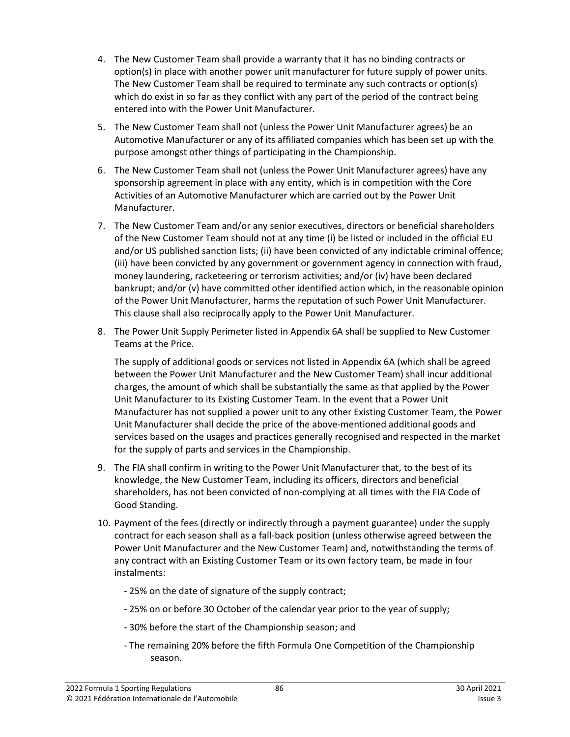- 4. The New Customer Team shall provide a warranty that it has no binding contracts or option(s) in place with another power unit manufacturer for future supply of power units. The New Customer Team shall be required to terminate any such contracts or option(s) which do exist in so far as they conflict with any part of the period of the contract being entered into with the Power Unit Manufacturer.
- 5. The New Customer Team shall not (unless the Power Unit Manufacturer agrees) be an Automotive Manufacturer or any of its affiliated companies which has been set up with the purpose amongst other things of participating in the Championship.
- 6. The New Customer Team shall not (unless the Power Unit Manufacturer agrees) have any sponsorship agreement in place with any entity, which is in competition with the Core Activities of an Automotive Manufacturer which are carried out by the Power Unit Manufacturer.
- 7. The New Customer Team and/or any senior executives, directors or beneficial shareholders of the New Customer Team should not at any time (i) be listed or included in the official EU and/or US published sanction lists; (ii) have been convicted of any indictable criminal offence; (iii) have been convicted by any government or government agency in connection with fraud, money laundering, racketeering or terrorism activities; and/or (iv) have been declared bankrupt; and/or (v) have committed other identified action which, in the reasonable opinion of the Power Unit Manufacturer, harms the reputation of such Power Unit Manufacturer. This clause shall also reciprocally apply to the Power Unit Manufacturer.
- 8. The Power Unit Supply Perimeter listed in Appendix 6A shall be supplied to New Customer Teams at the Price.

The supply of additional goods or services not listed in Appendix 6A (which shall be agreed between the Power Unit Manufacturer and the New Customer Team) shall incur additional charges, the amount of which shall be substantially the same as that applied by the Power Unit Manufacturer to its Existing Customer Team. In the event that a Power Unit Manufacturer has not supplied a power unit to any other Existing Customer Team, the Power Unit Manufacturer shall decide the price of the above-mentioned additional goods and services based on the usages and practices generally recognised and respected in the market for the supply of parts and services in the Championship.

- 9. The FIA shall confirm in writing to the Power Unit Manufacturer that, to the best of its knowledge, the New Customer Team, including its officers, directors and beneficial shareholders, has not been convicted of non-complying at all times with the FIA Code of Good Standing.
- 10. Payment of the fees (directly or indirectly through a payment guarantee) under the supply contract for each season shall as a fall-back position (unless otherwise agreed between the Power Unit Manufacturer and the New Customer Team) and, notwithstanding the terms of any contract with an Existing Customer Team or its own factory team, be made in four instalments:
	- 25% on the date of signature of the supply contract;
	- 25% on or before 30 October of the calendar year prior to the year of supply;
	- 30% before the start of the Championship season; and
	- The remaining 20% before the fifth Formula One Competition of the Championship season.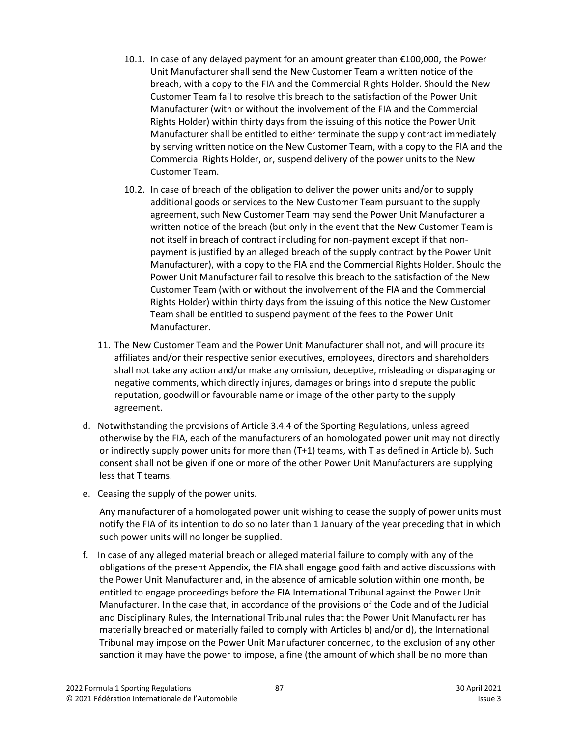- 10.1. In case of any delayed payment for an amount greater than €100,000, the Power Unit Manufacturer shall send the New Customer Team a written notice of the breach, with a copy to the FIA and the Commercial Rights Holder. Should the New Customer Team fail to resolve this breach to the satisfaction of the Power Unit Manufacturer (with or without the involvement of the FIA and the Commercial Rights Holder) within thirty days from the issuing of this notice the Power Unit Manufacturer shall be entitled to either terminate the supply contract immediately by serving written notice on the New Customer Team, with a copy to the FIA and the Commercial Rights Holder, or, suspend delivery of the power units to the New Customer Team.
- 10.2. In case of breach of the obligation to deliver the power units and/or to supply additional goods or services to the New Customer Team pursuant to the supply agreement, such New Customer Team may send the Power Unit Manufacturer a written notice of the breach (but only in the event that the New Customer Team is not itself in breach of contract including for non-payment except if that nonpayment is justified by an alleged breach of the supply contract by the Power Unit Manufacturer), with a copy to the FIA and the Commercial Rights Holder. Should the Power Unit Manufacturer fail to resolve this breach to the satisfaction of the New Customer Team (with or without the involvement of the FIA and the Commercial Rights Holder) within thirty days from the issuing of this notice the New Customer Team shall be entitled to suspend payment of the fees to the Power Unit Manufacturer.
- 11. The New Customer Team and the Power Unit Manufacturer shall not, and will procure its affiliates and/or their respective senior executives, employees, directors and shareholders shall not take any action and/or make any omission, deceptive, misleading or disparaging or negative comments, which directly injures, damages or brings into disrepute the public reputation, goodwill or favourable name or image of the other party to the supply agreement.
- d. Notwithstanding the provisions of Article 3.4.4 of the Sporting Regulations, unless agreed otherwise by the FIA, each of the manufacturers of an homologated power unit may not directly or indirectly supply power units for more than (T+1) teams, with T as defined in Article b). Such consent shall not be given if one or more of the other Power Unit Manufacturers are supplying less that T teams.
- e. Ceasing the supply of the power units.

Any manufacturer of a homologated power unit wishing to cease the supply of power units must notify the FIA of its intention to do so no later than 1 January of the year preceding that in which such power units will no longer be supplied.

f. In case of any alleged material breach or alleged material failure to comply with any of the obligations of the present Appendix, the FIA shall engage good faith and active discussions with the Power Unit Manufacturer and, in the absence of amicable solution within one month, be entitled to engage proceedings before the FIA International Tribunal against the Power Unit Manufacturer. In the case that, in accordance of the provisions of the Code and of the Judicial and Disciplinary Rules, the International Tribunal rules that the Power Unit Manufacturer has materially breached or materially failed to comply with Articles b) and/or d), the International Tribunal may impose on the Power Unit Manufacturer concerned, to the exclusion of any other sanction it may have the power to impose, a fine (the amount of which shall be no more than